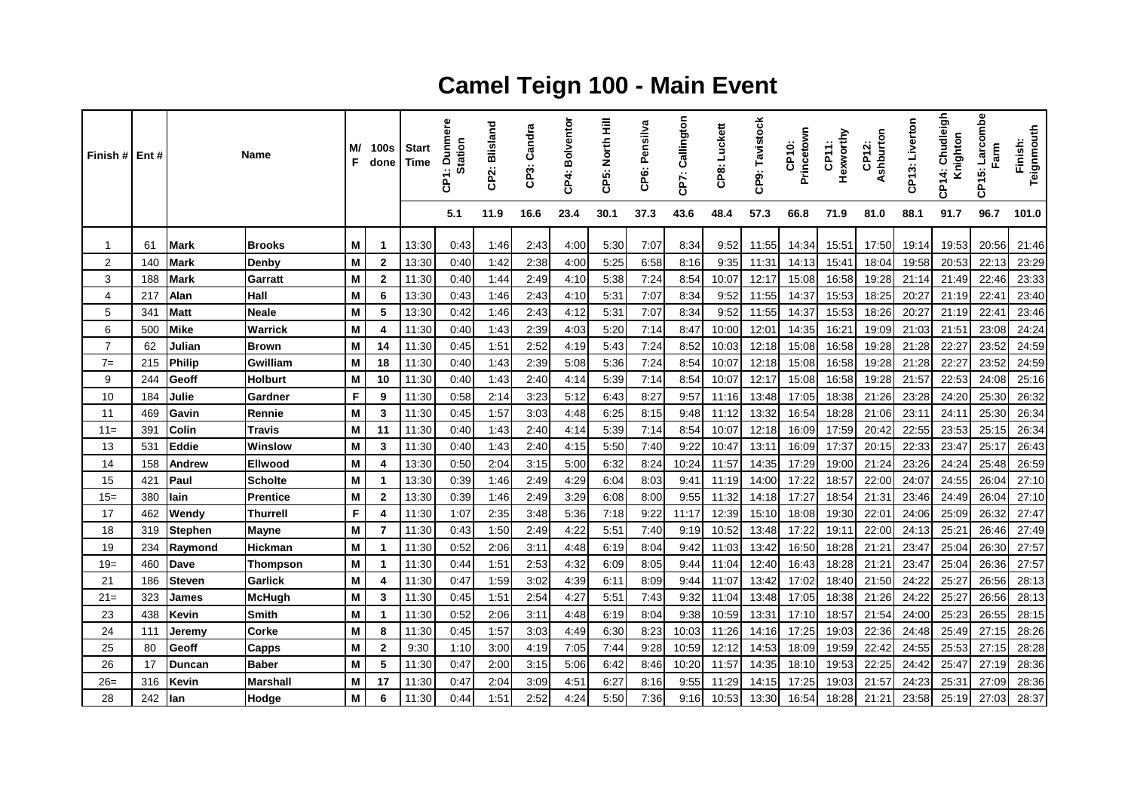## **Camel Teign 100 - Main Event**

| Finish # Ent # |     |                | Name           | M/<br>F | <b>100s</b><br>done | <b>Start</b><br><b>Time</b> | ere<br>Dunm<br><b>Station</b><br>ဇ် | 2: Blisland<br>႕ | CP3: Candra | CP4: Bolventor | CP5: North Hill | CP6: Pensilva | Callington<br>CP7: | CP8: Luckett | CP9: Tavistock | Princetown<br>CP10: | Hexworthy<br>CP11: | Ashburton<br>CP12: | CP13: Liverton | Chudleigh<br>Knighton<br>4<br>፳<br>ت | Larcombe<br>Farm<br>CP15: | Teignmouth<br>Finish: |
|----------------|-----|----------------|----------------|---------|---------------------|-----------------------------|-------------------------------------|------------------|-------------|----------------|-----------------|---------------|--------------------|--------------|----------------|---------------------|--------------------|--------------------|----------------|--------------------------------------|---------------------------|-----------------------|
|                |     |                |                |         |                     |                             | 5.1                                 | 11.9             | 16.6        | 23.4           | 30.1            | 37.3          | 43.6               | 48.4         | 57.3           | 66.8                | 71.9               | 81.0               | 88.1           | 91.7                                 | 96.7                      | 101.0                 |
| 1              | 61  | <b>Mark</b>    | <b>Brooks</b>  | M       | $\mathbf 1$         | 13:30                       | 0:43                                | 1:46             | 2:43        | 4:00           | 5:30            | 7:07          | 8:34               | 9:52         | 11:55          | 14:34               | 15:51              | 17:50              | 19:14          | 19:53                                | 20:56                     | 21:46                 |
| $\overline{2}$ | 140 | <b>Mark</b>    | Denby          | M       | $\mathbf{2}$        | 13:30                       | 0:40                                | 1:42             | 2:38        | 4:00           | 5:25            | 6:58          | 8:16               | 9:35         | 11:31          | 14:13               | 15:41              | 18:04              | 19:58          | 20:53                                | 22:13                     | 23:29                 |
| 3              | 188 | <b>Mark</b>    | Garratt        | M       | $\mathbf{2}$        | 11:30                       | 0:40                                | 1:44             | 2:49        | 4:10           | 5:38            | 7:24          | 8:54               | 10:07        | 12:17          | 15:08               | 16:58              | 19:28              | 21:14          | 21:49                                | 22:46                     | 23:33                 |
| 4              | 217 | Alan           | Hall           | M       | 6                   | 13:30                       | 0:43                                | 1:46             | 2:43        | 4:10           | 5.31            | 7:07          | 8:34               | 9:52         | 11:55          | 14:37               | 15:53              | 18:25              | 20:27          | 21:19                                | 22:41                     | 23:40                 |
| 5              | 341 | <b>Matt</b>    | <b>Neale</b>   | M       | 5                   | 13:30                       | 0:42                                | 1:46             | 2:43        | 4:12           | 5:31            | 7:07          | 8:34               | 9:52         | 11:55          | 14:37               | 15:53              | 18:26              | 20:27          | 21:19                                | 22:41                     | 23:46                 |
| 6              | 500 | <b>Mike</b>    | <b>Warrick</b> | M       | 4                   | 11:30                       | 0:40                                | 1:43             | 2:39        | 4:03           | 5:20            | 7:14          | 8:47               | 10:00        | 12:01          | 14:35               | 16:21              | 19:09              | 21:03          | 21:51                                | 23:08                     | 24:24                 |
| $\overline{7}$ | 62  | Julian         | <b>Brown</b>   | M       | 14                  | 11:30                       | 0:45                                | 1:51             | 2:52        | 4:19           | 5:43            | 7:24          | 8:52               | 10:03        | 12:18          | 15:08               | 16:58              | 19:28              | 21:28          | 22:27                                | 23:52                     | 24:59                 |
| $7=$           | 215 | <b>Philip</b>  | Gwilliam       | M       | 18                  | 11:30                       | 0:40                                | 1:43             | 2:39        | 5:08           | 5:36            | 7:24          | 8:54               | 10:07        | 12:18          | 15:08               | 16:58              | 19:28              | 21:28          | 22:27                                | 23:52                     | 24:59                 |
| 9              | 244 | Geoff          | <b>Holburt</b> | M       | 10                  | 11:30                       | 0:40                                | 1:43             | 2:40        | 4:14           | 5:39            | 7:14          | 8:54               | 10:07        | 12:17          | 15:08               | 16:58              | 19:28              | 21:57          | 22:53                                | 24:08                     | 25:16                 |
| 10             | 184 | Julie          | Gardner        | F       | 9                   | 11:30                       | 0:58                                | 2:14             | 3:23        | 5:12           | 6:43            | 8:27          | 9:57               | 11:16        | 13:48          | 17:05               | 18:38              | 21:26              | 23:28          | 24:20                                | 25:30                     | 26:32                 |
| 11             | 469 | Gavin          | Rennie         | M       | 3                   | 11:30                       | 0:45                                | 1:57             | 3:03        | 4:48           | 6:25            | 8:15          | 9:48               | 11:12        | 13:32          | 16:54               | 18:28              | 21:06              | 23:11          | 24:11                                | 25:30                     | 26:34                 |
| $11 =$         | 391 | Colin          | Travis         | M       | 11                  | 11:30                       | 0:40                                | 1:43             | 2:40        | 4:14           | 5:39            | 7:14          | 8:54               | 10:07        | 12:18          | 16:09               | 17:59              | 20:42              | 22:55          | 23:53                                | 25:15                     | 26:34                 |
| 13             | 531 | Eddie          | Winslow        | M       | 3                   | 11:30                       | 0:40                                | 1:43             | 2:40        | 4:15           | 5:50            | 7:40          | 9:22               | 10:47        | 13:11          | 16:09               | 17:37              | 20:15              | 22:33          | 23:47                                | 25:17                     | 26:43                 |
| 14             | 158 | Andrew         | <b>Ellwood</b> | M       | 4                   | 13:30                       | 0:50                                | 2:04             | 3:15        | 5:00           | 6:32            | 8:24          | 10:24              | 11:57        | 14:35          | 17:29               | 19:00              | 21:24              | 23:26          | 24:24                                | 25:48                     | 26:59                 |
| 15             | 421 | Paul           | <b>Scholte</b> | M       | $\mathbf{1}$        | 13:30                       | 0:39                                | 1:46             | 2:49        | 4:29           | 6:04            | 8:03          | 9:41               | 11:19        | 14:00          | 17:22               | 18:57              | 22:00              | 24:07          | 24:55                                | 26:04                     | 27:10                 |
| $15=$          | 380 | lain           | Prentice       | M       | $\mathbf{2}$        | 13:30                       | 0:39                                | 1:46             | 2:49        | 3:29           | 6:08            | 8:00          | 9:55               | 11:32        | 14:18          | 17:27               | 18:54              | 21:31              | 23:46          | 24:49                                | 26:04                     | 27:10                 |
| 17             | 462 | Wendy          | Thurrell       | F       | 4                   | 11:30                       | 1:07                                | 2:35             | 3:48        | 5:36           | 7:18            | 9:22          | 11:17              | 12:39        | 15:10          | 18:08               | 19:30              | 22:01              | 24:06          | 25:09                                | 26:32                     | 27:47                 |
| 18             | 319 | <b>Stephen</b> | Mayne          | м       | $\overline{7}$      | 11:30                       | 0:43                                | 1:50             | 2:49        | 4:22           | 5:51            | 7:40          | 9:19               | 10:52        | 13:48          | 17:22               | 19:11              | 22:00              | 24:13          | 25:21                                | 26:46                     | 27:49                 |
| 19             | 234 | Raymond        | <b>Hickman</b> | M       | $\mathbf{1}$        | 11:30                       | 0:52                                | 2:06             | 3:11        | 4:48           | 6:19            | 8:04          | 9:42               | 11:03        | 13:42          | 16:50               | 18:28              | 21:21              | 23:47          | 25:04                                | 26:30                     | 27:57                 |
| $19=$          | 460 | Dave           | Thompson       | M       | $\mathbf 1$         | 11:30                       | 0.44                                | 1:51             | 2:53        | 4:32           | 6:09            | 8:05          | 9:44               | 11:04        | 12:40          | 16:43               | 18:28              | 21:21              | 23:47          | 25:04                                | 26:36                     | 27:57                 |
| 21             | 186 | <b>Steven</b>  | <b>Garlick</b> | M       | 4                   | 11:30                       | 0:47                                | 1:59             | 3:02        | 4:39           | 6:11            | 8:09          | 9:44               | 11:07        | 13:42          | 17:02               | 18:40              | 21:50              | 24:22          | 25:27                                | 26:56                     | 28:13                 |
| $21 =$         | 323 | James          | <b>McHugh</b>  | M       | 3                   | 11:30                       | 0:45                                | 1:51             | 2:54        | 4:27           | 5:51            | 7:43          | 9:32               | 11:04        | 13:48          | 17:05               | 18:38              | 21:26              | 24:22          | 25:27                                | 26:56                     | 28:13                 |
| 23             | 438 | Kevin          | <b>Smith</b>   | M       | $\mathbf 1$         | 11:30                       | 0:52                                | 2:06             | 3:11        | 4:48           | 6:19            | 8:04          | 9:38               | 10:59        | 13:31          | 17:10               | 18:57              | 21:54              | 24:00          | 25:23                                | 26:55                     | 28:15                 |
| 24             | 111 | Jeremy         | Corke          | M       | 8                   | 11:30                       | 0:45                                | 1:57             | 3:03        | 4:49           | 6:30            | 8:23          | 10:03              | 11:26        | 14:16          | 17:25               | 19:03              | 22:36              | 24:48          | 25:49                                | 27:15                     | 28:26                 |
| 25             | 80  | Geoff          | <b>Capps</b>   | M       | $\mathbf{2}$        | 9:30                        | 1:10                                | 3:00             | 4:19        | 7:05           | 7:44            | 9:28          | 10:59              | 12:12        | 14:53          | 18:09               | 19:59              | 22:42              | 24:55          | 25:53                                | 27:15                     | 28:28                 |
| 26             | 17  | <b>Duncan</b>  | <b>Baber</b>   | M       | 5                   | 11:30                       | 0:47                                | 2:00             | 3:15        | 5:06           | 6:42            | 8:46          | 10:20              | 11:57        | 14:35          | 18:10               | 19:53              | 22:25              | 24:42          | 25:47                                | 27:19                     | 28:36                 |
| $26=$          | 316 | Kevin          | Marshall       | M       | 17                  | 11:30                       | 0:47                                | 2:04             | 3:09        | 4:51           | 6:27            | 8:16          | 9:55               | 11:29        | 14:15          | 17:25               | 19:03              | 21:57              | 24:23          | 25:31                                | 27:09                     | 28:36                 |
| 28             | 242 | lan            | Hodge          | M       | 6                   | 11:30                       | 0:44                                | 1:51             | 2:52        | 4:24           | 5:50            | 7:36          | 9:16               | 10:53        | 13:30          | 16:54               | 18:28              | 21:21              | 23:58          | 25:19                                | 27:03                     | 28:37                 |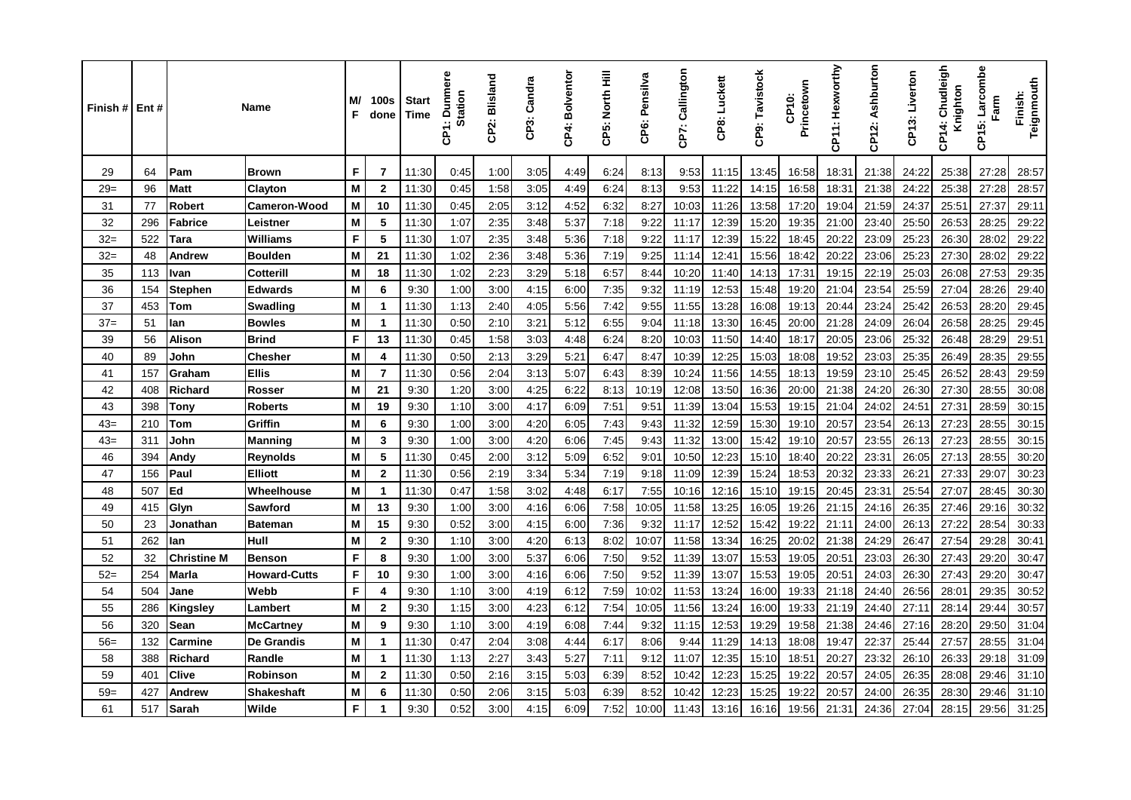| Finish #   Ent # |     |                    | <b>Name</b>         | M/<br>F | 100s<br>done   | <b>Start</b><br>Time | <b>Dunmere</b><br>Station<br>င်္င | CP2: Blisland | CP3: Candra | CP4: Bolventor | CP5: North Hill | CP6: Pensilva | CP7: Callington | CP8: Luckett | CP9: Tavistock | Princetown<br>CP10: | CP11: Hexworthy | CP12: Ashburton | CP13: Liverton | Chudleigh<br>Knighton<br>4<br>င်္င | Larcombe<br>Farm<br>CP15: | Teignmouth<br>Finish: |
|------------------|-----|--------------------|---------------------|---------|----------------|----------------------|-----------------------------------|---------------|-------------|----------------|-----------------|---------------|-----------------|--------------|----------------|---------------------|-----------------|-----------------|----------------|------------------------------------|---------------------------|-----------------------|
| 29               | 64  | Pam                | <b>Brown</b>        | F       | $\overline{7}$ | 11:30                | 0:45                              | 1:00          | 3:05        | 4:49           | 6:24            | 8:13          | 9:53            | 11:15        | 13:45          | 16:58               | 18:31           | 21:38           | 24:22          | 25:38                              | 27:28                     | 28:57                 |
| $29=$            | 96  | <b>Matt</b>        | Clayton             | M       | $\mathbf{2}$   | 11:30                | 0:45                              | 1:58          | 3:05        | 4:49           | 6:24            | 8:13          | 9:53            | 11:22        | 14:15          | 16:58               | 18:31           | 21:38           | 24:22          | 25:38                              | 27:28                     | 28:57                 |
| 31               | 77  | <b>Robert</b>      | <b>Cameron-Wood</b> | M       | 10             | 11:30                | 0:45                              | 2:05          | 3:12        | 4:52           | 6:32            | 8:27          | 10:03           | 11:26        | 13:58          | 17:20               | 19:04           | 21:59           | 24:37          | 25:51                              | 27:37                     | 29:11                 |
| 32               | 296 | <b>Fabrice</b>     | Leistner            | M       | 5              | 11:30                | 1:07                              | 2:35          | 3:48        | 5:37           | 7:18            | 9:22          | 11:17           | 12:39        | 15:20          | 19:35               | 21:00           | 23:40           | 25:50          | 26:53                              | 28:25                     | 29:22                 |
| $32=$            | 522 | Tara               | <b>Williams</b>     | F       | 5              | 11:30                | 1:07                              | 2:35          | 3.48        | 5:36           | 7:18            | 9:22          | 11:17           | 12:39        | 15:22          | 18:45               | 20:22           | 23:09           | 25:23          | 26:30                              | 28:02                     | 29:22                 |
| $32=$            | 48  | Andrew             | <b>Boulden</b>      | M       | 21             | 11:30                | 1:02                              | 2:36          | 3:48        | 5:36           | 7:19            | 9:25          | 11:14           | 12:41        | 15:56          | 18:42               | 20:22           | 23:06           | 25:23          | 27:30                              | 28:02                     | 29:22                 |
| 35               | 113 | Ivan               | Cotterill           | M       | 18             | 11:30                | 1:02                              | 2:23          | 3:29        | 5:18           | 6:57            | 8:44          | 10:20           | 11:40        | 14:13          | 17:31               | 19:15           | 22:19           | 25:03          | 26:08                              | 27:53                     | 29:35                 |
| 36               | 154 | <b>Stephen</b>     | <b>Edwards</b>      | M       | 6              | 9:30                 | 1:00                              | 3:00          | 4:15        | 6:00           | 7:35            | 9:32          | 11:19           | 12:53        | 15:48          | 19:20               | 21:04           | 23:54           | 25:59          | 27:04                              | 28:26                     | 29:40                 |
| 37               | 453 | <b>Tom</b>         | <b>Swadling</b>     | M       | $\mathbf 1$    | 11:30                | 1:13                              | 2:40          | 4:05        | 5:56           | 7:42            | 9:55          | 11:55           | 13:28        | 16:08          | 19:13               | 20:44           | 23:24           | 25:42          | 26:53                              | 28:20                     | 29:45                 |
| $37=$            | 51  | lan                | <b>Bowles</b>       | M       | $\mathbf 1$    | 11:30                | 0:50                              | 2:10          | 3:21        | 5:12           | 6:55            | 9:04          | 11:18           | 13:30        | 16:45          | 20:00               | 21:28           | 24:09           | 26:04          | 26:58                              | 28:25                     | 29:45                 |
| 39               | 56  | <b>Alison</b>      | <b>Brind</b>        | F       | 13             | 11:30                | 0:45                              | 1:58          | 3:03        | 4:48           | 6:24            | 8:20          | 10:03           | 11:50        | 14:40          | 18:17               | 20:05           | 23:06           | 25:32          | 26:48                              | 28:29                     | 29:51                 |
| 40               | 89  | John               | Chesher             | M       | 4              | 11:30                | 0:50                              | 2:13          | 3:29        | 5:21           | 6:47            | 8:47          | 10:39           | 12:25        | 15:03          | 18:08               | 19:52           | 23:03           | 25:35          | 26:49                              | 28:35                     | 29:55                 |
| 41               | 157 | Graham             | <b>Ellis</b>        | M       | $\overline{7}$ | 11:30                | 0:56                              | 2:04          | 3:13        | 5:07           | 6:43            | 8:39          | 10:24           | 11:56        | 14:55          | 18:13               | 19:59           | 23:10           | 25:45          | 26:52                              | 28:43                     | 29:59                 |
| 42               | 408 | <b>Richard</b>     | <b>Rosser</b>       | M       | 21             | 9:30                 | 1:20                              | 3:00          | 4:25        | 6:22           | 8:13            | 10:19         | 12:08           | 13:50        | 16:36          | 20:00               | 21:38           | 24:20           | 26:30          | 27:30                              | 28:55                     | 30:08                 |
| 43               | 398 | Tonv               | <b>Roberts</b>      | M       | 19             | 9:30                 | 1:10                              | 3:00          | 4:17        | 6:09           | 7:51            | 9:5'          | 11:39           | 13:04        | 15:53          | 19:15               | 21:04           | 24:02           | 24:51          | 27:31                              | 28:59                     | 30:15                 |
| $43=$            | 210 | Tom                | Griffin             | M       | 6              | 9:30                 | 1:00                              | 3:00          | 4:20        | 6:05           | 7:43            | 9:43          | 11:32           | 12:59        | 15:30          | 19:10               | 20:57           | 23:54           | 26:13          | 27:23                              | 28:55                     | 30:15                 |
| $43=$            | 311 | John               | <b>Manning</b>      | M       | 3              | 9:30                 | 1:00                              | 3:00          | 4:20        | 6:06           | 7:45            | 9:43          | 11:32           | 13:00        | 15:42          | 19:10               | 20:57           | 23:55           | 26:13          | 27:23                              | 28:55                     | 30:15                 |
| 46               | 394 | Andy               | <b>Reynolds</b>     | M       | 5              | 11:30                | 0:45                              | 2:00          | 3:12        | 5:09           | 6:52            | 9:01          | 10:50           | 12:23        | 15:10          | 18:40               | 20:22           | 23:31           | 26:05          | 27:13                              | 28:55                     | 30:20                 |
| 47               | 156 | Paul               | <b>Elliott</b>      | M       | $\overline{2}$ | 11:30                | 0:56                              | 2:19          | 3:34        | 5:34           | 7:19            | 9:18          | 11:09           | 12:39        | 15:24          | 18:53               | 20:32           | 23:33           | 26:21          | 27:33                              | 29:07                     | 30:23                 |
| 48               | 507 | Ed                 | Wheelhouse          | M       | $\mathbf 1$    | 11:30                | 0:47                              | 1:58          | 3:02        | 4:48           | 6:17            | 7:55          | 10:16           | 12:16        | 15:10          | 19:15               | 20:45           | 23:31           | 25:54          | 27:07                              | 28:45                     | 30:30                 |
| 49               | 415 | Glyn               | Sawford             | M       | 13             | 9:30                 | 1:00                              | 3:00          | 4:16        | 6:06           | 7:58            | 10:05         | 11:58           | 13:25        | 16:05          | 19:26               | 21:15           | 24:16           | 26:35          | 27:46                              | 29:16                     | 30:32                 |
| 50               | 23  | Jonathan           | <b>Bateman</b>      | M       | 15             | 9:30                 | 0:52                              | 3:00          | 4:15        | 6:00           | 7:36            | 9:32          | 11:17           | 12:52        | 15:42          | 19:22               | 21:11           | 24:00           | 26:13          | 27:22                              | 28:54                     | 30:33                 |
| 51               | 262 | lan                | Hull                | M       | $\mathbf{2}$   | 9:30                 | 1:10                              | 3:00          | 4:20        | 6:13           | 8:02            | 10:07         | 11:58           | 13:34        | 16:25          | 20:02               | 21:38           | 24:29           | 26:47          | 27:54                              | 29:28                     | 30:41                 |
| 52               | 32  | <b>Christine M</b> | <b>Benson</b>       | F       | 8              | 9:30                 | 1:00                              | 3:00          | 5:37        | 6:06           | 7:50            | 9:52          | 11:39           | 13:07        | 15:53          | 19:05               | 20:51           | 23:03           | 26:30          | 27:43                              | 29:20                     | 30:47                 |
| $52=$            | 254 | <b>Marla</b>       | <b>Howard-Cutts</b> | F       | 10             | 9:30                 | 1:00                              | 3:00          | 4:16        | 6:06           | 7:50            | 9:52          | 11:39           | 13:07        | 15:53          | 19:05               | 20:51           | 24:03           | 26:30          | 27:43                              | 29:20                     | 30:47                 |
| 54               | 504 | Jane               | Webb                | F       | 4              | 9:30                 | 1:10                              | 3:00          | 4:19        | 6:12           | 7:59            | 10:02         | 11:53           | 13:24        | 16:00          | 19:33               | 21:18           | 24:40           | 26:56          | 28:01                              | 29:35                     | 30:52                 |
| 55               | 286 | Kingsley           | Lambert             | M       | $\overline{2}$ | 9:30                 | 1:15                              | 3:00          | 4:23        | 6:12           | 7:54            | 10:05         | 11:56           | 13:24        | 16:00          | 19:33               | 21:19           | 24:40           | 27:11          | 28:14                              | 29:44                     | 30:57                 |
| 56               | 320 | Sean               | <b>McCartney</b>    | M       | 9              | 9:30                 | 1:10                              | 3:00          | 4:19        | 6:08           | 7:44            | 9:32          | 11:15           | 12:53        | 19:29          | 19:58               | 21:38           | 24:46           | 27:16          | 28:20                              | 29:50                     | 31:04                 |
| $56=$            | 132 | Carmine            | De Grandis          | M       | $\mathbf 1$    | 11:30                | 0:47                              | 2:04          | 3:08        | 4:44           | 6:17            | 8:06          | 9:44            | 11:29        | 14:13          | 18:08               | 19:47           | 22:37           | 25:44          | 27:57                              | 28:55                     | 31:04                 |
| 58               | 388 | Richard            | Randle              | M       | $\mathbf 1$    | 11:30                | 1:13                              | 2:27          | 3:43        | 5:27           | 7:11            | 9:12          | 11:07           | 12:35        | 15:10          | 18:51               | 20:27           | 23:32           | 26:10          | 26:33                              | 29:18                     | 31:09                 |
| 59               | 401 | <b>Clive</b>       | Robinson            | M       | $\mathbf{2}$   | 11:30                | 0:50                              | 2:16          | 3:15        | 5:03           | 6:39            | 8:52          | 10:42           | 12:23        | 15:25          | 19:22               | 20:57           | 24:05           | 26:35          | 28:08                              | 29:46                     | 31:10                 |
| $59=$            | 427 | Andrew             | Shakeshaft          | M       | 6              | 11:30                | 0:50                              | 2:06          | 3:15        | 5:03           | 6:39            | 8:52          | 10:42           | 12:23        | 15:25          | 19:22               | 20:57           | 24:00           | 26:35          | 28:30                              | 29:46                     | 31:10                 |
| 61               | 517 | Sarah              | Wilde               | F       | $\mathbf 1$    | 9:30                 | 0:52                              | 3:00          | 4:15        | 6:09           | 7:52            | 10:00         | 11:43           | 13:16        | 16:16          | 19:56               | 21:31           | 24:36           | 27:04          | 28:15                              | 29:56                     | 31:25                 |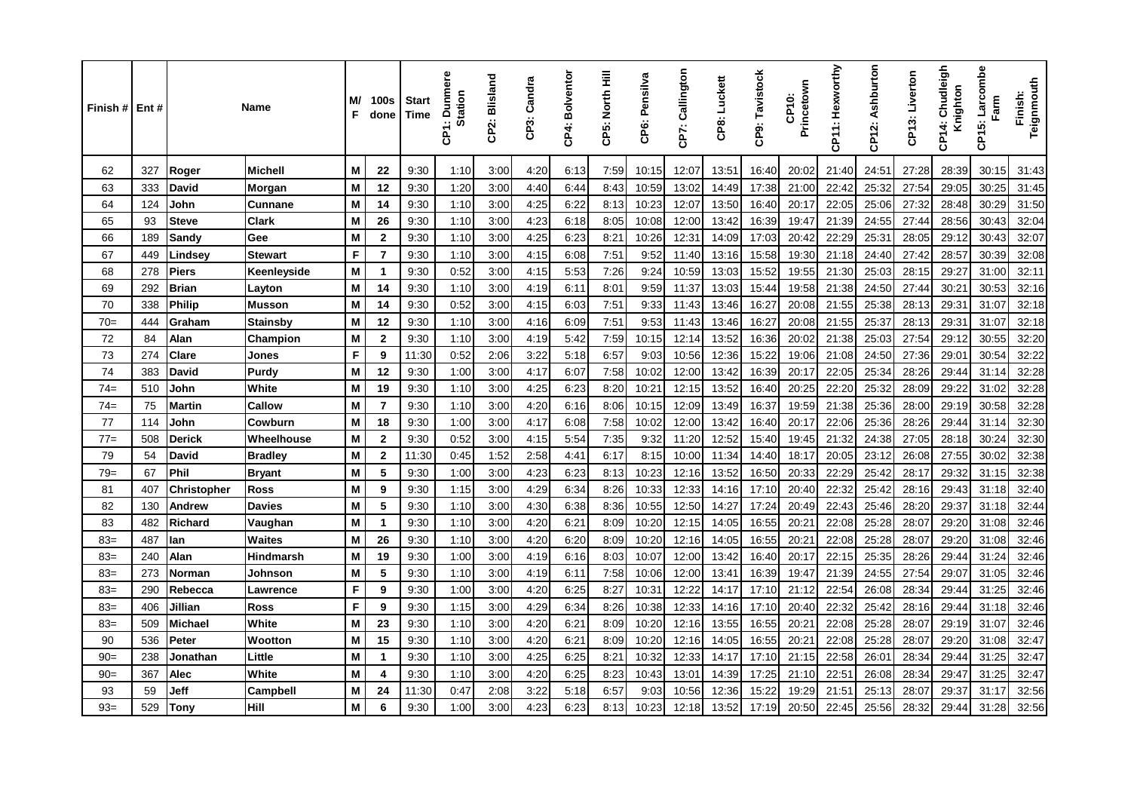| Finish # | Ent# |                    | Name             | M/<br>F | <b>100s</b><br>done | <b>Start</b><br>Time | <b>Dunmere</b><br><b>Station</b><br>န္ | CP2: Blisland | CP3: Candra | CP4: Bolventor | CP5: North Hill | CP6: Pensilva | CP7: Callington | CP8: Luckett | CP9: Tavistock | Princetown<br>CP10: | CP11: Hexworthy | CP12: Ashburton | CP13: Liverton | Chudleigh<br>Knighton<br>4<br>ξ | Larcombe<br>Farm<br>CP15: | Teignmouth<br>Finish: |
|----------|------|--------------------|------------------|---------|---------------------|----------------------|----------------------------------------|---------------|-------------|----------------|-----------------|---------------|-----------------|--------------|----------------|---------------------|-----------------|-----------------|----------------|---------------------------------|---------------------------|-----------------------|
| 62       | 327  | Roger              | <b>Michell</b>   | M       | 22                  | 9:30                 | 1:10                                   | 3:00          | 4:20        | 6:13           | 7:59            | 10:15         | 12:07           | 13:51        | 16:40          | 20:02               | 21:40           | 24:51           | 27:28          | 28:39                           | 30:15                     | 31:43                 |
| 63       | 333  | David              | <b>Morgan</b>    | M       | 12                  | 9:30                 | 1:20                                   | 3:00          | 4:40        | 6:44           | 8:43            | 10:59         | 13:02           | 14:49        | 17:38          | 21:00               | 22:42           | 25:32           | 27:54          | 29:05                           | 30:25                     | 31:45                 |
| 64       | 124  | John               | <b>Cunnane</b>   | M       | 14                  | 9:30                 | 1:10                                   | 3:00          | 4:25        | 6:22           | 8:13            | 10:23         | 12:07           | 13:50        | 16:40          | 20:17               | 22:05           | 25:06           | 27:32          | 28:48                           | 30:29                     | 31:50                 |
| 65       | 93   | <b>Steve</b>       | <b>Clark</b>     | M       | 26                  | 9:30                 | 1:10                                   | 3:00          | 4:23        | 6:18           | 8:05            | 10:08         | 12:00           | 13:42        | 16:39          | 19:47               | 21:39           | 24:55           | 27:44          | 28:56                           | 30:43                     | 32:04                 |
| 66       | 189  | Sandy              | Gee              | M       | $\overline{2}$      | 9:30                 | 1:10                                   | 3:00          | 4:25        | 6:23           | 8:21            | 10:26         | 12:31           | 14:09        | 17:03          | 20:42               | 22:29           | 25:31           | 28:05          | 29:12                           | 30:43                     | 32:07                 |
| 67       | 449  | Lindsev            | <b>Stewart</b>   | F       | $\overline{7}$      | 9:30                 | 1:10                                   | 3:00          | 4:15        | 6:08           | 7:51            | 9:52          | 11:40           | 13:16        | 15:58          | 19:30               | 21:18           | 24:40           | 27:42          | 28:57                           | 30:39                     | 32:08                 |
| 68       | 278  | <b>Piers</b>       | Keenleyside      | M       | $\mathbf{1}$        | 9:30                 | 0:52                                   | 3:00          | 4:15        | 5:53           | 7:26            | 9:24          | 10:59           | 13:03        | 15:52          | 19:55               | 21:30           | 25:03           | 28:15          | 29:27                           | 31:00                     | 32:11                 |
| 69       | 292  | <b>Brian</b>       | Layton           | M       | 14                  | 9:30                 | 1:10                                   | 3:00          | 4:19        | 6:11           | 8:01            | 9:59          | 11:37           | 13:03        | 15:44          | 19:58               | 21:38           | 24:50           | 27:44          | 30:21                           | 30:53                     | 32:16                 |
| 70       | 338  | <b>Philip</b>      | <b>Musson</b>    | M       | 14                  | 9:30                 | 0:52                                   | 3:00          | 4:15        | 6:03           | 7:51            | 9:33          | 11:43           | 13:46        | 16:27          | 20:08               | 21:55           | 25:38           | 28:13          | 29:31                           | 31:07                     | 32:18                 |
| $70=$    | 444  | Graham             | <b>Stainsby</b>  | M       | 12                  | 9:30                 | 1:10                                   | 3:00          | 4:16        | 6:09           | 7:51            | 9:53          | 11:43           | 13:46        | 16:27          | 20:08               | 21:55           | 25:37           | 28:13          | 29:31                           | 31:07                     | 32:18                 |
| 72       | 84   | Alan               | Champion         | M       | $\overline{2}$      | 9:30                 | 1:10                                   | 3:00          | 4:19        | 5:42           | 7:59            | 10:15         | 12:14           | 13:52        | 16:36          | 20:02               | 21:38           | 25:03           | 27:54          | 29:12                           | 30:55                     | 32:20                 |
| 73       | 274  | Clare              | Jones            | F       | 9                   | 11:30                | 0:52                                   | 2:06          | 3:22        | 5:18           | 6:57            | 9:03          | 10:56           | 12:36        | 15:22          | 19:06               | 21:08           | 24:50           | 27:36          | 29:01                           | 30:54                     | 32:22                 |
| 74       | 383  | <b>David</b>       | Purdy            | M       | 12                  | 9:30                 | 1:00                                   | 3:00          | 4:17        | 6:07           | 7:58            | 10:02         | 12:00           | 13:42        | 16:39          | 20:17               | 22:05           | 25:34           | 28:26          | 29:44                           | 31:14                     | 32:28                 |
| $74=$    | 510  | John               | White            | M       | 19                  | 9:30                 | 1:10                                   | 3:00          | 4.25        | 6:23           | 8:20            | 10:21         | 12:15           | 13:52        | 16:40          | 20:25               | 22:20           | 25:32           | 28:09          | 29:22                           | 31:02                     | 32:28                 |
| $74 =$   | 75   | <b>Martin</b>      | <b>Callow</b>    | M       | $\overline{7}$      | 9:30                 | 1:10                                   | 3:00          | 4:20        | 6:16           | 8:06            | 10:15         | 12:09           | 13:49        | 16:37          | 19:59               | 21:38           | 25:36           | 28:00          | 29:19                           | 30:58                     | 32:28                 |
| 77       | 114  | John               | Cowburn          | M       | 18                  | 9:30                 | 1:00                                   | 3:00          | 4:17        | 6:08           | 7:58            | 10:02         | 12:00           | 13:42        | 16:40          | 20:17               | 22:06           | 25:36           | 28:26          | 29:44                           | 31:14                     | 32:30                 |
| $77=$    | 508  | <b>Derick</b>      | Wheelhouse       | M       | $\mathbf{2}$        | 9:30                 | 0:52                                   | 3:00          | 4:15        | 5:54           | 7:35            | 9:32          | 11:20           | 12:52        | 15:40          | 19:45               | 21:32           | 24:38           | 27:05          | 28:18                           | 30:24                     | 32:30                 |
| 79       | 54   | David              | <b>Bradley</b>   | M       | $\mathbf{2}$        | 11:30                | 0:45                                   | 1:52          | 2:58        | 4.41           | 6:17            | 8:15          | 10:00           | 11:34        | 14:40          | 18:17               | 20:05           | 23:12           | 26:08          | 27:55                           | 30:02                     | 32:38                 |
| $79 =$   | 67   | Phil               | <b>Bryant</b>    | M       | 5                   | 9:30                 | 1:00                                   | 3:00          | 4:23        | 6:23           | 8:13            | 10:23         | 12:16           | 13:52        | 16:50          | 20:33               | 22:29           | 25:42           | 28:17          | 29:32                           | 31:15                     | 32:38                 |
| 81       | 407  | <b>Christopher</b> | <b>Ross</b>      | M       | 9                   | 9:30                 | 1:15                                   | 3:00          | 4:29        | 6:34           | 8:26            | 10:33         | 12:33           | 14:16        | 17:10          | 20:40               | 22:32           | 25:42           | 28:16          | 29:43                           | 31:18                     | 32:40                 |
| 82       | 130  | Andrew             | <b>Davies</b>    | M       | 5                   | 9:30                 | 1:10                                   | 3:00          | 4:30        | 6:38           | 8:36            | 10:55         | 12:50           | 14:27        | 17:24          | 20:49               | 22:43           | 25:46           | 28:20          | 29:37                           | 31:18                     | 32:44                 |
| 83       | 482  | <b>Richard</b>     | Vaughan          | M       | $\mathbf{1}$        | 9:30                 | 1:10                                   | 3:00          | 4:20        | 6:21           | 8:09            | 10:20         | 12:15           | 14:05        | 16:55          | 20:21               | 22:08           | 25:28           | 28:07          | 29:20                           | 31:08                     | 32:46                 |
| $83=$    | 487  | lan                | Waites           | M       | 26                  | 9:30                 | 1:10                                   | 3:00          | 4:20        | 6:20           | 8:09            | 10:20         | 12:16           | 14:05        | 16:55          | 20:21               | 22:08           | 25:28           | 28:07          | 29:20                           | 31:08                     | 32:46                 |
| $83=$    | 240  | Alan               | <b>Hindmarsh</b> | M       | 19                  | 9:30                 | 1:00                                   | 3:00          | 4:19        | 6:16           | 8:03            | 10:07         | 12:00           | 13:42        | 16:40          | 20:17               | 22:15           | 25:35           | 28:26          | 29:44                           | 31:24                     | 32:46                 |
| $83=$    | 273  | <b>Norman</b>      | Johnson          | M       | 5                   | 9:30                 | 1:10                                   | 3:00          | 4:19        | 6:11           | 7:58            | 10:06         | 12:00           | 13:41        | 16:39          | 19:47               | 21:39           | 24:55           | 27:54          | 29:07                           | 31:05                     | 32:46                 |
| $83=$    | 290  | Rebecca            | Lawrence         | F       | 9                   | 9:30                 | 1:00                                   | 3:00          | 4:20        | 6:25           | 8:27            | 10:3'         | 12:22           | 14:17        | 17:10          | 21:12               | 22:54           | 26:08           | 28:34          | 29:44                           | 31:25                     | 32:46                 |
| $83=$    | 406  | Jillian            | <b>Ross</b>      | F       | 9                   | 9:30                 | 1:15                                   | 3:00          | 4:29        | 6:34           | 8:26            | 10:38         | 12:33           | 14:16        | 17:10          | 20:40               | 22:32           | 25:42           | 28:16          | 29:44                           | 31:18                     | 32:46                 |
| $83=$    | 509  | <b>Michael</b>     | White            | M       | 23                  | 9:30                 | 1:10                                   | 3:00          | 4:20        | 6:21           | 8:09            | 10:20         | 12:16           | 13:55        | 16:55          | 20:21               | 22:08           | 25:28           | 28:07          | 29:19                           | 31:07                     | 32:46                 |
| 90       | 536  | Peter              | Wootton          | M       | 15                  | 9:30                 | 1:10                                   | 3:00          | 4:20        | 6:21           | 8:09            | 10:20         | 12:16           | 14:05        | 16:55          | 20:21               | 22:08           | 25:28           | 28:07          | 29:20                           | 31:08                     | 32:47                 |
| $90 =$   | 238  | Jonathan           | Little           | M       | $\mathbf{1}$        | 9:30                 | 1:10                                   | 3:00          | 4:25        | 6:25           | 8:21            | 10:32         | 12:33           | 14:17        | 17:10          | 21:15               | 22:58           | 26:01           | 28:34          | 29:44                           | 31:25                     | 32:47                 |
| $90=$    | 367  | Alec               | White            | M       | 4                   | 9:30                 | 1:10                                   | 3:00          | 4:20        | 6:25           | 8:23            | 10:43         | 13:01           | 14:39        | 17:25          | 21:10               | 22:51           | 26:08           | 28:34          | 29:47                           | 31:25                     | 32:47                 |
| 93       | 59   | Jeff               | Campbell         | M       | 24                  | 11:30                | 0:47                                   | 2:08          | 3:22        | 5:18           | 6.57            | 9:03          | 10:56           | 12:36        | 15:22          | 19:29               | 21:51           | 25:13           | 28:07          | 29:37                           | 31:17                     | 32:56                 |
| $93=$    | 529  | Tony               | Hill             | M       | 6                   | 9:30                 | 1:00                                   | 3:00          | 4.23        | 6:23           | 8:13            | 10:23         | 12:18           | 13:52        | 17:19          | 20:50               | 22:45           | 25:56           | 28:32          | 29:44                           | 31:28                     | 32:56                 |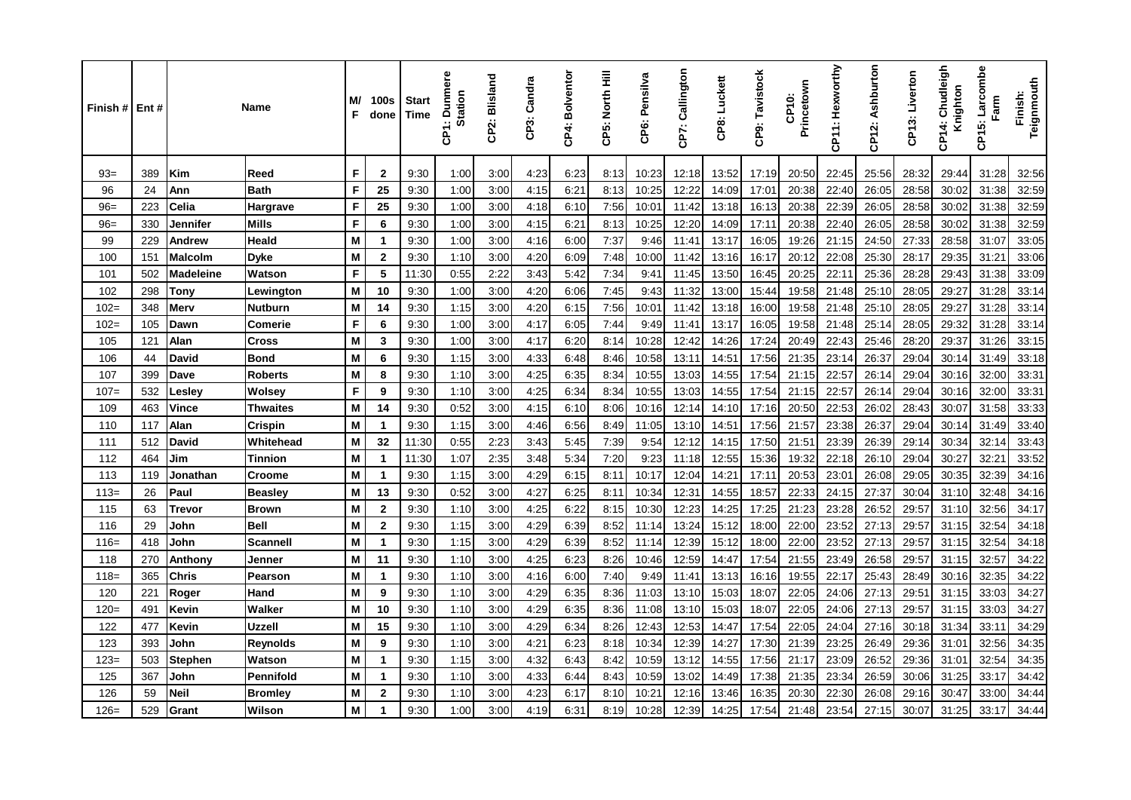| Finish# | Ent# |                  | Name            | M/<br>F | 100s<br>done   | <b>Start</b><br><b>Time</b> | <b>Dunmere</b><br><b>Station</b><br>ξ | CP2: Blisland | CP3: Candra | CP4: Bolventor | CP5: North Hill | CP6: Pensilva | CP7: Callington | CP8: Luckett | CP9: Tavistock | Princetown<br>CP10: | CP11: Hexworthy | CP12: Ashburton | CP13: Liverton | Chudleigh<br>Knighton<br>÷<br>င်္င | Larcombe<br>Farm<br>CP15: | Teignmouth<br>Finish: |
|---------|------|------------------|-----------------|---------|----------------|-----------------------------|---------------------------------------|---------------|-------------|----------------|-----------------|---------------|-----------------|--------------|----------------|---------------------|-----------------|-----------------|----------------|------------------------------------|---------------------------|-----------------------|
| $93 =$  | 389  | Kim              | Reed            | F       | $\mathbf 2$    | 9:30                        | 1:00                                  | 3:00          | 4:23        | 6:23           | 8:13            | 10:23         | 12:18           | 13:52        | 17:19          | 20:50               | 22:45           | 25:56           | 28:32          | 29:44                              | 31:28                     | 32:56                 |
| 96      | 24   | Ann              | <b>Bath</b>     | F       | 25             | 9:30                        | 1:00                                  | 3:00          | 4:15        | 6:21           | 8:13            | 10:25         | 12:22           | 14:09        | 17:01          | 20:38               | 22:40           | 26:05           | 28:58          | 30:02                              | 31:38                     | 32:59                 |
| $96=$   | 223  | Celia            | Hargrave        | F       | 25             | 9:30                        | 1:00                                  | 3:00          | 4:18        | 6:10           | 7:56            | 10:01         | 11:42           | 13:18        | 16:13          | 20:38               | 22:39           | 26:05           | 28:58          | 30:02                              | 31:38                     | 32:59                 |
| $96=$   | 330  | Jennifer         | Mills           | F       | 6              | 9:30                        | 1:00                                  | 3:00          | 4:15        | 6:21           | 8:13            | 10:25         | 12:20           | 14:09        | 17:11          | 20:38               | 22:40           | 26:05           | 28:58          | 30:02                              | 31:38                     | 32:59                 |
| 99      | 229  | Andrew           | <b>Heald</b>    | M       | $\mathbf{1}$   | 9:30                        | 1:00                                  | 3:00          | 4:16        | 6:00           | 7:37            | 9:46          | 11:41           | 13:17        | 16:05          | 19:26               | 21:15           | 24:50           | 27:33          | 28:58                              | 31:07                     | 33:05                 |
| 100     | 151  | <b>Malcolm</b>   | <b>Dyke</b>     | M       | $\mathbf 2$    | 9:30                        | 1:10                                  | 3:00          | 4:20        | 6:09           | 7:48            | 10:00         | 11:42           | 13:16        | 16:17          | 20:12               | 22:08           | 25:30           | 28:17          | 29:35                              | 31:21                     | 33:06                 |
| 101     | 502  | <b>Madeleine</b> | Watson          | F       | 5              | 11:30                       | 0:55                                  | 2:22          | 3:43        | 5:42           | 7:34            | 9:41          | 11:45           | 13:50        | 16:45          | 20:25               | 22:11           | 25:36           | 28:28          | 29:43                              | 31:38                     | 33:09                 |
| 102     | 298  | Tonv             | Lewington       | M       | 10             | 9:30                        | 1:00                                  | 3:00          | 4:20        | 6:06           | 7:45            | 9:43          | 11:32           | 13:00        | 15:44          | 19:58               | 21:48           | 25:10           | 28:05          | 29:27                              | 31:28                     | 33:14                 |
| $102=$  | 348  | Merv             | <b>Nutburn</b>  | M       | 14             | 9:30                        | 1:15                                  | 3:00          | 4:20        | 6:15           | 7:56            | 10:01         | 11:42           | 13:18        | 16:00          | 19:58               | 21:48           | 25:10           | 28:05          | 29:27                              | 31:28                     | 33:14                 |
| $102 =$ | 105  | Dawn             | <b>Comerie</b>  | F       | 6              | 9:30                        | 1:00                                  | 3:00          | 4:17        | 6:05           | 7:44            | 9:49          | 11:41           | 13:17        | 16:05          | 19:58               | 21:48           | 25:14           | 28:05          | 29:32                              | 31:28                     | 33:14                 |
| 105     | 121  | Alan             | <b>Cross</b>    | M       | 3              | 9:30                        | 1:00                                  | 3:00          | 4:17        | 6:20           | 8:14            | 10:28         | 12:42           | 14:26        | 17:24          | 20:49               | 22:43           | 25:46           | 28:20          | 29:37                              | 31:26                     | 33:15                 |
| 106     | 44   | David            | <b>Bond</b>     | M       | 6              | 9:30                        | 1:15                                  | 3:00          | 4:33        | 6:48           | 8:46            | 10:58         | 13:11           | 14:51        | 17:56          | 21:35               | 23:14           | 26:37           | 29:04          | 30:14                              | 31:49                     | 33:18                 |
| 107     | 399  | Dave             | <b>Roberts</b>  | M       | 8              | 9:30                        | 1:10                                  | 3:00          | 4:25        | 6:35           | 8:34            | 10:55         | 13:03           | 14:55        | 17:54          | 21:15               | 22:57           | 26:14           | 29:04          | 30:16                              | 32:00                     | 33:31                 |
| $107=$  | 532  | ∟esley           | <b>Wolsey</b>   | F       | 9              | 9:30                        | 1:10                                  | 3:00          | 4:25        | 6:34           | 8:34            | 10:55         | 13:03           | 14:55        | 17:54          | 21:15               | 22:57           | 26:14           | 29:04          | 30:16                              | 32:00                     | 33:31                 |
| 109     | 463  | Vince            | Thwaites        | M       | 14             | 9:30                        | 0:52                                  | 3:00          | 4:15        | 6:10           | 8:06            | 10:16         | 12:14           | 14:10        | 17:16          | 20:50               | 22:53           | 26:02           | 28:43          | 30:07                              | 31:58                     | 33:33                 |
| 110     | 117  | Alan             | Crispin         | M       | $\mathbf{1}$   | 9:30                        | 1:15                                  | 3:00          | 4:46        | 6:56           | 8:49            | 11:05         | 13:10           | 14:51        | 17:56          | 21:57               | 23:38           | 26:37           | 29:04          | 30:14                              | 31:49                     | 33:40                 |
| 111     | 512  | David            | Whitehead       | M       | 32             | 11:30                       | 0:55                                  | 2:23          | 3:43        | 5:45           | 7:39            | 9:54          | 12:12           | 14:15        | 17:50          | 21:51               | 23:39           | 26:39           | 29:14          | 30:34                              | 32:14                     | 33:43                 |
| 112     | 464  | Jim              | Tinnion         | M       | $\mathbf{1}$   | 11:30                       | 1:07                                  | 2:35          | 3.48        | 5:34           | 7:20            | 9:23          | 11:18           | 12:55        | 15:36          | 19:32               | 22:18           | 26:10           | 29:04          | 30:27                              | 32:21                     | 33:52                 |
| 113     | 119  | Jonathan         | Croome          | M       | $\mathbf{1}$   | 9:30                        | 1:15                                  | 3:00          | 4:29        | 6:15           | 8:11            | 10:17         | 12:04           | 14:21        | 17:11          | 20:53               | 23:01           | 26:08           | 29:05          | 30:35                              | 32:39                     | 34:16                 |
| $113=$  | 26   | Paul             | <b>Beasley</b>  | M       | 13             | 9:30                        | 0:52                                  | 3:00          | 4:27        | 6:25           | 8:11            | 10:34         | 12:31           | 14:55        | 18:57          | 22:33               | 24:15           | 27:37           | 30:04          | 31:10                              | 32:48                     | 34:16                 |
| 115     | 63   | Trevor           | <b>Brown</b>    | M       | $\mathbf{2}$   | 9:30                        | 1:10                                  | 3:00          | 4.25        | 6:22           | 8:15            | 10:30         | 12:23           | 14:25        | 17:25          | 21:23               | 23:28           | 26:52           | 29:57          | 31:10                              | 32:56                     | 34:17                 |
| 116     | 29   | John             | <b>Bell</b>     | M       | $\mathbf 2$    | 9:30                        | 1:15                                  | 3:00          | 4:29        | 6:39           | 8:52            | 11:14         | 13:24           | 15:12        | 18:00          | 22:00               | 23:52           | 27:13           | 29:57          | 31:15                              | 32:54                     | 34:18                 |
| $116=$  | 418  | John             | <b>Scannell</b> | M       | $\mathbf{1}$   | 9:30                        | 1:15                                  | 3:00          | 4:29        | 6:39           | 8:52            | 11:14         | 12:39           | 15:12        | 18:00          | 22:00               | 23:52           | 27:13           | 29:57          | 31:15                              | 32:54                     | 34:18                 |
| 118     | 270  | Anthony          | Jenner          | M       | 11             | 9:30                        | 1:10                                  | 3:00          | 4:25        | 6:23           | 8:26            | 10:46         | 12:59           | 14:47        | 17:54          | 21:55               | 23:49           | 26:58           | 29:57          | 31:15                              | 32:57                     | 34:22                 |
| $118=$  | 365  | <b>Chris</b>     | Pearson         | M       | $\mathbf{1}$   | 9:30                        | 1:10                                  | 3:00          | 4:16        | 6:00           | 7:40            | 9:49          | 11:41           | 13:13        | 16:16          | 19:55               | 22:17           | 25:43           | 28:49          | 30:16                              | 32:35                     | 34:22                 |
| 120     | 221  | Roger            | Hand            | M       | 9              | 9:30                        | 1:10                                  | 3:00          | 4:29        | 6:35           | 8:36            | 11:03         | 13:10           | 15:03        | 18:07          | 22:05               | 24:06           | 27:13           | 29:51          | 31:15                              | 33:03                     | 34:27                 |
| $120=$  | 491  | Kevin            | Walker          | M       | 10             | 9:30                        | 1:10                                  | 3:00          | 4.29        | 6:35           | 8:36            | 11:08         | 13:10           | 15:03        | 18:07          | 22:05               | 24:06           | 27:13           | 29:57          | 31:15                              | 33:03                     | 34:27                 |
| 122     | 477  | Kevin            | Uzzell          | M       | 15             | 9:30                        | 1:10                                  | 3:00          | 4.29        | 6:34           | 8:26            | 12:43         | 12:53           | 14:47        | 17:54          | 22:05               | 24:04           | 27:16           | 30:18          | 31:34                              | 33:11                     | 34:29                 |
| 123     | 393  | John             | Reynolds        | M       | 9              | 9:30                        | 1:10                                  | 3:00          | 4:21        | 6:23           | 8:18            | 10:34         | 12:39           | 14:27        | 17:30          | 21:39               | 23:25           | 26:49           | 29:36          | 31:01                              | 32:56                     | 34:35                 |
| $123=$  | 503  | Stephen          | Watson          | M       | $\mathbf{1}$   | 9:30                        | 1:15                                  | 3:00          | 4:32        | 6:43           | 8:42            | 10:59         | 13:12           | 14:55        | 17:56          | 21:17               | 23:09           | 26:52           | 29:36          | 31:01                              | 32:54                     | 34:35                 |
| 125     | 367  | John             | Pennifold       | M       | $\mathbf 1$    | 9:30                        | 1:10                                  | 3:00          | 4:33        | 6:44           | 8:43            | 10:59         | 13:02           | 14:49        | 17:38          | 21:35               | 23:34           | 26:59           | 30:06          | 31:25                              | 33:17                     | 34:42                 |
| 126     | 59   | <b>Neil</b>      | <b>Bromley</b>  | M       | $\overline{2}$ | 9:30                        | 1:10                                  | 3:00          | 4:23        | 6:17           | 8:10            | 10:2'         | 12:16           | 13:46        | 16:35          | 20:30               | 22:30           | 26:08           | 29:16          | 30:47                              | 33:00                     | 34:44                 |
| $126=$  | 529  | Grant            | Wilson          | M       | 1              | 9:30                        | 1:00                                  | 3:00          | 4:19        | 6:31           | 8:19            | 10:28         | 12:39           | 14:25        | 17:54          | 21:48               | 23:54           | 27:15           | 30:07          | 31:25                              | 33:17                     | 34:44                 |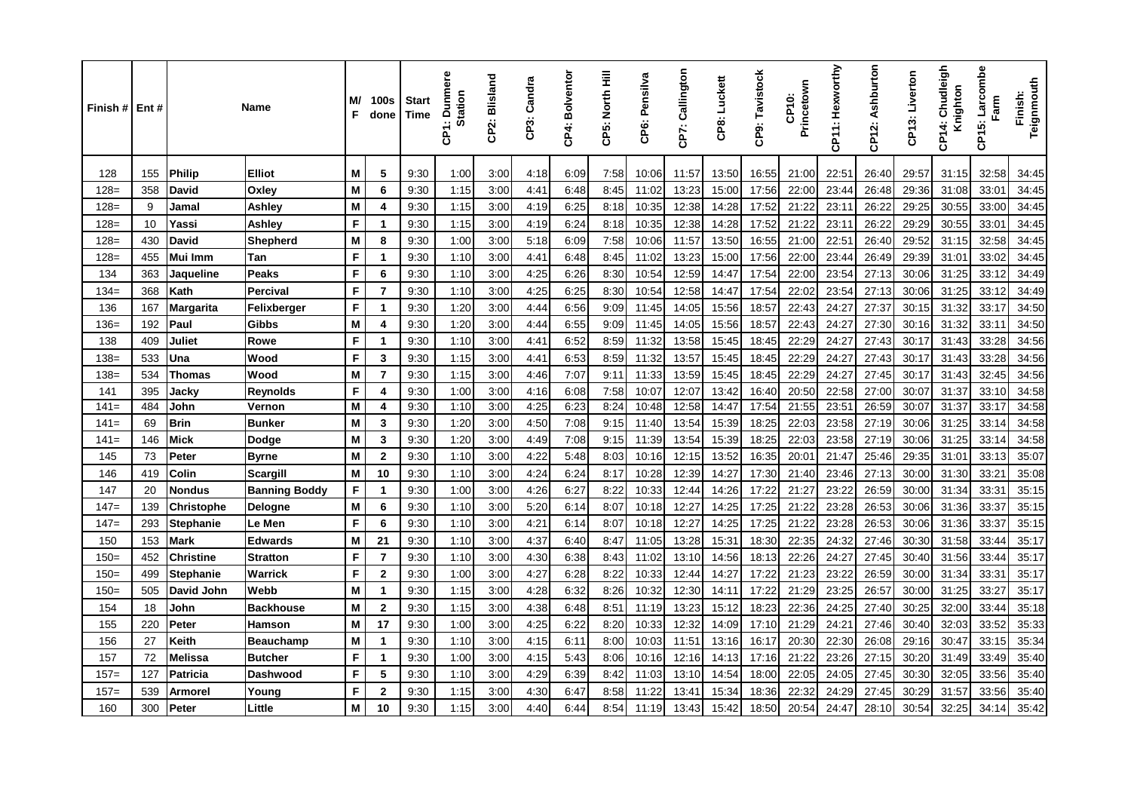| Finish# | Ent# |                   | Name                 | M/<br>F | 100s<br>done            | <b>Start</b><br>Time | <b>Dunmere</b><br><b>Station</b><br>έ | CP2: Blisland | CP3: Candra | CP4: Bolventor | CP5: North Hill | CP6: Pensilva | CP7: Callington | CP8: Luckett | CP9: Tavistock | Princetown<br>CP10: | CP11: Hexworthy | CP12: Ashburton | CP13: Liverton | Chudleigh<br>Knighton<br>CP <sub>14:</sub> | Larcombe<br>Farm<br>CP15: | Teignmouth<br>Finish: |
|---------|------|-------------------|----------------------|---------|-------------------------|----------------------|---------------------------------------|---------------|-------------|----------------|-----------------|---------------|-----------------|--------------|----------------|---------------------|-----------------|-----------------|----------------|--------------------------------------------|---------------------------|-----------------------|
| 128     | 155  | <b>Philip</b>     | <b>Elliot</b>        | Μ       | 5                       | 9:30                 | 1:00                                  | 3:00          | 4:18        | 6:09           | 7:58            | 10:06         | 11:57           | 13:50        | 16:55          | 21:00               | 22:51           | 26:40           | 29:57          | 31:15                                      | 32:58                     | 34:45                 |
| $128 =$ | 358  | David             | Oxley                | M       | 6                       | 9:30                 | 1:15                                  | 3:00          | 4:41        | 6:48           | 8:45            | 11:02         | 13:23           | 15:00        | 17:56          | 22:00               | 23:44           | 26:48           | 29:36          | 31:08                                      | 33:01                     | 34:45                 |
| $128 =$ | 9    | Jamal             | Ashley               | M       | 4                       | 9:30                 | 1:15                                  | 3:00          | 4:19        | 6:25           | 8:18            | 10:35         | 12:38           | 14:28        | 17:52          | 21:22               | 23:11           | 26:22           | 29:25          | 30:55                                      | 33:00                     | 34:45                 |
| $128=$  | 10   | Yassi             | Ashley               | F       | $\mathbf 1$             | 9:30                 | 1:15                                  | 3:00          | 4:19        | 6:24           | 8:18            | 10:35         | 12:38           | 14:28        | 17:52          | 21:22               | 23:11           | 26:22           | 29:29          | 30:55                                      | 33:01                     | 34:45                 |
| $128=$  | 430  | <b>David</b>      | <b>Shepherd</b>      | M       | 8                       | 9:30                 | 1:00                                  | 3:00          | 5:18        | 6:09           | 7:58            | 10:06         | 11:57           | 13:50        | 16:55          | 21:00               | 22:51           | 26:40           | 29:52          | 31:15                                      | 32:58                     | 34:45                 |
| $128 =$ | 455  | Mui Imm           | Tan                  | F       | $\mathbf{1}$            | 9:30                 | 1:10                                  | 3:00          | 4:41        | 6:48           | 8:45            | 11:02         | 13:23           | 15:00        | 17:56          | 22:00               | 23:44           | 26:49           | 29:39          | 31:01                                      | 33:02                     | 34:45                 |
| 134     | 363  | Jaqueline         | <b>Peaks</b>         | F       | 6                       | 9:30                 | 1:10                                  | 3:00          | 4:25        | 6:26           | 8:30            | 10:54         | 12:59           | 14:47        | 17:54          | 22:00               | 23:54           | 27:13           | 30:06          | 31:25                                      | 33:12                     | 34:49                 |
| $134=$  | 368  | Kath              | Percival             | F       | $\overline{7}$          | 9:30                 | 1:10                                  | 3:00          | 4:25        | 6:25           | 8:30            | 10:54         | 12:58           | 14:47        | 17:54          | 22:02               | 23:54           | 27:13           | 30:06          | 31:25                                      | 33:12                     | 34:49                 |
| 136     | 167  | <b>Margarita</b>  | Felixberger          | F       | $\mathbf 1$             | 9:30                 | 1:20                                  | 3:00          | 4:44        | 6:56           | 9:09            | 11:45         | 14:05           | 15:56        | 18:57          | 22:43               | 24:27           | 27:37           | 30:15          | 31:32                                      | 33:17                     | 34:50                 |
| $136=$  | 192  | Paul              | <b>Gibbs</b>         | M       | $\overline{\mathbf{4}}$ | 9:30                 | 1:20                                  | 3:00          | 4:44        | 6:55           | 9:09            | 11:45         | 14:05           | 15:56        | 18:57          | 22:43               | 24:27           | 27:30           | 30:16          | 31:32                                      | 33:11                     | 34:50                 |
| 138     | 409  | Juliet            | <b>Rowe</b>          | F       | $\mathbf{1}$            | 9:30                 | 1:10                                  | 3:00          | 4:41        | 6:52           | 8:59            | 11:32         | 13:58           | 15:45        | 18:45          | 22:29               | 24:27           | 27:43           | 30:17          | 31:43                                      | 33:28                     | 34:56                 |
| $138=$  | 533  | Una               | Wood                 | F       | 3                       | 9:30                 | 1:15                                  | 3:00          | 4:41        | 6:53           | 8:59            | 11:32         | 13:57           | 15:45        | 18:45          | 22:29               | 24:27           | 27:43           | 30:17          | 31:43                                      | 33:28                     | 34:56                 |
| $138=$  | 534  | <b>Thomas</b>     | Wood                 | M       | $\overline{7}$          | 9:30                 | 1:15                                  | 3:00          | 4:46        | 7:07           | 9:11            | 11:33         | 13:59           | 15:45        | 18:45          | 22:29               | 24:27           | 27:45           | 30:17          | 31:43                                      | 32:45                     | 34:56                 |
| 141     | 395  | Jacky             | <b>Reynolds</b>      | F       | 4                       | 9:30                 | 1:00                                  | 3:00          | 4:16        | 6:08           | 7:58            | 10:07         | 12:07           | 13:42        | 16:40          | 20:50               | 22:58           | 27:00           | 30:07          | 31:37                                      | 33:10                     | 34:58                 |
| $141=$  | 484  | John              | Vernon               | M       | 4                       | 9:30                 | 1:10                                  | 3:00          | 4:25        | 6:23           | 8:24            | 10:48         | 12:58           | 14:47        | 17:54          | 21:55               | 23:51           | 26:59           | 30:07          | 31:37                                      | 33:17                     | 34:58                 |
| $141=$  | 69   | <b>Brin</b>       | <b>Bunker</b>        | M       | 3                       | 9:30                 | 1:20                                  | 3:00          | 4:50        | 7:08           | 9:15            | 11:40         | 13:54           | 15:39        | 18:25          | 22:03               | 23:58           | 27:19           | 30:06          | 31:25                                      | 33:14                     | 34:58                 |
| $141=$  | 146  | <b>Mick</b>       | Dodge                | M       | $\mathbf{3}$            | 9:30                 | 1:20                                  | 3:00          | 4:49        | 7:08           | 9:15            | 11:39         | 13:54           | 15:39        | 18:25          | 22:03               | 23:58           | 27:19           | 30:06          | 31:25                                      | 33:14                     | 34:58                 |
| 145     | 73   | Peter             | <b>Byrne</b>         | M       | $\mathbf{2}$            | 9:30                 | 1:10                                  | 3:00          | 4:22        | 5:48           | 8:03            | 10:16         | 12:15           | 13:52        | 16:35          | 20:01               | 21:47           | 25:46           | 29:35          | 31:01                                      | 33:13                     | 35:07                 |
| 146     | 419  | Colin             | <b>Scargill</b>      | M       | 10                      | 9:30                 | 1:10                                  | 3:00          | 4:24        | 6:24           | 8:17            | 10:28         | 12:39           | 14:27        | 17:30          | 21:40               | 23:46           | 27:13           | 30:00          | 31:30                                      | 33:21                     | 35:08                 |
| 147     | 20   | Nondus            | <b>Banning Boddy</b> | F       | $\mathbf 1$             | 9:30                 | 1:00                                  | 3:00          | 4:26        | 6:27           | 8:22            | 10:33         | 12:44           | 14:26        | 17:22          | 21:27               | 23:22           | 26:59           | 30:00          | 31:34                                      | 33:31                     | 35:15                 |
| $147=$  | 139  | <b>Christophe</b> | Delogne              | M       | 6                       | 9:30                 | 1:10                                  | 3:00          | 5:20        | 6:14           | 8:07            | 10:18         | 12:27           | 14:25        | 17:25          | 21:22               | 23:28           | 26:53           | 30:06          | 31:36                                      | 33:37                     | 35:15                 |
| $147=$  | 293  | <b>Stephanie</b>  | Le Men               | F       | 6                       | 9:30                 | 1:10                                  | 3:00          | 4:21        | 6:14           | 8:07            | 10:18         | 12:27           | 14:25        | 17:25          | 21:22               | 23:28           | 26:53           | 30:06          | 31:36                                      | 33:37                     | 35:15                 |
| 150     | 153  | <b>Mark</b>       | <b>Edwards</b>       | M       | 21                      | 9:30                 | 1:10                                  | 3:00          | 4:37        | 6:40           | 8:47            | 11:05         | 13:28           | 15:31        | 18:30          | 22:35               | 24:32           | 27:46           | 30:30          | 31:58                                      | 33:44                     | 35:17                 |
| $150=$  | 452  | <b>Christine</b>  | <b>Stratton</b>      | F       | $\overline{7}$          | 9:30                 | 1:10                                  | 3:00          | 4:30        | 6:38           | 8:43            | 11:02         | 13:10           | 14:56        | 18:13          | 22:26               | 24:27           | 27:45           | 30:40          | 31:56                                      | 33:44                     | 35:17                 |
| $150=$  | 499  | Stephanie         | <b>Warrick</b>       | F       | $\mathbf{2}$            | 9:30                 | 1:00                                  | 3:00          | 4:27        | 6:28           | 8:22            | 10:33         | 12:44           | 14:27        | 17:22          | 21:23               | 23:22           | 26:59           | 30:00          | 31:34                                      | 33:31                     | 35:17                 |
| $150=$  | 505  | David John        | Webb                 | M       | $\mathbf 1$             | 9:30                 | 1:15                                  | 3:00          | 4:28        | 6:32           | 8:26            | 10:32         | 12:30           | 14:11        | 17:22          | 21:29               | 23:25           | 26:57           | 30:00          | 31:25                                      | 33:27                     | 35:17                 |
| 154     | 18   | John              | <b>Backhouse</b>     | M       | $\mathbf{2}$            | 9:30                 | 1:15                                  | 3:00          | 4:38        | 6:48           | 8:51            | 11:19         | 13:23           | 15:12        | 18:23          | 22:36               | 24:25           | 27:40           | 30:25          | 32:00                                      | 33:44                     | 35:18                 |
| 155     | 220  | Peter             | Hamson               | M       | 17                      | 9:30                 | 1:00                                  | 3:00          | 4:25        | 6:22           | 8:20            | 10:33         | 12:32           | 14:09        | 17:10          | 21:29               | 24:21           | 27:46           | 30:40          | 32:03                                      | 33:52                     | 35:33                 |
| 156     | 27   | Keith             | <b>Beauchamp</b>     | M       | $\mathbf 1$             | 9:30                 | 1:10                                  | 3:00          | 4:15        | 6:11           | 8:00            | 10:03         | 11:51           | 13:16        | 16:17          | 20:30               | 22:30           | 26:08           | 29:16          | 30:47                                      | 33:15                     | 35:34                 |
| 157     | 72   | <b>Melissa</b>    | <b>Butcher</b>       | F       | $\mathbf{1}$            | 9:30                 | 1:00                                  | 3:00          | 4:15        | 5:43           | 8:06            | 10:16         | 12:16           | 14:13        | 17:16          | 21:22               | 23:26           | 27:15           | 30:20          | 31:49                                      | 33:49                     | 35:40                 |
| $157=$  | 127  | Patricia          | <b>Dashwood</b>      | F       | 5                       | 9:30                 | 1:10                                  | 3:00          | 4:29        | 6:39           | 8:42            | 11:03         | 13:10           | 14:54        | 18:00          | 22:05               | 24:05           | 27:45           | 30:30          | 32:05                                      | 33:56                     | 35:40                 |
| $157=$  | 539  | <b>Armorel</b>    | Young                | F       | $\mathbf{2}$            | 9:30                 | 1:15                                  | 3:00          | 4:30        | 6:47           | 8:58            | 11:22         | 13:41           | 15:34        | 18:36          | 22:32               | 24:29           | 27:45           | 30:29          | 31:57                                      | 33:56                     | 35:40                 |
| 160     | 300  | Peter             | Little               | M       | 10                      | 9:30                 | 1:15                                  | 3:00          | 4:40        | 6:44           | 8:54            | 11:19         | 13:43           | 15:42        | 18:50          | 20:54               | 24:47           | 28:10           | 30:54          | 32:25                                      | 34:14                     | 35:42                 |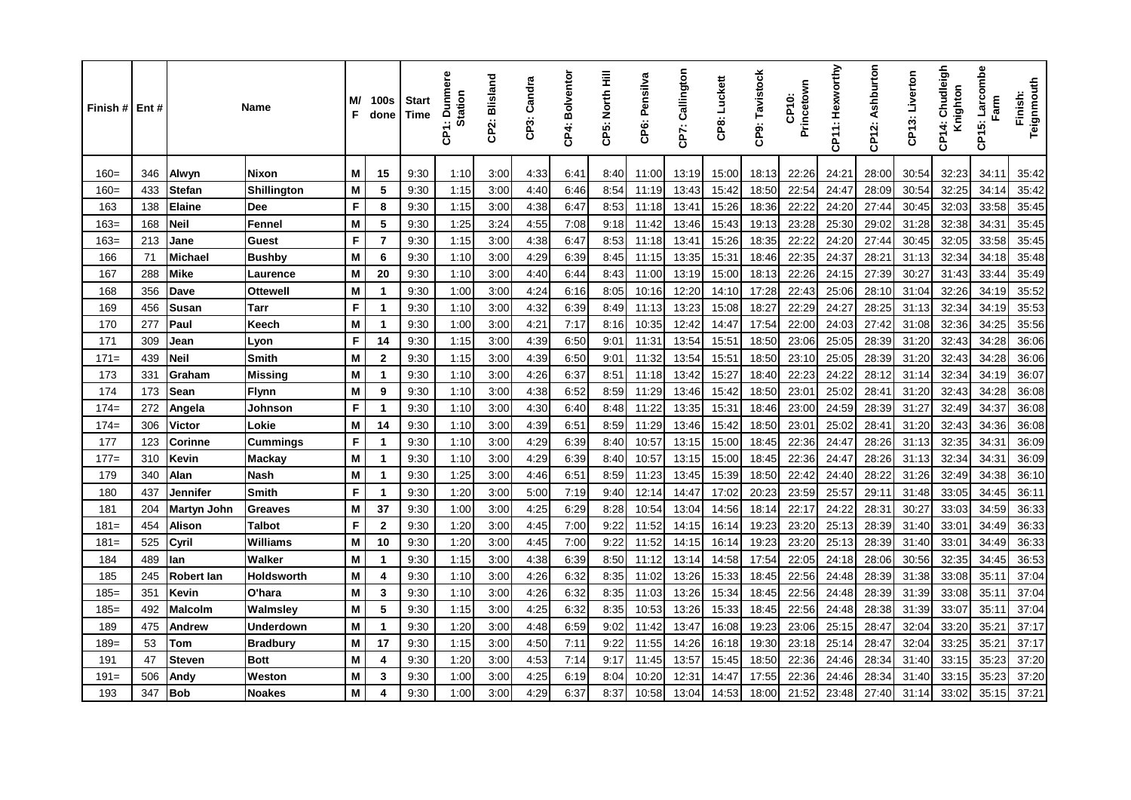| Finish # Ent # |     |                    | Name              | M/<br>F | <b>100s</b><br>done | <b>Start</b><br>Time | ā<br>Dunm<br><b>Station</b><br>န္ | CP2: Blisland | CP3: Candra | CP4: Bolventor | CP5: North Hill | CP6: Pensilva | CP7: Callington | CP8: Luckett | CP9: Tavistock | Princetown<br>CP10: | CP11: Hexworthy | CP12: Ashburton | CP13: Liverton | Chudleigh<br>Knighton<br>CP <sub>14</sub> : | Larcombe<br>Farm<br>CP15: | Teignmouth<br>Finish: |
|----------------|-----|--------------------|-------------------|---------|---------------------|----------------------|-----------------------------------|---------------|-------------|----------------|-----------------|---------------|-----------------|--------------|----------------|---------------------|-----------------|-----------------|----------------|---------------------------------------------|---------------------------|-----------------------|
| $160=$         | 346 | Alwyn              | <b>Nixon</b>      | M       | 15                  | 9:30                 | 1:10                              | 3:00          | 4:33        | 6:41           | 8:40            | 11:00         | 13:19           | 15:00        | 18:13          | 22:26               | 24:21           | 28:00           | 30:54          | 32:23                                       | 34:11                     | 35:42                 |
| $160=$         | 433 | Stefan             | Shillington       | M       | 5                   | 9:30                 | 1:15                              | 3:00          | 4:40        | 6:46           | 8:54            | 11:19         | 13:43           | 15:42        | 18:50          | 22:54               | 24:47           | 28:09           | 30:54          | 32:25                                       | 34:14                     | 35:42                 |
| 163            | 138 | <b>Elaine</b>      | <b>Dee</b>        | F       | 8                   | 9:30                 | 1:15                              | 3:00          | 4:38        | 6:47           | 8:53            | 11:18         | 13:41           | 15:26        | 18:36          | 22:22               | 24:20           | 27:44           | 30:45          | 32:03                                       | 33:58                     | 35:45                 |
| $163=$         | 168 | <b>Neil</b>        | Fennel            | M       | 5                   | 9:30                 | 1.25                              | 3:24          | 4:55        | 7:08           | 9:18            | 11:42         | 13:46           | 15:43        | 19:13          | 23:28               | 25:30           | 29:02           | 31:28          | 32:38                                       | 34:31                     | 35:45                 |
| $163=$         | 213 | Jane               | <b>Guest</b>      | F       | $\overline{7}$      | 9:30                 | 1:15                              | 3:00          | 4:38        | 6:47           | 8:53            | 11:18         | 13:41           | 15:26        | 18:35          | 22:22               | 24:20           | 27:44           | 30:45          | 32:05                                       | 33:58                     | 35:45                 |
| 166            | 71  | <b>Michael</b>     | <b>Bushby</b>     | M       | 6                   | 9:30                 | 1:10                              | 3:00          | 4:29        | 6:39           | 8:45            | 11:15         | 13:35           | 15:31        | 18:46          | 22:35               | 24:37           | 28:21           | 31:13          | 32:34                                       | 34:18                     | 35:48                 |
| 167            | 288 | <b>Mike</b>        | Laurence          | M       | 20                  | 9:30                 | 1:10                              | 3:00          | 4:40        | 6:44           | 8:43            | 11:00         | 13:19           | 15:00        | 18:13          | 22:26               | 24:15           | 27:39           | 30:27          | 31:43                                       | 33:44                     | 35:49                 |
| 168            | 356 | <b>Dave</b>        | <b>Ottewell</b>   | M       | 1                   | 9:30                 | 1:00                              | 3:00          | 4:24        | 6:16           | 8:05            | 10:16         | 12:20           | 14:10        | 17:28          | 22:43               | 25:06           | 28:10           | 31:04          | 32:26                                       | 34:19                     | 35:52                 |
| 169            | 456 | Susan              | Tarr              | F       | 1                   | 9:30                 | 1:10                              | 3:00          | 4:32        | 6:39           | 8:49            | 11:13         | 13:23           | 15:08        | 18:27          | 22:29               | 24:27           | 28:25           | 31:13          | 32:34                                       | 34:19                     | 35:53                 |
| 170            | 277 | Paul               | Keech             | M       | 1                   | 9:30                 | 1:00                              | 3:00          | 4:21        | 7:17           | 8:16            | 10:35         | 12:42           | 14:47        | 17:54          | 22:00               | 24:03           | 27:42           | 31:08          | 32:36                                       | 34:25                     | 35:56                 |
| 171            | 309 | Jean               | Lyon              | F       | 14                  | 9:30                 | 1:15                              | 3:00          | 4:39        | 6:50           | 9:01            | 11:3'         | 13:54           | 15:5'        | 18:50          | 23:06               | 25:05           | 28:39           | 31:20          | 32:43                                       | 34:28                     | 36:06                 |
| $171=$         | 439 | <b>Neil</b>        | <b>Smith</b>      | M       | $\mathbf{2}$        | 9:30                 | 1:15                              | 3:00          | 4:39        | 6:50           | 9:01            | 11:32         | 13:54           | 15:5'        | 18:50          | 23:10               | 25:05           | 28:39           | 31:20          | 32:43                                       | 34:28                     | 36:06                 |
| 173            | 331 | Graham             | <b>Missing</b>    | M       |                     | 9:30                 | 1:10                              | 3:00          | 4:26        | 6:37           | 8:51            | 11:18         | 13:42           | 15:27        | 18:40          | 22:23               | 24:22           | 28:12           | 31:14          | 32:34                                       | 34:19                     | 36:07                 |
| 174            | 173 | Sean               | <b>Flynn</b>      | M       | 9                   | 9:30                 | 1:10                              | 3:00          | 4:38        | 6:52           | 8:59            | 11:29         | 13:46           | 15:42        | 18:50          | 23:0'               | 25:02           | 28:41           | 31:20          | 32:43                                       | 34:28                     | 36:08                 |
| $174=$         | 272 | Angela             | Johnson           | F       |                     | 9:30                 | 1:10                              | 3:00          | 4:30        | 6:40           | 8:48            | 11:22         | 13:35           | 15:31        | 18:46          | 23:00               | 24:59           | 28:39           | 31:27          | 32:49                                       | 34:37                     | 36:08                 |
| $174=$         | 306 | Victor             | Lokie             | M       | 14                  | 9:30                 | 1:10                              | 3:00          | 4:39        | 6:51           | 8:59            | 11:29         | 13:46           | 15:42        | 18:50          | 23:01               | 25:02           | 28:41           | 31:20          | 32:43                                       | 34:36                     | 36:08                 |
| 177            | 123 | Corinne            | Cummings          | F       | 1                   | 9:30                 | 1:10                              | 3:00          | 4:29        | 6:39           | 8:40            | 10:57         | 13:15           | 15:00        | 18:45          | 22:36               | 24:47           | 28:26           | 31:13          | 32:35                                       | 34:31                     | 36:09                 |
| $177=$         | 310 | Kevin              | <b>Mackay</b>     | M       | 1                   | 9:30                 | 1:10                              | 3:00          | 4:29        | 6:39           | 8:40            | 10:57         | 13:15           | 15:00        | 18:45          | 22:36               | 24:47           | 28:26           | 31:13          | 32:34                                       | 34:31                     | 36:09                 |
| 179            | 340 | Alan               | <b>Nash</b>       | M       | 1                   | 9:30                 | 1:25                              | 3:00          | 4:46        | 6:51           | 8:59            | 11:23         | 13:45           | 15:39        | 18:50          | 22:42               | 24:40           | 28:22           | 31:26          | 32:49                                       | 34:38                     | 36:10                 |
| 180            | 437 | Jennifer           | <b>Smith</b>      | F       | 1                   | 9:30                 | 1:20                              | 3:00          | 5:00        | 7:19           | 9:40            | 12:14         | 14:47           | 17:02        | 20:23          | 23:59               | 25:57           | 29:11           | 31:48          | 33:05                                       | 34:45                     | 36:11                 |
| 181            | 204 | <b>Martyn John</b> | <b>Greaves</b>    | M       | 37                  | 9:30                 | 1:00                              | 3:00          | 4:25        | 6:29           | 8:28            | 10:54         | 13:04           | 14:56        | 18:14          | 22:17               | 24:22           | 28:31           | 30:27          | 33:03                                       | 34:59                     | 36:33                 |
| $181 =$        | 454 | Alison             | <b>Talbot</b>     | F       | $\mathbf{2}$        | 9:30                 | 1:20                              | 3:00          | 4:45        | 7:00           | 9:22            | 11:52         | 14:15           | 16:14        | 19:23          | 23:20               | 25:13           | 28:39           | 31:40          | 33:01                                       | 34:49                     | 36:33                 |
| $181 =$        | 525 | Cyril              | Williams          | M       | 10                  | 9:30                 | 1:20                              | 3:00          | 4:45        | 7:00           | 9.22            | 11:52         | 14:15           | 16:14        | 19:23          | 23:20               | 25:13           | 28:39           | 31:40          | 33:01                                       | 34:49                     | 36:33                 |
| 184            | 489 | lan                | Walker            | M       | 1                   | 9:30                 | 1:15                              | 3:00          | 4:38        | 6:39           | 8:50            | 11:12         | 13:14           | 14:58        | 17:54          | 22:05               | 24:18           | 28:06           | 30:56          | 32:35                                       | 34:45                     | 36:53                 |
| 185            | 245 | Robert lan         | <b>Holdsworth</b> | M       | 4                   | 9:30                 | 1:10                              | 3:00          | 4:26        | 6:32           | 8:35            | 11:02         | 13:26           | 15:33        | 18:45          | 22:56               | 24:48           | 28:39           | 31:38          | 33:08                                       | 35:11                     | 37:04                 |
| $185=$         | 351 | Kevin              | O'hara            | M       | 3                   | 9:30                 | 1:10                              | 3:00          | 4:26        | 6:32           | 8:35            | 11:03         | 13:26           | 15:34        | 18:45          | 22:56               | 24:48           | 28:39           | 31:39          | 33:08                                       | 35:11                     | 37:04                 |
| $185=$         | 492 | Malcolm            | Walmsley          | M       | 5                   | 9:30                 | 1:15                              | 3:00          | 4:25        | 6:32           | 8:35            | 10:53         | 13:26           | 15:33        | 18:45          | 22:56               | 24:48           | 28:38           | 31:39          | 33:07                                       | 35:11                     | 37:04                 |
| 189            | 475 | Andrew             | <b>Underdown</b>  | M       | 1                   | 9:30                 | 1:20                              | 3:00          | 4:48        | 6:59           | 9:02            | 11:42         | 13:47           | 16:08        | 19:23          | 23:06               | 25:15           | 28:47           | 32:04          | 33:20                                       | 35:21                     | 37:17                 |
| $189=$         | 53  | Tom                | <b>Bradbury</b>   | M       | 17                  | 9:30                 | 1:15                              | 3:00          | 4:50        | 7:11           | 9:22            | 11:55         | 14:26           | 16:18        | 19:30          | 23:18               | 25:14           | 28:47           | 32:04          | 33:25                                       | 35:21                     | 37:17                 |
| 191            | 47  | Steven             | <b>Bott</b>       | M       | 4                   | 9:30                 | 1:20                              | 3:00          | 4:53        | 7:14           | 9:17            | 11:45         | 13:57           | 15:45        | 18:50          | 22:36               | 24:46           | 28:34           | 31:40          | 33:15                                       | 35:23                     | 37:20                 |
| $191 =$        | 506 | Andy               | Weston            | M       | 3                   | 9:30                 | 1:00                              | 3:00          | 4:25        | 6:19           | 8:04            | 10:20         | 12:31           | 14:47        | 17:55          | 22:36               | 24:46           | 28:34           | 31:40          | 33:15                                       | 35:23                     | 37:20                 |
| 193            | 347 | <b>Bob</b>         | <b>Noakes</b>     | M       |                     | 9:30                 | 1:00                              | 3:00          | 4:29        | 6:37           | 8:37            | 10:58         | 13:04           | 14:53        | 18:00          | 21:52               | 23:48           | 27:40           | 31:14          | 33:02                                       | 35:15                     | 37:21                 |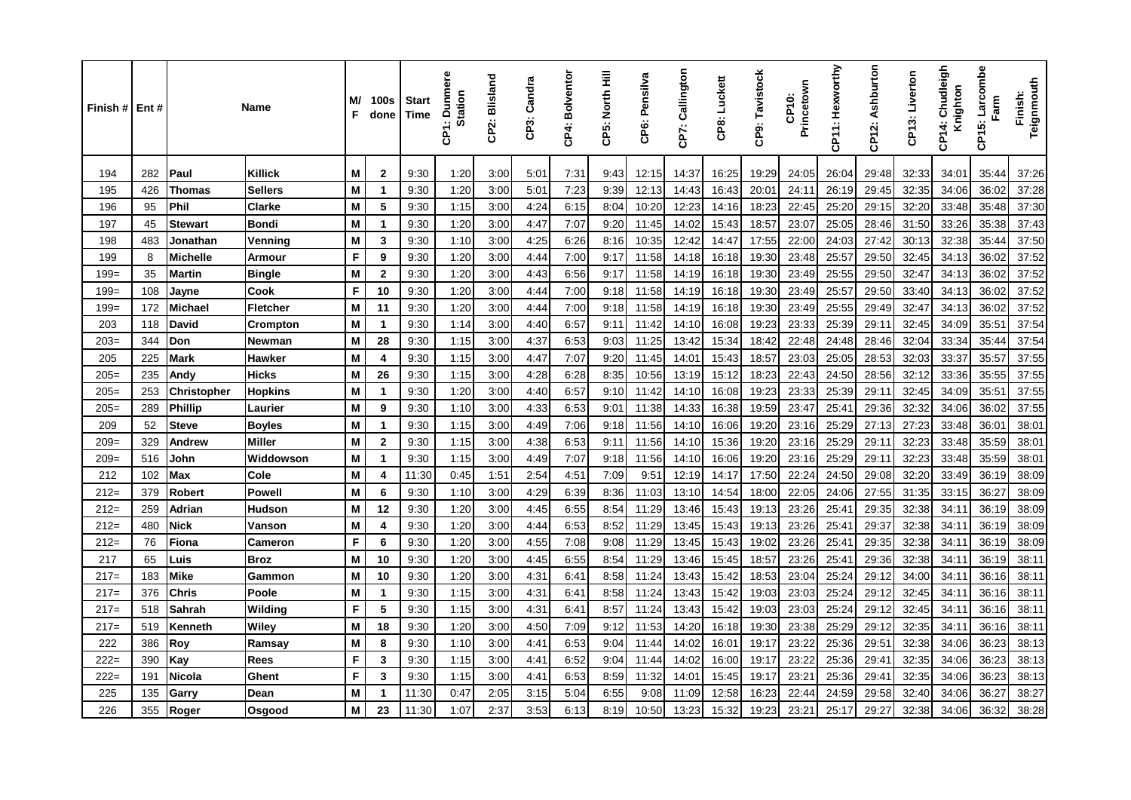| Finish# | Ent# |                    | Name           | M/<br>F | 100s<br>done            | <b>Start</b><br>Time | <b>Dunmere</b><br><b>Station</b><br>န္ | CP2: Blisland | CP3: Candra | CP4: Bolventor | CP5: North Hill | CP6: Pensilva | CP7: Callington | CP8: Luckett | CP9: Tavistock | Princetown<br>CP10: | CP11: Hexworthy | CP12: Ashburton | CP13: Liverton | Chudleigh<br>Knighton<br>₹<br>ຼ້ອ | Larcombe<br>Farm<br>CP15: | Teignmouth<br>Finish: |
|---------|------|--------------------|----------------|---------|-------------------------|----------------------|----------------------------------------|---------------|-------------|----------------|-----------------|---------------|-----------------|--------------|----------------|---------------------|-----------------|-----------------|----------------|-----------------------------------|---------------------------|-----------------------|
| 194     | 282  | Paul               | Killick        | M       | 2                       | 9:30                 | 1:20                                   | 3:00          | 5:01        | 7:31           | 9:43            | 12:15         | 14:37           | 16:25        | 19:29          | 24:05               | 26:04           | 29:48           | 32:33          | 34:01                             | 35:44                     | 37:26                 |
| 195     | 426  | <b>Thomas</b>      | <b>Sellers</b> | M       | $\overline{\mathbf{1}}$ | 9:30                 | 1:20                                   | 3:00          | 5:01        | 7:23           | 9:39            | 12:13         | 14:43           | 16:43        | 20:01          | 24:11               | 26:19           | 29:45           | 32:35          | 34:06                             | 36:02                     | 37:28                 |
| 196     | 95   | <b>Phil</b>        | Clarke         | M       | 5                       | 9:30                 | 1:15                                   | 3:00          | 4:24        | 6:15           | 8:04            | 10:20         | 12:23           | 14:16        | 18:23          | 22:45               | 25:20           | 29:15           | 32:20          | 33:48                             | 35:48                     | 37:30                 |
| 197     | 45   | <b>Stewart</b>     | <b>Bondi</b>   | M       | -1                      | 9:30                 | 1:20                                   | 3:00          | 4:47        | 7:07           | 9:20            | 11:45         | 14:02           | 15:43        | 18:57          | 23:07               | 25:05           | 28:46           | 31:50          | 33:26                             | 35:38                     | 37:43                 |
| 198     | 483  | Jonathan           | Venning        | M       | 3                       | 9:30                 | 1:10                                   | 3:00          | 4:25        | 6:26           | 8:16            | 10:35         | 12:42           | 14:47        | 17:55          | 22:00               | 24:03           | 27:42           | 30:13          | 32:38                             | 35:44                     | 37:50                 |
| 199     | 8    | <b>Michelle</b>    | Armour         | F       | 9                       | 9:30                 | 1:20                                   | 3:00          | 4:44        | 7:00           | 9:17            | 11:58         | 14:18           | 16:18        | 19:30          | 23:48               | 25:57           | 29:50           | 32:45          | 34:13                             | 36:02                     | 37:52                 |
| $199=$  | 35   | <b>Martin</b>      | <b>Bingle</b>  | M       | $\mathbf{2}$            | 9:30                 | 1:20                                   | 3:00          | 4:43        | 6:56           | 9:17            | 11:58         | 14:19           | 16:18        | 19:30          | 23:49               | 25:55           | 29:50           | 32:47          | 34:13                             | 36:02                     | 37:52                 |
| $199=$  | 108  | Jayne              | Cook           | F       | 10                      | 9:30                 | 1:20                                   | 3:00          | 4:44        | 7:00           | 9:18            | 11:58         | 14:19           | 16:18        | 19:30          | 23:49               | 25:57           | 29:50           | 33:40          | 34:13                             | 36:02                     | 37:52                 |
| $199=$  | 172  | Michael            | Fletcher       | M       | 11                      | 9:30                 | 1:20                                   | 3:00          | 4:44        | 7:00           | 9:18            | 11:58         | 14:19           | 16:18        | 19:30          | 23:49               | 25:55           | 29:49           | 32:47          | 34:13                             | 36:02                     | 37:52                 |
| 203     | 118  | <b>David</b>       | Crompton       | M       | $\overline{1}$          | 9:30                 | 1:14                                   | 3:00          | 4:40        | 6:57           | 9:11            | 11:42         | 14:10           | 16:08        | 19:23          | 23:33               | 25:39           | 29:11           | 32:45          | 34:09                             | 35:51                     | 37:54                 |
| $203=$  | 344  | Don                | Newman         | M       | 28                      | 9:30                 | 1:15                                   | 3:00          | 4:37        | 6:53           | 9:03            | 11:25         | 13:42           | 15:34        | 18:42          | 22:48               | 24:48           | 28:46           | 32:04          | 33:34                             | 35:44                     | 37:54                 |
| 205     | 225  | <b>Mark</b>        | Hawker         | M       | 4                       | 9:30                 | 1:15                                   | 3:00          | 4:47        | 7:07           | 9:20            | 11:45         | 14:01           | 15:43        | 18:57          | 23:03               | 25:05           | 28:53           | 32:03          | 33:37                             | 35:57                     | 37:55                 |
| $205=$  | 235  | Andy               | <b>Hicks</b>   | M       | 26                      | 9:30                 | 1:15                                   | 3:00          | 4:28        | 6:28           | 8:35            | 10:56         | 13:19           | 15:12        | 18:23          | 22:43               | 24:50           | 28:56           | 32:12          | 33:36                             | 35:55                     | 37:55                 |
| $205=$  | 253  | <b>Christopher</b> | <b>Hopkins</b> | M       | -1                      | 9:30                 | 1:20                                   | 3:00          | 4:40        | 6:57           | 9:10            | 11:42         | 14:10           | 16:08        | 19:23          | 23:33               | 25:39           | 29:11           | 32:45          | 34:09                             | 35:51                     | 37:55                 |
| $205=$  | 289  | <b>Phillip</b>     | Laurier        | M       | 9                       | 9:30                 | 1:10                                   | 3:00          | 4:33        | 6:53           | 9:01            | 11:38         | 14:33           | 16:38        | 19:59          | 23:47               | 25:41           | 29:36           | 32:32          | 34:06                             | 36:02                     | 37:55                 |
| 209     | 52   | <b>Steve</b>       | <b>Boyles</b>  | M       | $\overline{1}$          | 9:30                 | 1:15                                   | 3:00          | 4:49        | 7:06           | 9:18            | 11:56         | 14:10           | 16:06        | 19:20          | 23:16               | 25:29           | 27:13           | 27:23          | 33:48                             | 36:01                     | 38:01                 |
| $209=$  | 329  | Andrew             | Miller         | M       | $\mathbf 2$             | 9:30                 | 1:15                                   | 3:00          | 4:38        | 6:53           | 9:11            | 11:56         | 14:10           | 15:36        | 19:20          | 23:16               | 25:29           | 29:11           | 32:23          | 33:48                             | 35:59                     | 38:01                 |
| $209=$  | 516  | John               | Widdowson      | M       | 1                       | 9:30                 | 1:15                                   | 3:00          | 4:49        | 7:07           | 9:18            | 11:56         | 14:10           | 16:06        | 19:20          | 23:16               | 25:29           | 29:11           | 32:23          | 33:48                             | 35:59                     | 38:01                 |
| 212     | 102  | Max                | Cole           | M       | 4                       | 11:30                | 0:45                                   | 1:51          | 2:54        | 4:51           | 7:09            | 9:51          | 12:19           | 14:17        | 17:50          | 22:24               | 24:50           | 29:08           | 32:20          | 33:49                             | 36:19                     | 38:09                 |
| $212=$  | 379  | Robert             | <b>Powell</b>  | M       | 6                       | 9:30                 | 1:10                                   | 3:00          | 4:29        | 6:39           | 8:36            | 11:03         | 13:10           | 14:54        | 18:00          | 22:05               | 24:06           | 27:55           | 31:35          | 33:15                             | 36:27                     | 38:09                 |
| $212=$  | 259  | Adrian             | <b>Hudson</b>  | M       | 12                      | 9:30                 | 1:20                                   | 3:00          | 4:45        | 6:55           | 8:54            | 11:29         | 13:46           | 15:43        | 19:13          | 23:26               | 25:41           | 29:35           | 32:38          | 34:11                             | 36:19                     | 38:09                 |
| $212=$  | 480  | <b>Nick</b>        | Vanson         | M       | 4                       | 9:30                 | 1:20                                   | 3:00          | 4:44        | 6:53           | 8:52            | 11:29         | 13:45           | 15:43        | 19:13          | 23:26               | 25:41           | 29:37           | 32:38          | 34:11                             | 36:19                     | 38:09                 |
| $212=$  | 76   | Fiona              | <b>Cameron</b> | F       | 6                       | 9:30                 | 1:20                                   | 3:00          | 4:55        | 7:08           | 9:08            | 11:29         | 13:45           | 15:43        | 19:02          | 23:26               | 25:41           | 29:35           | 32:38          | 34:11                             | 36:19                     | 38:09                 |
| 217     | 65   | Luis               | <b>Broz</b>    | M       | 10                      | 9:30                 | 1:20                                   | 3:00          | 4:45        | 6:55           | 8:54            | 11:29         | 13:46           | 15:45        | 18:57          | 23:26               | 25:41           | 29:36           | 32:38          | 34:11                             | 36:19                     | 38:11                 |
| $217=$  | 183  | Mike               | Gammon         | M       | 10                      | 9:30                 | 1:20                                   | 3:00          | 4:31        | 6:41           | 8:58            | 11:24         | 13:43           | 15:42        | 18:53          | 23:04               | 25:24           | 29:12           | 34:00          | 34:11                             | 36:16                     | 38:11                 |
| $217=$  | 376  | <b>Chris</b>       | Poole          | M       | $\mathbf{1}$            | 9:30                 | 1:15                                   | 3:00          | 4:31        | 6:41           | 8:58            | 11:24         | 13:43           | 15:42        | 19:03          | 23:03               | 25:24           | 29:12           | 32:45          | 34:11                             | 36:16                     | 38:11                 |
| $217=$  | 518  | Sahrah             | Wilding        | F       | 5                       | 9:30                 | 1:15                                   | 3:00          | 4:31        | 6:41           | 8:57            | 11:24         | 13:43           | 15:42        | 19:03          | 23:03               | 25:24           | 29:12           | 32:45          | 34:11                             | 36:16                     | 38:11                 |
| $217=$  | 519  | Kenneth            | Wiley          | M       | 18                      | 9:30                 | 1:20                                   | 3:00          | 4:50        | 7:09           | 9:12            | 11:53         | 14:20           | 16:18        | 19:30          | 23:38               | 25:29           | 29:12           | 32:35          | 34:11                             | 36:16                     | 38:11                 |
| 222     | 386  | Roy                | Ramsay         | M       | 8                       | 9:30                 | 1:10                                   | 3:00          | 4:41        | 6:53           | 9:04            | 11:44         | 14:02           | 16:01        | 19:17          | 23:22               | 25:36           | 29:51           | 32:38          | 34:06                             | 36:23                     | 38:13                 |
| $222=$  | 390  | Kay                | Rees           | F       | 3                       | 9:30                 | 1:15                                   | 3:00          | 4:41        | 6:52           | 9:04            | 11:44         | 14:02           | 16:00        | 19:17          | 23:22               | 25:36           | 29:41           | 32:35          | 34:06                             | 36:23                     | 38:13                 |
| $222=$  | 191  | <b>Nicola</b>      | Ghent          | F       | 3                       | 9:30                 | 1:15                                   | 3:00          | 4.41        | 6:53           | 8:59            | 11:32         | 14:01           | 15:45        | 19:17          | 23:21               | 25:36           | 29:41           | 32:35          | 34:06                             | 36:23                     | 38:13                 |
| 225     | 135  | Garry              | Dean           | M       | $\mathbf{1}$            | 11:30                | 0:47                                   | 2:05          | 3:15        | 5:04           | 6:55            | 9:08          | 11:09           | 12:58        | 16:23          | 22:44               | 24:59           | 29:58           | 32:40          | 34:06                             | 36:27                     | 38:27                 |
| 226     | 355  | Roger              | Osgood         | M       | 23                      | 11:30                | 1:07                                   | 2:37          | 3:53        | 6:13           | 8:19            | 10:50         | 13:23           | 15:32        | 19:23          | 23:21               | 25:17           | 29:27           | 32:38          | 34:06                             | 36:32                     | 38:28                 |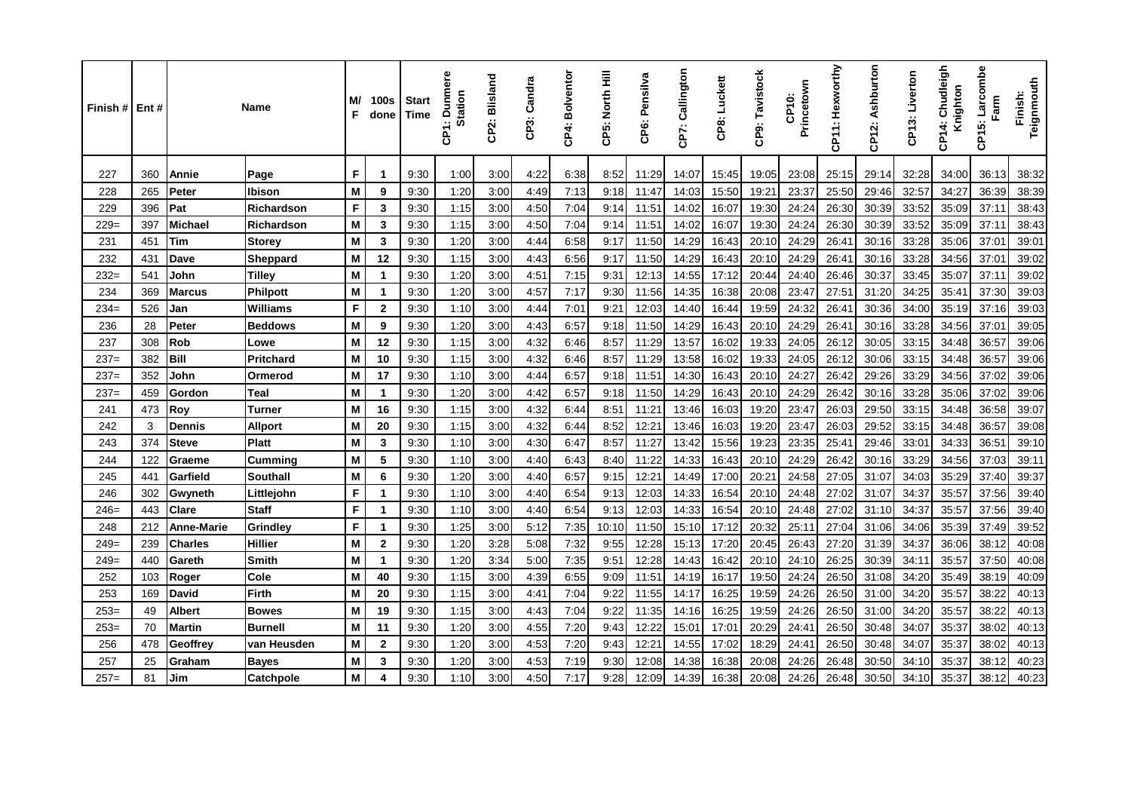| Finish # I | Ent# |                   | Name              | M/<br>F | 100s<br>done | <b>Start</b><br><b>Time</b> | <b>Dunmere</b><br><b>Station</b><br>န္ | CP2: Blisland | CP3: Candra | CP4: Bolventor | CP5: North Hill | CP6: Pensilva | CP7: Callington | CP8: Luckett | CP9: Tavistock | Princetown<br>CP10: | CP11: Hexworthy | CP12: Ashburton | CP13: Liverton | Chudleigh<br>Knighton<br>4<br>န္ | Larcombe<br>Farm<br>CP15: | Teignmouth<br>Finish: |
|------------|------|-------------------|-------------------|---------|--------------|-----------------------------|----------------------------------------|---------------|-------------|----------------|-----------------|---------------|-----------------|--------------|----------------|---------------------|-----------------|-----------------|----------------|----------------------------------|---------------------------|-----------------------|
| 227        | 360  | Annie             | Page              | F       | $\mathbf 1$  | 9:30                        | 1:00                                   | 3:00          | 4:22        | 6:38           | 8:52            | 11:29         | 14:07           | 15:45        | 19:05          | 23:08               | 25:15           | 29:14           | 32:28          | 34:00                            | 36:13                     | 38:32                 |
| 228        | 265  | Peter             | Ibison            | M       | 9            | 9:30                        | 1:20                                   | 3:00          | 4:49        | 7:13           | 9:18            | 11:47         | 14:03           | 15:50        | 19:21          | 23:37               | 25:50           | 29:46           | 32:57          | 34:27                            | 36:39                     | 38:39                 |
| 229        | 396  | Pat               | <b>Richardson</b> | F       | 3            | 9:30                        | 1:15                                   | 3:00          | 4:50        | 7:04           | 9:14            | 11:51         | 14:02           | 16:07        | 19:30          | 24:24               | 26:30           | 30:39           | 33:52          | 35:09                            | 37:11                     | 38:43                 |
| $229=$     | 397  | <b>Michael</b>    | Richardson        | M       | 3            | 9:30                        | 1:15                                   | 3:00          | 4:50        | 7:04           | 9:14            | 11:51         | 14:02           | 16:07        | 19:30          | 24:24               | 26:30           | 30:39           | 33:52          | 35:09                            | 37:11                     | 38:43                 |
| 231        | 451  | Tim               | <b>Storey</b>     | M       | 3            | 9:30                        | 1:20                                   | 3:00          | 4:44        | 6:58           | 9:17            | 11:50         | 14:29           | 16:43        | 20:10          | 24:29               | 26:41           | 30:16           | 33:28          | 35:06                            | 37:01                     | 39:01                 |
| 232        | 431  | Dave              | Sheppard          | M       | 12           | 9:30                        | 1:15                                   | 3:00          | 4:43        | 6:56           | 9:17            | 11:50         | 14:29           | 16:43        | 20:10          | 24:29               | 26:41           | 30:16           | 33:28          | 34:56                            | 37:01                     | 39:02                 |
| $232=$     | 541  | John              | Tilley            | M       | $\mathbf{1}$ | 9:30                        | 1:20                                   | 3:00          | 4:51        | 7:15           | 9:31            | 12:13         | 14:55           | 17:12        | 20:44          | 24:40               | 26:46           | 30:37           | 33:45          | 35:07                            | 37:11                     | 39:02                 |
| 234        | 369  | <b>Marcus</b>     | Philpott          | M       | $\mathbf 1$  | 9:30                        | 1:20                                   | 3:00          | 4:57        | 7:17           | 9:30            | 11:56         | 14:35           | 16:38        | 20:08          | 23:47               | 27:51           | 31:20           | 34:25          | 35:41                            | 37:30                     | 39:03                 |
| $234=$     | 526  | Jan               | <b>Williams</b>   | F       | $\mathbf{2}$ | 9:30                        | 1:10                                   | 3:00          | 4:44        | 7:01           | 9:21            | 12:03         | 14:40           | 16:44        | 19:59          | 24:32               | 26:41           | 30:36           | 34:00          | 35:19                            | 37:16                     | 39:03                 |
| 236        | 28   | Peter             | <b>Beddows</b>    | M       | 9            | 9:30                        | 1:20                                   | 3:00          | 4:43        | 6:57           | 9:18            | 11:50         | 14:29           | 16:43        | 20:10          | 24:29               | 26:41           | 30:16           | 33:28          | 34:56                            | 37:01                     | 39:05                 |
| 237        | 308  | Rob               | Lowe              | M       | 12           | 9:30                        | 1:15                                   | 3:00          | 4:32        | 6:46           | 8:57            | 11:29         | 13:57           | 16:02        | 19:33          | 24:05               | 26:12           | 30:05           | 33:15          | 34:48                            | 36:57                     | 39:06                 |
| $237=$     | 382  | <b>Bill</b>       | <b>Pritchard</b>  | M       | 10           | 9:30                        | 1:15                                   | 3:00          | 4:32        | 6:46           | 8:57            | 11:29         | 13:58           | 16:02        | 19:33          | 24:05               | 26:12           | 30:06           | 33:15          | 34:48                            | 36:57                     | 39:06                 |
| $237=$     | 352  | John              | Ormerod           | M       | 17           | 9:30                        | 1:10                                   | 3:00          | 4:44        | 6:57           | 9:18            | 11:51         | 14:30           | 16:43        | 20:10          | 24:27               | 26:42           | 29:26           | 33:29          | 34:56                            | 37:02                     | 39:06                 |
| $237=$     | 459  | Gordon            | Teal              | M       | $\mathbf 1$  | 9:30                        | 1:20                                   | 3:00          | 4:42        | 6:57           | 9:18            | 11:50         | 14:29           | 16:43        | 20:10          | 24:29               | 26:42           | 30:16           | 33:28          | 35:06                            | 37:02                     | 39:06                 |
| 241        | 473  | Roy               | Turner            | M       | 16           | 9:30                        | 1:15                                   | 3:00          | 4:32        | 6:44           | 8:51            | 11:21         | 13:46           | 16:03        | 19:20          | 23:47               | 26:03           | 29:50           | 33:15          | 34:48                            | 36:58                     | 39:07                 |
| 242        | 3    | <b>Dennis</b>     | <b>Allport</b>    | M       | 20           | 9:30                        | 1:15                                   | 3:00          | 4:32        | 6:44           | 8:52            | 12:21         | 13:46           | 16:03        | 19:20          | 23:47               | 26:03           | 29:52           | 33:15          | 34:48                            | 36:57                     | 39:08                 |
| 243        | 374  | <b>Steve</b>      | <b>Platt</b>      | M       | 3            | 9:30                        | 1:10                                   | 3:00          | 4:30        | 6:47           | 8:57            | 11:27         | 13:42           | 15:56        | 19:23          | 23:35               | 25:41           | 29:46           | 33:01          | 34:33                            | 36:51                     | 39:10                 |
| 244        | 122  | Graeme            | <b>Cumming</b>    | M       | 5            | 9:30                        | 1:10                                   | 3:00          | 4:40        | 6:43           | 8:40            | 11:22         | 14:33           | 16:43        | 20:10          | 24:29               | 26:42           | 30:16           | 33:29          | 34:56                            | 37:03                     | 39:11                 |
| 245        | 441  | Garfield          | <b>Southall</b>   | M       | 6            | 9:30                        | 1:20                                   | 3:00          | 4:40        | 6:57           | 9:15            | 12:21         | 14:49           | 17:00        | 20:21          | 24:58               | 27:05           | 31:07           | 34:03          | 35:29                            | 37:40                     | 39:37                 |
| 246        | 302  | Gwyneth           | Littlejohn        | F       | -1           | 9:30                        | 1:10                                   | 3:00          | 4:40        | 6:54           | 9:13            | 12:03         | 14:33           | 16:54        | 20:10          | 24:48               | 27:02           | 31:07           | 34:37          | 35:57                            | 37:56                     | 39:40                 |
| $246=$     | 443  | Clare             | <b>Staff</b>      | F       | $\mathbf 1$  | 9:30                        | 1:10                                   | 3:00          | 4:40        | 6:54           | 9:13            | 12:03         | 14:33           | 16:54        | 20:10          | 24:48               | 27:02           | 31:10           | 34:37          | 35:57                            | 37:56                     | 39:40                 |
| 248        | 212  | <b>Anne-Marie</b> | <b>Grindley</b>   | F       | $\mathbf 1$  | 9:30                        | 1:25                                   | 3:00          | 5:12        | 7:35           | 10:10           | 11:50         | 15:10           | 17:12        | 20:32          | 25:11               | 27:04           | 31:06           | 34:06          | 35:39                            | 37:49                     | 39:52                 |
| $249=$     | 239  | <b>Charles</b>    | <b>Hillier</b>    | M       | $\mathbf{2}$ | 9:30                        | 1:20                                   | 3:28          | 5:08        | 7:32           | 9:55            | 12:28         | 15:13           | 17:20        | 20:45          | 26:43               | 27:20           | 31:39           | 34:37          | 36:06                            | 38:12                     | 40:08                 |
| $249=$     | 440  | Gareth            | Smith             | M       | $\mathbf{1}$ | 9:30                        | 1:20                                   | 3:34          | 5:00        | 7:35           | 9.51            | 12:28         | 14:43           | 16:42        | 20:10          | 24:10               | 26:25           | 30:39           | 34:11          | 35:57                            | 37:50                     | 40:08                 |
| 252        | 103  | Roger             | Cole              | M       | 40           | 9:30                        | 1:15                                   | 3:00          | 4:39        | 6:55           | 9:09            | 11:51         | 14:19           | 16:17        | 19:50          | 24:24               | 26:50           | 31:08           | 34:20          | 35:49                            | 38:19                     | 40:09                 |
| 253        | 169  | David             | Firth             | M       | 20           | 9:30                        | 1:15                                   | 3:00          | 4:41        | 7:04           | 9:22            | 11:55         | 14:17           | 16:25        | 19:59          | 24:26               | 26:50           | 31:00           | 34:20          | 35:57                            | 38:22                     | 40:13                 |
| $253=$     | 49   | <b>Albert</b>     | <b>Bowes</b>      | M       | 19           | 9:30                        | 1:15                                   | 3:00          | 4:43        | 7:04           | 9:22            | 11:35         | 14:16           | 16:25        | 19:59          | 24:26               | 26:50           | 31:00           | 34:20          | 35:57                            | 38:22                     | 40:13                 |
| $253=$     | 70   | <b>Martin</b>     | <b>Burnell</b>    | M       | 11           | 9:30                        | 1:20                                   | 3:00          | 4:55        | 7:20           | 9:43            | 12:22         | 15:01           | 17:01        | 20:29          | 24:41               | 26:50           | 30:48           | 34:07          | 35:37                            | 38:02                     | 40:13                 |
| 256        | 478  | Geoffrey          | van Heusden       | M       | $\mathbf{2}$ | 9:30                        | 1:20                                   | 3:00          | 4:53        | 7:20           | 9:43            | 12:21         | 14:55           | 17:02        | 18:29          | 24:41               | 26:50           | 30:48           | 34:07          | 35:37                            | 38:02                     | 40:13                 |
| 257        | 25   | Graham            | <b>Bayes</b>      | M       | 3            | 9:30                        | 1:20                                   | 3:00          | 4:53        | 7:19           | 9:30            | 12:08         | 14:38           | 16:38        | 20:08          | 24:26               | 26:48           | 30:50           | 34:10          | 35:37                            | 38:12                     | 40:23                 |
| $257=$     | 81   | Jim               | Catchpole         | M       | 4            | 9:30                        | 1:10                                   | 3:00          | 4:50        | 7:17           | 9:28            | 12:09         | 14:39           | 16:38        | 20:08          | 24:26               | 26:48           | 30:50           | 34:10          | 35:37                            | 38:12                     | 40:23                 |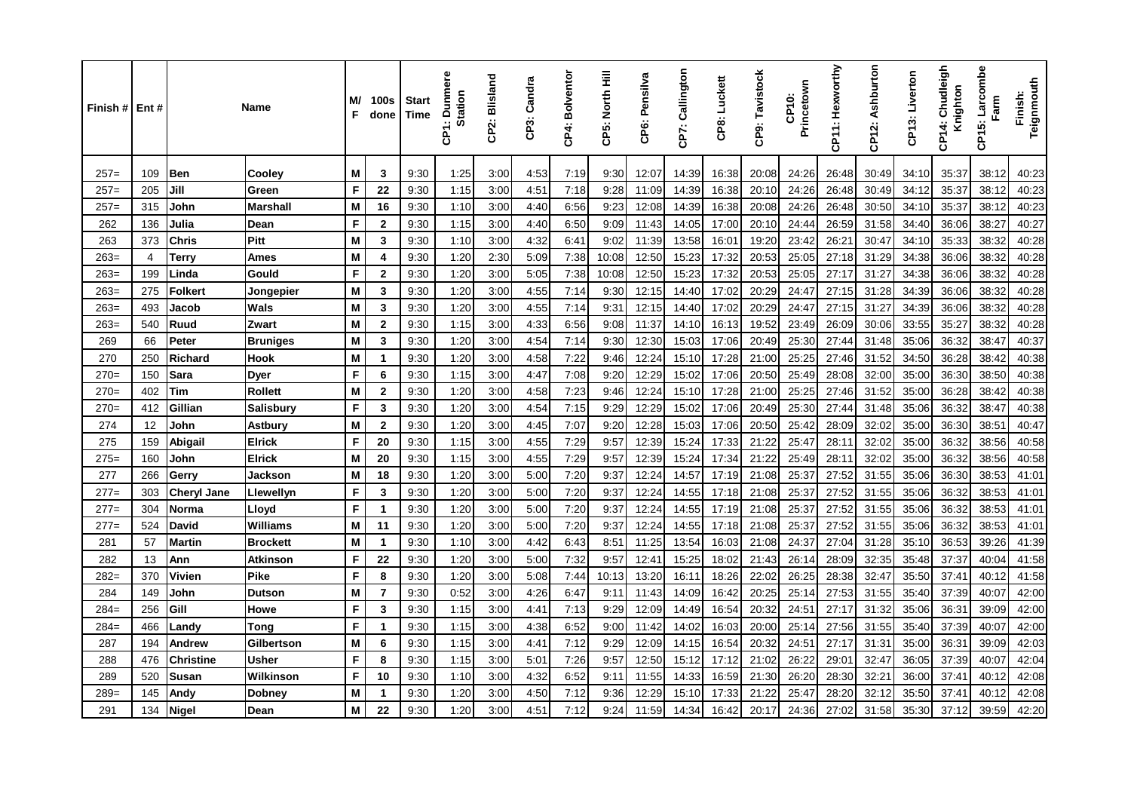| Finish # | Ent#           |                    | <b>Name</b>      | M/<br>F | <b>100s</b><br>done     | <b>Start</b><br>Time | <b>Dunmere</b><br><b>Station</b><br>έ | CP2: Blisland | CP3: Candra   | CP4: Bolventor | CP5: North Hill | CP6: Pensilva | CP7: Callington | CP8: Luckett | CP9: Tavistock | Princetown<br><b>CP10:</b> | CP11: Hexworthy | CP12: Ashburton | CP13: Liverton | Chudleigh<br>Knighton<br>CP14: | Larcombe<br>Farm<br>CP15: | Teignmouth<br>Finish: |
|----------|----------------|--------------------|------------------|---------|-------------------------|----------------------|---------------------------------------|---------------|---------------|----------------|-----------------|---------------|-----------------|--------------|----------------|----------------------------|-----------------|-----------------|----------------|--------------------------------|---------------------------|-----------------------|
| $257=$   | 109            | <b>Ben</b>         | Cooley           | M       | 3                       | 9:30                 | 1:25                                  | 3:00          | 4:53          | 7:19           | 9:30            | 12:07         | 14:39           | 16:38        | 20:08          | 24:26                      | 26:48           | 30:49           | 34:10          | 35:37                          | 38:12                     | 40:23                 |
| $257=$   | 205            | Jill               | Green            | F       | 22                      | 9:30                 | 1:15                                  | 3:00          | 4:51          | 7:18           | 9:28            | 11:09         | 14:39           | 16:38        | 20:10          | 24:26                      | 26:48           | 30:49           | 34:12          | 35:37                          | 38:12                     | 40:23                 |
| $257=$   | 315            | John               | <b>Marshall</b>  | M       | 16                      | 9:30                 | 1:10                                  | 3:00          | 4:40          | 6:56           | 9:23            | 12:08         | 14:39           | 16:38        | 20:08          | 24:26                      | 26:48           | 30:50           | 34:10          | 35:37                          | 38:12                     | 40:23                 |
| 262      | 136            | Julia              | Dean             | F       | $\mathbf{2}$            | 9:30                 | 1:15                                  | 3:00          | 4:40          | 6:50           | 9:09            | 11:43         | 14:05           | 17:00        | 20:10          | 24:44                      | 26:59           | 31:58           | 34:40          | 36:06                          | 38:27                     | 40:27                 |
| 263      | 373            | <b>Chris</b>       | Pitt             | M       | 3                       | 9:30                 | 1:10                                  | 3:00          | 4:32          | 6:41           | 9:02            | 11:39         | 13:58           | 16:01        | 19:20          | 23:42                      | 26:21           | 30:47           | 34:10          | 35:33                          | 38:32                     | 40:28                 |
| $263=$   | $\overline{4}$ | Terry              | Ames             | M       | 4                       | 9:30                 | 1:20                                  | 2:30          | 5:09          | 7:38           | 10:08           | 12:50         | 15:23           | 17:32        | 20:53          | 25:05                      | 27:18           | 31:29           | 34:38          | 36:06                          | 38:32                     | 40:28                 |
| $263=$   | 199            | Linda              | Gould            | F       | $\overline{2}$          | 9:30                 | 1:20                                  | 3:00          | 5:05          | 7:38           | 10:08           | 12:50         | 15:23           | 17:32        | 20:53          | 25:05                      | 27:17           | 31:27           | 34:38          | 36:06                          | 38:32                     | 40:28                 |
| $263=$   | 275            | Folkert            | Jongepier        | M       | 3                       | 9:30                 | 1:20                                  | 3:00          | 4:55          | 7:14           | 9:30            | 12:15         | 14:40           | 17:02        | 20:29          | 24:47                      | 27:15           | 31:28           | 34:39          | 36:06                          | 38:32                     | 40:28                 |
| $263=$   | 493            | Jacob              | <b>Wals</b>      | M       | 3                       | 9:30                 | 1:20                                  | 3:00          | 4:55          | 7:14           | 9:31            | 12:15         | 14:40           | 17:02        | 20:29          | 24:47                      | 27:15           | 31:27           | 34:39          | 36:06                          | 38:32                     | 40:28                 |
| $263=$   | 540            | Ruud               | Zwart            | M       | $\overline{2}$          | 9:30                 | 1:15                                  | 3:00          | 4:33          | 6:56           | 9:08            | 11:37         | 14:10           | 16:13        | 19:52          | 23:49                      | 26:09           | 30:06           | 33:55          | 35:27                          | 38:32                     | 40:28                 |
| 269      | 66             | Peter              | <b>Bruniges</b>  | M       | 3                       | 9:30                 | 1:20                                  | 3:00          | 4:54          | 7:14           | 9:30            | 12:30         | 15:03           | 17:06        | 20:49          | 25:30                      | 27:44           | 31:48           | 35:06          | 36:32                          | 38:47                     | 40:37                 |
| 270      | 250            | Richard            | <b>Hook</b>      | M       | $\overline{1}$          | 9:30                 | 1:20                                  | 3:00          | 4:58          | 7:22           | 9:46            | 12:24         | 15:10           | 17:28        | 21:00          | 25:25                      | 27:46           | 31:52           | 34:50          | 36:28                          | 38:42                     | 40:38                 |
| $270=$   | 150            | <b>Sara</b>        | <b>Dyer</b>      | F       | 6                       | 9:30                 | 1:15                                  | 3:00          | 4:47          | 7:08           | 9:20            | 12:29         | 15:02           | 17:06        | 20:50          | 25:49                      | 28:08           | 32:00           | 35:00          | 36:30                          | 38:50                     | 40:38                 |
| $270=$   | 402            | Tim                | <b>Rollett</b>   | M       | $\overline{\mathbf{2}}$ | 9:30                 | 1:20                                  | 3:00          | 4:58          | 7:23           | 9:46            | 12:24         | 15:10           | 17:28        | 21:00          | 25:25                      | 27:46           | 31:52           | 35:00          | 36:28                          | 38:42                     | 40:38                 |
| $270=$   | 412            | Gillian            | <b>Salisbury</b> | F       | 3                       | 9:30                 | 1:20                                  | 3:00          | 4:54          | 7:15           | 9:29            | 12:29         | 15:02           | 17:06        | 20:49          | 25:30                      | 27:44           | 31:48           | 35:06          | 36:32                          | 38:47                     | 40:38                 |
| 274      | 12             | John               | Astbury          | M       | $\mathbf{2}$            | 9:30                 | 1:20                                  | 3:00          | 4:45          | 7:07           | 9.20            | 12:28         | 15:03           | 17:06        | 20:50          | 25:42                      | 28:09           | 32:02           | 35:00          | 36:30                          | 38:51                     | 40:47                 |
| 275      | 159            | Abigail            | <b>Elrick</b>    | F       | 20                      | 9:30                 | 1:15                                  | 3:00          | 4:55          | 7:29           | 9:57            | 12:39         | 15:24           | 17:33        | 21:22          | 25:47                      | 28:11           | 32:02           | 35:00          | 36:32                          | 38:56                     | 40:58                 |
| $275=$   | 160            | John               | <b>Elrick</b>    | M       | 20                      | 9:30                 | 1:15                                  | 3:00          | 4:55          | 7:29           | 9:57            | 12:39         | 15:24           | 17:34        | 21:22          | 25:49                      | 28:11           | 32:02           | 35:00          | 36:32                          | 38:56                     | 40:58                 |
| 277      | 266            | Gerry              | Jackson          | M       | 18                      | 9:30                 | 1:20                                  | 3:00          | 5:00          | 7:20           | 9:37            | 12:24         | 14:57           | 17:19        | 21:08          | 25:37                      | 27:52           | 31:55           | 35:06          | 36:30                          | 38:53                     | 41:01                 |
| $277=$   | 303            | <b>Cheryl Jane</b> | Llewellyn        | F       | 3                       | 9:30                 | 1:20                                  | 3:00          | 5:00          | 7:20           | 9:37            | 12:24         | 14:55           | 17:18        | 21:08          | 25:37                      | 27:52           | 31:55           | 35:06          | 36:32                          | 38:53                     | 41:01                 |
| $277=$   | 304            | <b>Norma</b>       | Lloyd            | F       | $\overline{\mathbf{1}}$ | 9:30                 | 1:20                                  | 3:00          | 5:00          | 7:20           | 9.37            | 12:24         | 14:55           | 17:19        | 21:08          | 25:37                      | 27:52           | 31:55           | 35:06          | 36:32                          | 38:53                     | 41:01                 |
| $277=$   | 524            | <b>David</b>       | <b>Williams</b>  | M       | 11                      | 9:30                 | 1:20                                  | 3:00          | 5:00          | 7:20           | 9:37            | 12:24         | 14:55           | 17:18        | 21:08          | 25:37                      | 27:52           | 31:55           | 35:06          | 36:32                          | 38:53                     | 41:01                 |
| 281      | 57             | <b>Martin</b>      | <b>Brockett</b>  | M       | $\mathbf{1}$            | 9:30                 | 1:10                                  | 3:00          | 4:42          | 6:43           | 8:51            | 11:25         | 13:54           | 16:03        | 21:08          | 24:37                      | 27:04           | 31:28           | 35:10          | 36:53                          | 39:26                     | 41:39                 |
| 282      | 13             | Ann                | Atkinson         | F       | 22                      | 9:30                 | 1:20                                  | 3:00          | 5:00          | 7:32           | 9:57            | 12:41         | 15:25           | 18:02        | 21:43          | 26:14                      | 28:09           | 32:35           | 35:48          | 37:37                          | 40:04                     | 41:58                 |
| $282=$   | 370            | Vivien             | Pike             | F       | 8                       | 9:30                 | 1:20                                  | 3:00          | 5:08          | 7:44           | 10:13           | 13:20         | 16:11           | 18:26        | 22:02          | 26:25                      | 28:38           | 32:47           | 35:50          | 37:41                          | 40:12                     | 41:58                 |
| 284      | 149            | John               | <b>Dutson</b>    | M       | $\overline{7}$          | 9:30                 | 0:52                                  | 3:00          | 4:26          | 6:47           | 9:11            | 11:43         | 14:09           | 16:42        | 20:25          | 25:14                      | 27:53           | 31:55           | 35:40          | 37:39                          | 40:07                     | 42:00                 |
| 284=     | 256            | Gill               | Howe             | F       | 3                       | 9:30                 | 1:15                                  | 3:00          | 4:41          | 7:13           | 9:29            | 12:09         | 14:49           | 16:54        | 20:32          | 24:51                      | 27:17           | 31:32           | 35:06          | 36:31                          | 39:09                     | 42:00                 |
| $284=$   | 466            | ∟andv              | Tong             | F       | $\overline{\mathbf{1}}$ | 9:30                 | 1:15                                  | 3:00          | 4:38          | 6:52           | 9:00            | 11:42         | 14:02           | 16:03        | 20:00          | 25:14                      | 27:56           | 31:55           | 35:40          | 37:39                          | 40:07                     | 42:00                 |
| 287      | 194            | Andrew             | Gilbertson       | M       | 6                       | 9:30                 | 1:15                                  | 3:00          | 4:41          | 7:12           | 9:29            | 12:09         | 14:15           | 16:54        | 20:32          | 24:51                      | 27:17           | 31:31           | 35:00          | 36:31                          | 39:09                     | 42:03                 |
| 288      | 476            | <b>Christine</b>   | <b>Usher</b>     | F       | 8                       | 9:30                 | 1:15                                  | 3:00          | $5:0^{\circ}$ | 7:26           | 9:57            | 12:50         | 15:12           | 17:12        | 21:02          | 26:22                      | 29:01           | 32:47           | 36:05          | 37:39                          | 40:07                     | 42:04                 |
| 289      | 520            | Susan              | Wilkinson        | F       | 10                      | 9:30                 | 1:10                                  | 3:00          | 4:32          | 6:52           | 9:11            | 11:55         | 14:33           | 16:59        | 21:30          | 26:20                      | 28:30           | 32:21           | 36:00          | 37:41                          | 40:12                     | 42:08                 |
| $289=$   | 145            | Andy               | Dobney           | M       | $\mathbf{1}$            | 9:30                 | 1:20                                  | 3:00          | 4:50          | 7:12           | 9:36            | 12:29         | 15:10           | 17:33        | 21:22          | 25:47                      | 28:20           | 32:12           | 35:50          | 37:41                          | 40:12                     | 42:08                 |
| 291      | 134            | <b>Nigel</b>       | Dean             | M       | 22                      | 9.30                 | 1:20                                  | 3:00          | 4:51          | 7:12           | 9:24            | 11:59         | 14:34           | 16:42        | 20:17          | 24:36                      | 27:02           | 31:58           | 35:30          | 37:12                          | 39:59                     | 42:20                 |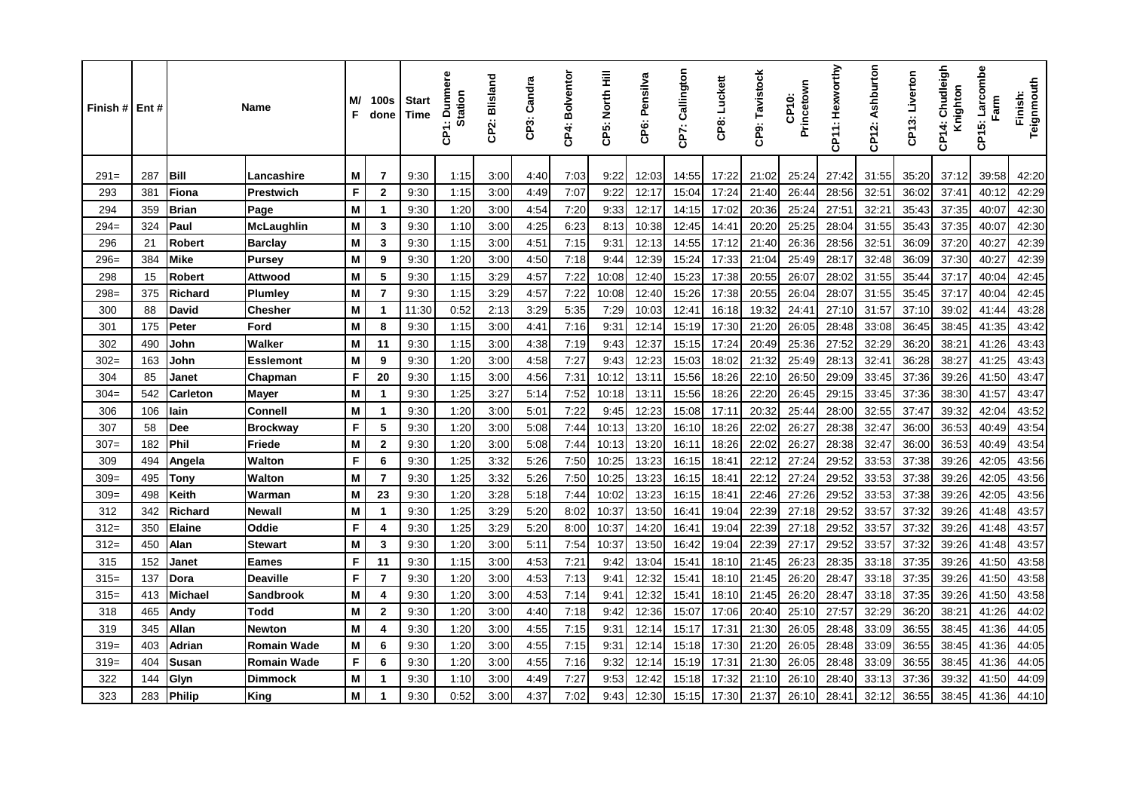| Finish # | Ent# |                 | <b>Name</b>        | M/<br>F | <b>100s</b><br>done     | <b>Start</b><br>Time | Dunmere<br><b>Station</b><br>န္ | CP2: Blisland | CP3: Candra | CP4: Bolventor | CP5: North Hill | CP6: Pensilva | Callington<br>CP7: | CP8: Luckett | CP9: Tavistock | Princetown<br>CP10: | CP11: Hexworthy | CP12: Ashburton | CP13: Liverton | Chudleigh<br>Knighton<br>$\frac{4}{1}$<br>န္ | Larcombe<br>Farm<br>CP15: | Teignmouth<br>Finish: |
|----------|------|-----------------|--------------------|---------|-------------------------|----------------------|---------------------------------|---------------|-------------|----------------|-----------------|---------------|--------------------|--------------|----------------|---------------------|-----------------|-----------------|----------------|----------------------------------------------|---------------------------|-----------------------|
| $291=$   | 287  | <b>Bill</b>     | Lancashire         | м       | 7                       | 9:30                 | 1:15                            | 3:00          | 4:40        | 7:03           | 9:22            | 12:03         | 14:55              | 17:22        | 21:02          | 25:24               | 27:42           | 31:55           | 35:20          | 37:12                                        | 39:58                     | 42:20                 |
| 293      | 381  | Fiona           | Prestwich          | F       | $\mathbf{2}$            | 9:30                 | 1:15                            | 3:00          | 4:49        | 7:07           | 9:22            | 12:17         | 15:04              | 17:24        | 21:40          | 26:44               | 28:56           | 32:5'           | 36:02          | 37:41                                        | 40:12                     | 42:29                 |
| 294      | 359  | <b>Brian</b>    | Page               | M       | -1                      | 9:30                 | 1:20                            | 3:00          | 4:54        | 7:20           | 9:33            | 12:17         | 14:15              | 17:02        | 20:36          | 25:24               | 27:51           | 32:21           | 35:43          | 37:35                                        | 40:07                     | 42:30                 |
| $294=$   | 324  | Paul            | McLaughlin         | M       | 3                       | 9:30                 | 1:10                            | 3:00          | 4:25        | 6:23           | 8:13            | 10:38         | 12:45              | 14:41        | 20:20          | 25:25               | 28:04           | 31:55           | 35:43          | 37:35                                        | 40:07                     | 42:30                 |
| 296      | 21   | <b>Robert</b>   | <b>Barclay</b>     | M       | 3                       | 9:30                 | 1:15                            | 3:00          | 4:51        | 7:15           | 9:31            | 12:13         | 14:55              | 17:12        | 21:40          | 26:36               | 28:56           | 32:51           | 36:09          | 37:20                                        | 40:27                     | 42:39                 |
| $296=$   | 384  | <b>Mike</b>     | Pursey             | M       | 9                       | 9:30                 | 1:20                            | 3:00          | 4:50        | 7:18           | 9:44            | 12:39         | 15:24              | 17:33        | 21:04          | 25:49               | 28:17           | 32:48           | 36:09          | 37:30                                        | 40:27                     | 42:39                 |
| 298      | 15   | <b>Robert</b>   | Attwood            | M       | 5                       | 9:30                 | 1:15                            | 3:29          | 4:57        | 7:22           | 10:08           | 12:40         | 15:23              | 17:38        | 20:55          | 26:07               | 28:02           | 31:55           | 35:44          | 37:17                                        | 40:04                     | 42:45                 |
| $298=$   | 375  | <b>Richard</b>  | <b>Plumley</b>     | M       | $\overline{7}$          | 9:30                 | 1:15                            | 3:29          | 4:57        | 7:22           | 10:08           | 12:40         | 15:26              | 17:38        | 20:55          | 26:04               | 28:07           | 31:55           | 35:45          | 37:17                                        | 40:04                     | 42:45                 |
| 300      | 88   | <b>David</b>    | <b>Chesher</b>     | M       | $\overline{\mathbf{1}}$ | 11:30                | 0:52                            | 2:13          | 3:29        | 5:35           | 7:29            | 10:03         | 12:41              | 16:18        | 19:32          | 24:41               | 27:10           | 31:57           | 37:10          | 39:02                                        | 41:44                     | 43:28                 |
| 301      | 175  | Peter           | Ford               | M       | 8                       | 9:30                 | 1:15                            | 3:00          | 4:41        | 7:16           | 9:31            | 12:14         | 15:19              | 17:30        | 21:20          | 26:05               | 28:48           | 33:08           | 36:45          | 38:45                                        | 41:35                     | 43:42                 |
| 302      | 490  | John            | Walker             | M       | 11                      | 9:30                 | 1:15                            | 3:00          | 4:38        | 7:19           | 9:43            | 12:37         | 15:15              | 17:24        | 20:49          | 25:36               | 27:52           | 32:29           | 36:20          | 38:21                                        | 41:26                     | 43:43                 |
| $302=$   | 163  | John            | Esslemont          | M       | 9                       | 9:30                 | 1:20                            | 3:00          | 4:58        | 7:27           | 9:43            | 12:23         | 15:03              | 18:02        | 21:32          | 25:49               | 28:13           | 32:41           | 36:28          | 38:27                                        | 41:25                     | 43:43                 |
| 304      | 85   | Janet           | Chapman            | F       | 20                      | 9:30                 | 1:15                            | 3:00          | 4:56        | 7:31           | 10:12           | 13:11         | 15:56              | 18:26        | 22:10          | 26:50               | 29:09           | 33:45           | 37:36          | 39:26                                        | 41:50                     | 43:47                 |
| $304=$   | 542  | <b>Carleton</b> | Mayer              | M       | $\mathbf{1}$            | 9:30                 | 1:25                            | 3:27          | 5:14        | 7:52           | 10:18           | 13:11         | 15:56              | 18:26        | 22:20          | 26:45               | 29:15           | 33:45           | 37:36          | 38:30                                        | 41:57                     | 43:47                 |
| 306      | 106  | lain            | <b>Connell</b>     | M       | $\mathbf{1}$            | 9:30                 | 1:20                            | 3:00          | 5:01        | 7:22           | 9:45            | 12:23         | 15:08              | 17:11        | 20:32          | 25:44               | 28:00           | 32:55           | 37:47          | 39:32                                        | 42:04                     | 43:52                 |
| 307      | 58   | <b>Dee</b>      | <b>Brockway</b>    | F       | 5                       | 9:30                 | 1:20                            | 3:00          | 5:08        | 7:44           | 10:13           | 13:20         | 16:10              | 18:26        | 22:02          | 26:27               | 28:38           | 32:47           | 36:00          | 36:53                                        | 40:49                     | 43:54                 |
| $307 =$  | 182  | Phil            | Friede             | M       | $\overline{2}$          | 9:30                 | 1:20                            | 3:00          | 5:08        | 7:44           | 10:13           | 13:20         | 16:11              | 18:26        | 22:02          | 26:27               | 28:38           | 32:47           | 36:00          | 36:53                                        | 40:49                     | 43:54                 |
| 309      | 494  | Angela          | <b>Walton</b>      | F       | 6                       | 9:30                 | 1:25                            | 3:32          | 5:26        | 7:50           | 10:25           | 13:23         | 16:15              | 18:41        | 22:12          | 27:24               | 29:52           | 33:53           | 37:38          | 39:26                                        | 42:05                     | 43:56                 |
| $309=$   | 495  | Tony            | <b>Walton</b>      | M       | $\overline{7}$          | 9:30                 | 1:25                            | 3:32          | 5:26        | 7:50           | 10:25           | 13:23         | 16:15              | 18:4'        | 22:12          | 27:24               | 29:52           | 33:53           | 37:38          | 39:26                                        | 42:05                     | 43:56                 |
| $309=$   | 498  | Keith           | Warman             | M       | 23                      | 9:30                 | 1:20                            | 3:28          | 5:18        | 7:44           | 10:02           | 13:23         | 16:15              | 18:4'        | 22:46          | 27:26               | 29:52           | 33:53           | 37:38          | 39:26                                        | 42:05                     | 43:56                 |
| 312      | 342  | <b>Richard</b>  | Newall             | M       | -1                      | 9:30                 | 1:25                            | 3:29          | 5.20        | 8:02           | 10:37           | 13:50         | 16:41              | 19:04        | 22:39          | 27:18               | 29:52           | 33:57           | 37:32          | 39:26                                        | 41:48                     | 43:57                 |
| $312=$   | 350  | <b>Elaine</b>   | Oddie              | F       | 4                       | 9:30                 | 1:25                            | 3:29          | 5.20        | 8:00           | 10:37           | 14:20         | 16:41              | 19:04        | 22:39          | 27:18               | 29:52           | 33:57           | 37:32          | 39:26                                        | 41:48                     | 43:57                 |
| $312=$   | 450  | Alan            | Stewart            | M       | 3                       | 9:30                 | 1:20                            | 3:00          | 5:11        | 7:54           | 10:37           | 13:50         | 16:42              | 19:04        | 22:39          | 27:17               | 29:52           | 33:57           | 37:32          | 39:26                                        | 41:48                     | 43:57                 |
| 315      | 152  | Janet           | Eames              | F       | 11                      | 9:30                 | 1:15                            | 3:00          | 4:53        | 7:21           | 9:42            | 13:04         | 15:41              | 18:10        | 21:45          | 26:23               | 28:35           | 33:18           | 37:35          | 39:26                                        | 41:50                     | 43:58                 |
| $315=$   | 137  | Dora            | Deaville           | F       | $\overline{7}$          | 9:30                 | 1:20                            | 3:00          | 4:53        | 7:13           | 9:41            | 12:32         | 15:41              | 18:10        | 21:45          | 26:20               | 28:47           | 33:18           | 37:35          | 39:26                                        | 41:50                     | 43:58                 |
| $315=$   | 413  | <b>Michael</b>  | Sandbrook          | M       | 4                       | 9:30                 | 1:20                            | 3:00          | 4:53        | 7:14           | 9:41            | 12:32         | 15:41              | 18:10        | 21:45          | 26:20               | 28:47           | 33:18           | 37:35          | 39:26                                        | 41:50                     | 43:58                 |
| 318      | 465  | Andy            | Todd               | M       | $\overline{2}$          | 9:30                 | 1:20                            | 3:00          | 4:40        | 7:18           | 9:42            | 12:36         | 15:07              | 17:06        | 20:40          | 25:10               | 27:57           | 32:29           | 36:20          | 38:21                                        | 41:26                     | 44:02                 |
| 319      | 345  | Allan           | Newton             | M       | 4                       | 9:30                 | 1:20                            | 3:00          | 4:55        | 7:15           | 9:31            | 12:14         | 15:17              | 17:31        | 21:30          | 26:05               | 28:48           | 33:09           | 36:55          | 38:45                                        | 41:36                     | 44:05                 |
| $319=$   | 403  | <b>Adrian</b>   | Romain Wade        | M       | 6                       | 9:30                 | 1:20                            | 3:00          | 4:55        | 7:15           | 9.31            | 12:14         | 15:18              | 17:30        | 21:20          | 26:05               | 28:48           | 33:09           | 36:55          | 38:45                                        | 41:36                     | 44:05                 |
| $319=$   | 404  | Susan           | <b>Romain Wade</b> | F       | 6                       | 9:30                 | 1:20                            | 3:00          | 4:55        | 7:16           | 9:32            | 12:14         | 15:19              | 17:31        | 21:30          | 26:05               | 28:48           | 33:09           | 36:55          | 38:45                                        | 41:36                     | 44:05                 |
| 322      | 144  | Glyn            | <b>Dimmock</b>     | M       | -1                      | 9:30                 | 1:10                            | 3:00          | 4:49        | 7:27           | 9:53            | 12:42         | 15:18              | 17:32        | 21:10          | 26:10               | 28:40           | 33:13           | 37:36          | 39:32                                        | 41:50                     | 44:09                 |
| 323      | 283  | <b>Philip</b>   | King               | M       | 1                       | 9:30                 | 0:52                            | 3:00          | 4:37        | 7:02           | 9:43            | 12:30         | 15:15              | 17:30        | 21:37          | 26:10               | 28:41           | 32:12           | 36:55          | 38:45                                        | 41:36                     | 44:10                 |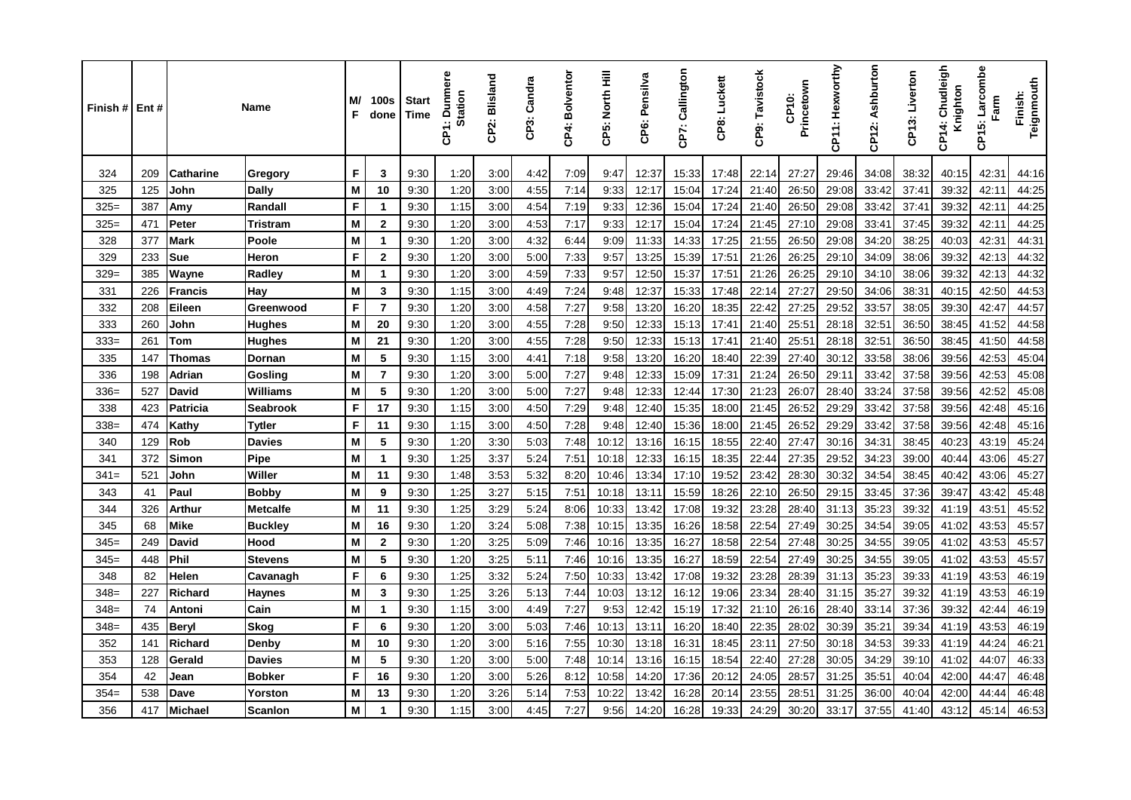| Finish # | Ent# |                  | Name            | M/<br>F | 100s<br>done   | <b>Start</b><br>Time | <b>Dunmere</b><br><b>Station</b><br>န္ | CP2: Blisland | CP3: Candra | CP4: Bolventor | CP5: North Hill | CP6: Pensilva | CP7: Callington | CP8: Luckett | CP9: Tavistock | Princetown<br>CP10: | CP11: Hexworthy | CP12: Ashburton | CP13: Liverton | Chudleigh<br>Knighton<br>4<br>င် | Larcombe<br>Farm<br>CP15: | Teignmouth<br>Finish: |
|----------|------|------------------|-----------------|---------|----------------|----------------------|----------------------------------------|---------------|-------------|----------------|-----------------|---------------|-----------------|--------------|----------------|---------------------|-----------------|-----------------|----------------|----------------------------------|---------------------------|-----------------------|
| 324      | 209  | <b>Catharine</b> | Gregory         | F       | 3              | 9:30                 | 1:20                                   | 3:00          | 4:42        | 7:09           | 9:47            | 12:37         | 15:33           | 17:48        | 22:14          | 27:27               | 29:46           | 34:08           | 38:32          | 40:15                            | 42:31                     | 44:16                 |
| 325      | 125  | John             | <b>Dally</b>    | M       | 10             | 9:30                 | 1:20                                   | 3:00          | 4:55        | 7:14           | 9:33            | 12:17         | 15:04           | 17:24        | 21:40          | 26:50               | 29:08           | 33:42           | 37:41          | 39:32                            | 42:11                     | 44:25                 |
| $325=$   | 387  | Amy              | Randall         | F       | -1             | 9:30                 | 1:15                                   | 3:00          | 4:54        | 7:19           | 9:33            | 12:36         | 15:04           | 17:24        | 21:40          | 26:50               | 29:08           | 33:42           | 37:41          | 39:32                            | 42:11                     | 44:25                 |
| $325=$   | 471  | Peter            | Tristram        | M       | $\mathbf{2}$   | 9:30                 | 1:20                                   | 3:00          | 4:53        | 7:17           | 9:33            | 12:17         | 15:04           | 17:24        | 21:45          | 27:10               | 29:08           | 33:41           | 37:45          | 39:32                            | 42:11                     | 44:25                 |
| 328      | 377  | <b>Mark</b>      | Poole           | M       | 1              | 9:30                 | 1:20                                   | 3:00          | 4:32        | 6:44           | 9:09            | 11:33         | 14:33           | 17:25        | 21:55          | 26:50               | 29:08           | 34:20           | 38:25          | 40:03                            | 42:31                     | 44:31                 |
| 329      | 233  | <b>Sue</b>       | Heron           | F       | $\mathbf{2}$   | 9:30                 | 1:20                                   | 3:00          | 5:00        | 7:33           | 9:57            | 13:25         | 15:39           | 17:51        | 21:26          | 26:25               | 29:10           | 34:09           | 38:06          | 39:32                            | 42:13                     | 44:32                 |
| $329=$   | 385  | Wayne            | Radley          | M       | $\mathbf 1$    | 9:30                 | 1:20                                   | 3:00          | 4:59        | 7:33           | 9:57            | 12:50         | 15:37           | 17:51        | 21:26          | 26:25               | 29:10           | 34:10           | 38:06          | 39:32                            | 42:13                     | 44:32                 |
| 331      | 226  | Francis          | Hay             | M       | 3              | 9:30                 | 1:15                                   | 3:00          | 4:49        | 7:24           | 9:48            | 12:37         | 15:33           | 17:48        | 22:14          | 27:27               | 29:50           | 34:06           | 38:31          | 40:15                            | 42:50                     | 44:53                 |
| 332      | 208  | Eileen           | Greenwood       | F       | $\overline{7}$ | 9:30                 | 1:20                                   | 3:00          | 4:58        | 7:27           | 9:58            | 13:20         | 16:20           | 18:35        | 22:42          | 27:25               | 29:52           | 33:57           | 38:05          | 39:30                            | 42:47                     | 44:57                 |
| 333      | 260  | John             | Hughes          | M       | 20             | 9:30                 | 1:20                                   | 3:00          | 4:55        | 7:28           | 9:50            | 12:33         | 15:13           | 17:41        | 21:40          | 25:51               | 28:18           | 32:51           | 36:50          | 38:45                            | 41:52                     | 44:58                 |
| $333=$   | 261  | <b>Tom</b>       | <b>Hughes</b>   | M       | 21             | 9:30                 | 1:20                                   | 3:00          | 4.55        | 7:28           | 9:50            | 12:33         | 15:13           | 17:41        | 21:40          | 25:51               | 28:18           | 32:51           | 36:50          | 38:45                            | 41:50                     | 44:58                 |
| 335      | 147  | <b>Thomas</b>    | Dornan          | M       | 5              | 9:30                 | 1:15                                   | 3:00          | 4:41        | 7:18           | 9:58            | 13:20         | 16:20           | 18:40        | 22:39          | 27:40               | 30:12           | 33:58           | 38:06          | 39:56                            | 42:53                     | 45:04                 |
| 336      | 198  | Adrian           | Gosling         | M       | $\overline{7}$ | 9:30                 | 1:20                                   | 3:00          | 5:00        | 7:27           | 9:48            | 12:33         | 15:09           | 17:31        | 21:24          | 26:50               | 29:11           | 33:42           | 37:58          | 39:56                            | 42:53                     | 45:08                 |
| $336=$   | 527  | David            | Williams        | M       | 5              | 9:30                 | 1:20                                   | 3:00          | 5:00        | 7:27           | 9:48            | 12:33         | 12:44           | 17:30        | 21:23          | 26:07               | 28:40           | 33:24           | 37:58          | 39:56                            | 42:52                     | 45:08                 |
| 338      | 423  | Patricia         | <b>Seabrook</b> | F       | 17             | 9:30                 | 1:15                                   | 3:00          | 4:50        | 7:29           | 9:48            | 12:40         | 15:35           | 18:00        | 21:45          | 26:52               | 29:29           | 33:42           | 37:58          | 39:56                            | 42:48                     | 45:16                 |
| $338=$   | 474  | Kathy            | Tytler          | F       | 11             | 9:30                 | 1:15                                   | 3:00          | 4:50        | 7:28           | 9:48            | 12:40         | 15:36           | 18:00        | 21:45          | 26:52               | 29:29           | 33:42           | 37:58          | 39:56                            | 42:48                     | 45:16                 |
| 340      | 129  | <b>Rob</b>       | <b>Davies</b>   | M       | 5              | 9:30                 | 1:20                                   | 3:30          | 5.03        | 7:48           | 10:12           | 13:16         | 16:15           | 18:55        | 22:40          | 27:47               | 30:16           | 34:31           | 38:45          | 40:23                            | 43:19                     | 45:24                 |
| 341      | 372  | <b>Simon</b>     | Pipe            | M       | 1              | 9:30                 | 1:25                                   | 3:37          | 5:24        | 7:51           | 10:18           | 12:33         | 16:15           | 18:35        | 22:44          | 27:35               | 29:52           | 34:23           | 39:00          | 40:44                            | 43:06                     | 45:27                 |
| $341=$   | 521  | John             | Willer          | M       | 11             | 9:30                 | 1:48                                   | 3:53          | 5:32        | 8:20           | 10:46           | 13:34         | 17:10           | 19:52        | 23:42          | 28:30               | 30:32           | 34:54           | 38:45          | 40:42                            | 43:06                     | 45:27                 |
| 343      | 41   | Paul             | Bobby           | M       | 9              | 9:30                 | 1:25                                   | 3:27          | 5:15        | 7:51           | 10:18           | 13:11         | 15:59           | 18:26        | 22:10          | 26:50               | 29:15           | 33:45           | 37:36          | 39:47                            | 43:42                     | 45:48                 |
| 344      | 326  | <b>Arthur</b>    | <b>Metcalfe</b> | M       | 11             | 9:30                 | 1:25                                   | 3:29          | 5:24        | 8:06           | 10:33           | 13:42         | 17:08           | 19:32        | 23:28          | 28:40               | 31:13           | 35:23           | 39:32          | 41:19                            | 43:51                     | 45:52                 |
| 345      | 68   | Mike             | <b>Buckley</b>  | M       | 16             | 9:30                 | 1:20                                   | 3:24          | 5:08        | 7:38           | 10:15           | 13:35         | 16:26           | 18:58        | 22:54          | 27:49               | 30:25           | 34:54           | 39:05          | 41:02                            | 43:53                     | 45:57                 |
| $345=$   | 249  | <b>David</b>     | Hood            | M       | $\mathbf{2}$   | 9:30                 | 1:20                                   | 3:25          | 5:09        | 7:46           | 10:16           | 13:35         | 16:27           | 18:58        | 22:54          | 27:48               | 30:25           | 34:55           | 39:05          | 41:02                            | 43:53                     | 45:57                 |
| $345=$   | 448  | Phil             | <b>Stevens</b>  | M       | 5              | 9:30                 | 1:20                                   | 3:25          | 5:11        | 7:46           | 10:16           | 13:35         | 16:27           | 18:59        | 22:54          | 27:49               | 30:25           | 34:55           | 39:05          | 41:02                            | 43:53                     | 45:57                 |
| 348      | 82   | Helen            | Cavanagh        | F       | 6              | 9:30                 | 1:25                                   | 3:32          | 5.24        | 7:50           | 10:33           | 13:42         | 17:08           | 19:32        | 23:28          | 28:39               | 31:13           | 35:23           | 39:33          | 41:19                            | 43:53                     | 46:19                 |
| $348=$   | 227  | <b>Richard</b>   | Haynes          | M       | 3              | 9:30                 | 1:25                                   | 3:26          | 5:13        | 7:44           | 10:03           | 13:12         | 16:12           | 19:06        | 23:34          | 28:40               | 31:15           | 35:27           | 39:32          | 41:19                            | 43:53                     | 46:19                 |
| $348=$   | 74   | Antoni           | Cain            | M       | $\mathbf 1$    | 9:30                 | 1:15                                   | 3:00          | 4:49        | 7:27           | 9:53            | 12:42         | 15:19           | 17:32        | 21:10          | 26:16               | 28:40           | 33:14           | 37:36          | 39:32                            | 42:44                     | 46:19                 |
| $348=$   | 435  | <b>Beryl</b>     | <b>Skog</b>     | F       | 6              | 9:30                 | 1:20                                   | 3:00          | 5.03        | 7:46           | 10:13           | 13:11         | 16:20           | 18:40        | 22:35          | 28:02               | 30:39           | 35:21           | 39:34          | 41:19                            | 43:53                     | 46:19                 |
| 352      | 141  | <b>Richard</b>   | Denby           | M       | 10             | 9:30                 | 1:20                                   | 3:00          | 5:16        | 7:55           | 10:30           | 13:18         | 16:31           | 18:45        | 23:11          | 27:50               | 30:18           | 34:53           | 39:33          | 41:19                            | 44:24                     | 46:21                 |
| 353      | 128  | Gerald           | <b>Davies</b>   | M       | 5              | 9:30                 | 1:20                                   | 3:00          | 5:00        | 7:48           | 10:14           | 13:16         | 16:15           | 18:54        | 22:40          | 27:28               | 30:05           | 34:29           | 39:10          | 41:02                            | 44:07                     | 46:33                 |
| 354      | 42   | Jean             | Bobker          | F       | 16             | 9:30                 | 1:20                                   | 3:00          | 5:26        | 8:12           | 10:58           | 14:20         | 17:36           | 20:12        | 24:05          | 28:57               | 31:25           | 35:51           | 40:04          | 42:00                            | 44:47                     | 46:48                 |
| $354=$   | 538  | Dave             | Yorston         | M       | 13             | 9:30                 | 1:20                                   | 3:26          | 5:14        | 7:53           | 10:22           | 13:42         | 16:28           | 20:14        | 23:55          | 28:51               | 31:25           | 36:00           | 40:04          | 42:00                            | 44:44                     | 46:48                 |
| 356      | 417  | <b>Michael</b>   | <b>Scanlon</b>  | M       | -1             | 9:30                 | 1:15                                   | 3:00          | 4:45        | 7:27           | 9:56            | 14:20         | 16:28           | 19:33        | 24:29          | 30:20               | 33:17           | 37:55           | 41:40          | 43:12                            | 45:14                     | 46:53                 |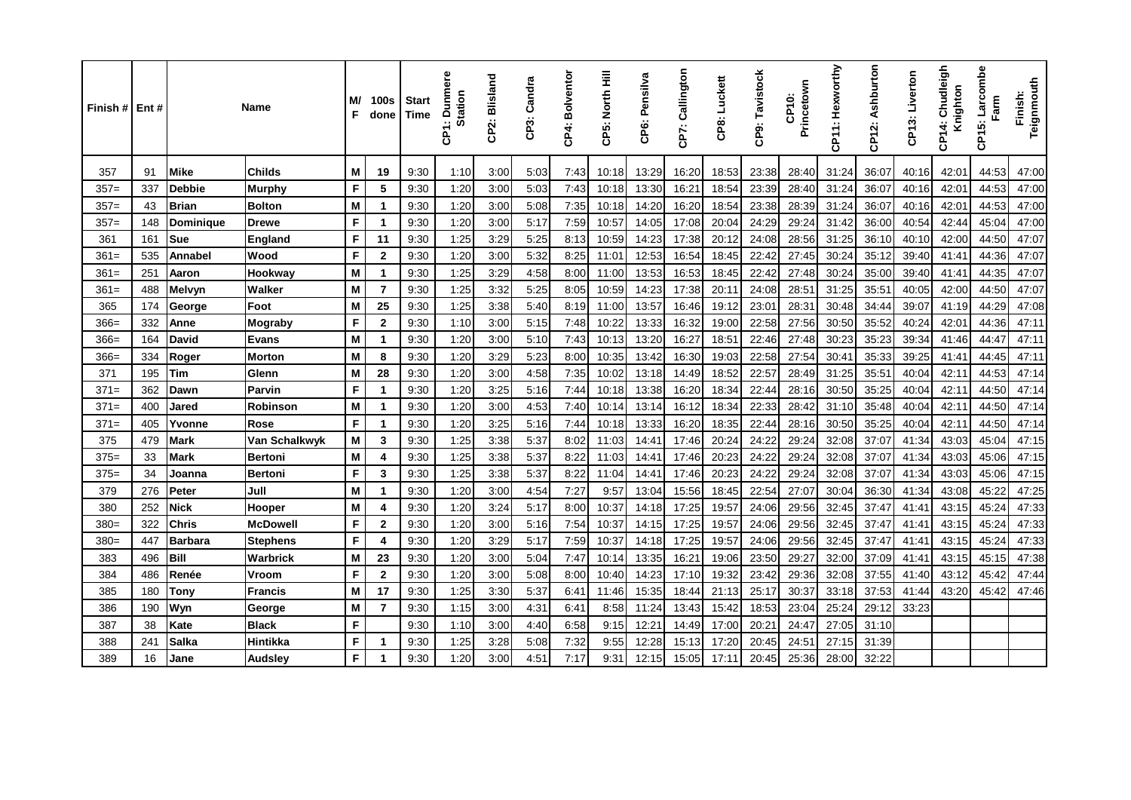| Finish # Ent # |     |                | <b>Name</b>     | M/<br>F | 100s<br>done            | <b>Start</b><br>Time | unmere<br>Station<br>$\Omega$<br>န္ | CP2: Blisland | Candra<br>CP3: | CP4: Bolventor | CP5: North Hill | CP6: Pensilva | CP7: Callington | CP8: Luckett | CP9: Tavistock | Princetown<br>CP10: | CP11: Hexworthy | CP12: Ashburton | Liverton<br>CP13: | Chudleigh<br>Knighton<br>CP14: | Larcombe<br>Farm<br>CP15: | Teignmouth<br>Finish: |
|----------------|-----|----------------|-----------------|---------|-------------------------|----------------------|-------------------------------------|---------------|----------------|----------------|-----------------|---------------|-----------------|--------------|----------------|---------------------|-----------------|-----------------|-------------------|--------------------------------|---------------------------|-----------------------|
| 357            | 91  | <b>Mike</b>    | <b>Childs</b>   | M       | 19                      | 9:30                 | 1:10                                | 3:00          | 5:03           | 7:43           | 10:18           | 13:29         | 16:20           | 18:53        | 23:38          | 28:40               | 31:24           | 36:07           | 40:16             | 42:01                          | 44:53                     | 47:00                 |
| $357=$         | 337 | <b>Debbie</b>  | <b>Murphy</b>   | F       | 5                       | 9:30                 | 1:20                                | 3:00          | 5:03           | 7:43           | 10:18           | 13:30         | 16:21           | 18:54        | 23:39          | 28:40               | 31:24           | 36:07           | 40:16             | 42:01                          | 44:53                     | 47:00                 |
| $357=$         | 43  | <b>Brian</b>   | <b>Bolton</b>   | M       | $\mathbf 1$             | 9:30                 | 1:20                                | 3:00          | 5:08           | 7:35           | 10:18           | 14:20         | 16:20           | 18:54        | 23:38          | 28:39               | 31:24           | 36:07           | 40:16             | 42:01                          | 44:53                     | 47:00                 |
| $357=$         | 148 | Dominique      | <b>Drewe</b>    | F       | $\mathbf 1$             | 9:30                 | 1:20                                | 3:00          | 5:17           | 7:59           | 10:57           | 14:05         | 17:08           | 20:04        | 24:29          | 29:24               | 31:42           | 36:00           | 40:54             | 42:44                          | 45:04                     | 47:00                 |
| 361            | 161 | <b>Sue</b>     | England         | F       | 11                      | 9:30                 | 1:25                                | 3:29          | 5:25           | 8:13           | 10:59           | 14:23         | 17:38           | 20:12        | 24:08          | 28:56               | 31:25           | 36:10           | 40:10             | 42:00                          | 44:50                     | 47:07                 |
| $361=$         | 535 | Annabel        | Wood            | F       | $\mathbf{2}$            | 9:30                 | 1:20                                | 3:00          | 5:32           | 8:25           | 11:01           | 12:53         | 16:54           | 18:45        | 22:42          | 27:45               | 30:24           | 35:12           | 39:40             | 41:41                          | 44:36                     | 47:07                 |
| $361=$         | 251 | Aaron          | Hookway         | M       | $\mathbf 1$             | 9:30                 | 1:25                                | 3.29          | 4:58           | 8:00           | 11:00           | 13:53         | 16:53           | 18:45        | 22:42          | 27:48               | 30:24           | 35:00           | 39:40             | 41:41                          | 44:35                     | 47:07                 |
| $361=$         | 488 | Melvyn         | Walker          | M       | $\overline{7}$          | 9:30                 | 1:25                                | 3:32          | 5:25           | 8:05           | 10:59           | 14:23         | 17:38           | 20:11        | 24:08          | 28:51               | 31:25           | 35:51           | 40:05             | 42:00                          | 44:50                     | 47:07                 |
| 365            | 174 | George         | Foot            | M       | 25                      | 9:30                 | 1:25                                | 3:38          | 5:40           | 8:19           | 11:00           | 13:57         | 16:46           | 19:12        | 23:01          | 28:31               | 30:48           | 34:44           | 39:07             | 41:19                          | 44:29                     | 47:08                 |
| $366=$         | 332 | Anne           | Mograby         | F       | $\mathbf{2}$            | 9:30                 | 1:10                                | 3:00          | 5:15           | 7:48           | 10:22           | 13:33         | 16:32           | 19:00        | 22:58          | 27:56               | 30:50           | 35:52           | 40:24             | 42:01                          | 44:36                     | 47:11                 |
| $366=$         | 164 | <b>David</b>   | Evans           | M       | $\mathbf 1$             | 9:30                 | 1:20                                | 3:00          | 5:10           | 7:43           | 10:13           | 13:20         | 16:27           | 18:51        | 22:46          | 27:48               | 30:23           | 35:23           | 39:34             | 41:46                          | 44:47                     | 47:11                 |
| $366=$         | 334 | Roger          | <b>Morton</b>   | M       | 8                       | 9:30                 | 1:20                                | 3:29          | 5:23           | 8:00           | 10:35           | 13:42         | 16:30           | 19:03        | 22:58          | 27:54               | 30:41           | 35:33           | 39:25             | 41:41                          | 44:45                     | 47:11                 |
| 371            | 195 | <b>Tim</b>     | Glenn           | M       | 28                      | 9:30                 | 1:20                                | 3:00          | 4:58           | 7:35           | 10:02           | 13:18         | 14:49           | 18:52        | 22:57          | 28:49               | 31:25           | 35:51           | 40:04             | 42:11                          | 44:53                     | 47:14                 |
| $371=$         | 362 | Dawn           | Parvin          | F       | $\mathbf 1$             | 9:30                 | 1:20                                | 3.25          | 5:16           | 7:44           | 10:18           | 13:38         | 16:20           | 18:34        | 22:44          | 28:16               | 30:50           | 35:25           | 40:04             | 42:11                          | 44:50                     | 47:14                 |
| $371=$         | 400 | Jared          | <b>Robinson</b> | M       | $\mathbf 1$             | 9:30                 | 1:20                                | 3:00          | 4:53           | 7:40           | 10:14           | 13:14         | 16:12           | 18:34        | 22:33          | 28:42               | 31:10           | 35:48           | 40:04             | 42:11                          | 44:50                     | 47:14                 |
| $371=$         | 405 | Yvonne         | <b>Rose</b>     | F       | $\mathbf{1}$            | 9:30                 | 1:20                                | 3:25          | 5:16           | 7:44           | 10:18           | 13:33         | 16:20           | 18:35        | 22:44          | 28:16               | 30:50           | 35:25           | 40:04             | 42:11                          | 44:50                     | 47:14                 |
| 375            | 479 | <b>Mark</b>    | Van Schalkwyk   | M       | 3                       | 9:30                 | 1:25                                | 3:38          | 5:37           | 8:02           | 11:03           | 14:41         | 17:46           | 20:24        | 24:22          | 29:24               | 32:08           | 37:07           | 41:34             | 43:03                          | 45:04                     | 47:15                 |
| $375=$         | 33  | <b>Mark</b>    | <b>Bertoni</b>  | M       | 4                       | 9:30                 | 1:25                                | 3:38          | 5:37           | 8:22           | 11:03           | 14:41         | 17:46           | 20:23        | 24:22          | 29:24               | 32:08           | 37:07           | 41:34             | 43:03                          | 45:06                     | 47:15                 |
| $375=$         | 34  | Joanna         | <b>Bertoni</b>  | F       | 3                       | 9:30                 | 1:25                                | 3:38          | 5:37           | 8:22           | 11:04           | 14:41         | 17:46           | 20:23        | 24:22          | 29:24               | 32:08           | 37:07           | 41:34             | 43:03                          | 45:06                     | 47:15                 |
| 379            | 276 | Peter          | Jull            | M       | $\mathbf 1$             | 9:30                 | 1:20                                | 3:00          | 4:54           | 7:27           | 9:57            | 13:04         | 15:56           | 18:45        | 22:54          | 27:07               | 30:04           | 36:30           | 41:34             | 43:08                          | 45:22                     | 47:25                 |
| 380            | 252 | <b>Nick</b>    | Hooper          | M       | 4                       | 9:30                 | 1:20                                | 3:24          | 5:17           | 8:00           | 10:37           | 14:18         | 17:25           | 19:57        | 24:06          | 29:56               | 32:45           | 37:47           | 41:41             | 43:15                          | 45:24                     | 47:33                 |
| $380=$         | 322 | <b>Chris</b>   | <b>McDowell</b> | F       | $\overline{2}$          | 9:30                 | 1:20                                | 3:00          | 5:16           | 7:54           | 10:37           | 14:15         | 17:25           | 19:57        | 24:06          | 29:56               | 32:45           | 37:47           | 41:41             | 43:15                          | 45:24                     | 47:33                 |
| $380=$         | 447 | <b>Barbara</b> | <b>Stephens</b> | F       | $\overline{\mathbf{4}}$ | 9:30                 | 1:20                                | 3.29          | 5:17           | 7:59           | 10:37           | 14:18         | 17:25           | 19:57        | 24:06          | 29:56               | 32:45           | 37:47           | 41:41             | 43:15                          | 45:24                     | 47:33                 |
| 383            | 496 | Bill           | Warbrick        | M       | 23                      | 9:30                 | 1:20                                | 3:00          | 5:04           | 7:47           | 10:14           | 13:35         | 16:21           | 19:06        | 23:50          | 29:27               | 32:00           | 37:09           | 41:41             | 43:15                          | 45:15                     | 47:38                 |
| 384            | 486 | Renée          | <b>Vroom</b>    | F       | $\mathbf{2}$            | 9:30                 | 1:20                                | 3:00          | 5:08           | 8:00           | 10:40           | 14:23         | 17:10           | 19:32        | 23:42          | 29:36               | 32:08           | 37:55           | 41:40             | 43:12                          | 45:42                     | 47:44                 |
| 385            | 180 | Tony           | <b>Francis</b>  | M       | 17                      | 9:30                 | 1:25                                | 3:30          | 5:37           | 6:4'           | 11:46           | 15:35         | 18:44           | 21:13        | 25:17          | 30:37               | 33:18           | 37:53           | 41:44             | 43:20                          | 45:42                     | 47:46                 |
| 386            | 190 | Wyn            | George          | M       | $\overline{7}$          | 9:30                 | 1:15                                | 3:00          | 4:31           | 6:41           | 8:58            | 11:24         | 13:43           | 15:42        | 18:53          | 23:04               | 25:24           | 29:12           | 33:23             |                                |                           |                       |
| 387            | 38  | Kate           | <b>Black</b>    | F       |                         | 9:30                 | 1:10                                | 3:00          | 4:40           | 6:58           | 9:15            | 12:21         | 14:49           | 17:00        | 20:21          | 24:47               | 27:05           | 31:10           |                   |                                |                           |                       |
| 388            | 241 | <b>Salka</b>   | Hintikka        | F       | $\mathbf 1$             | 9:30                 | 1:25                                | 3.28          | 5:08           | 7:32           | 9.55            | 12:28         | 15:13           | 17:20        | 20:45          | 24:51               | 27:15           | 31:39           |                   |                                |                           |                       |
| 389            | 16  | Jane           | Audsley         | F.      | 1                       | 9:30                 | 1:20                                | 3:00          | 4:51           | 7:17           | 9:31            | 12:15         | 15:05           | 17:11        | 20:45          | 25:36               | 28:00           | 32:22           |                   |                                |                           |                       |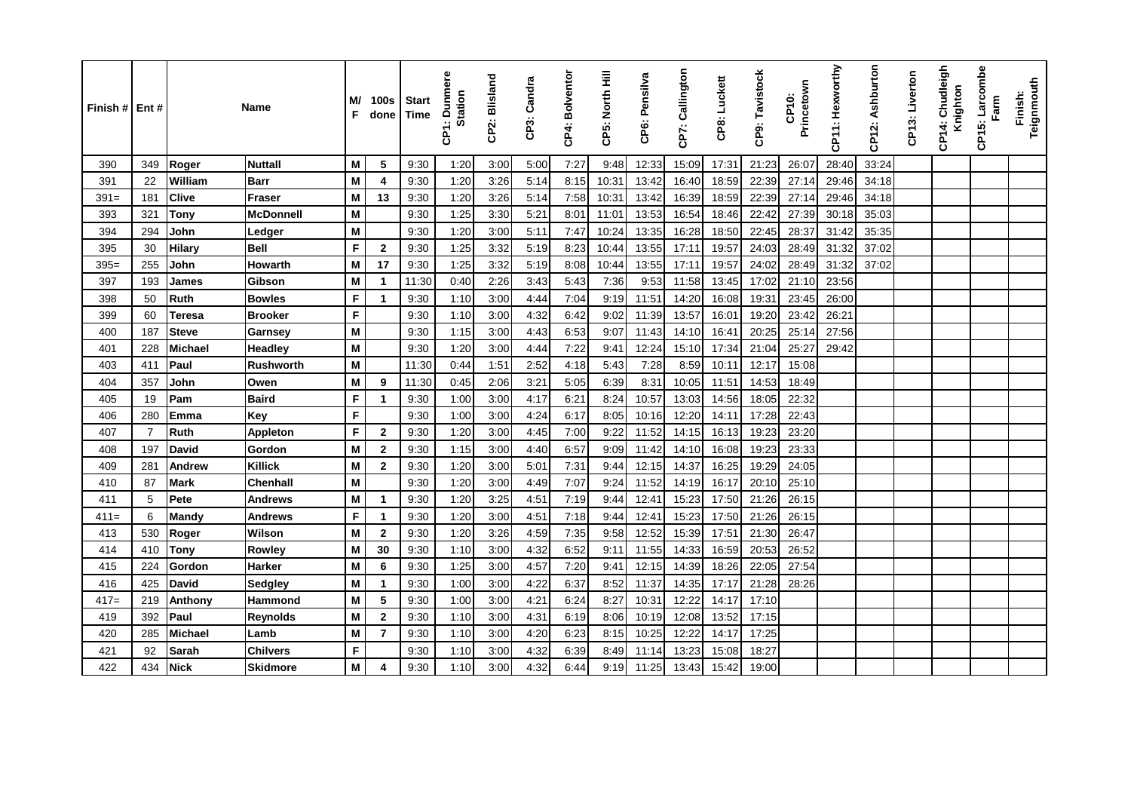| Finish # Ent # |                |              | <b>Name</b>      | M/<br>F | <b>100s</b><br>done  | Start<br><b>Time</b> | : Dunmere<br><b>Station</b><br>ξ | CP2: Blisland | CP3: Candra | CP4: Bolventor | CP5: North Hill | CP6: Pensilva | CP7: Callington | CP8: Luckett | CP9: Tavistock | Princetown<br>CP <sub>10</sub> : | CP11: Hexworthy | CP12: Ashburton | CP13: Liverton | 4: Chudleigh<br>Knighton<br>န္ | Larcombe<br>Farm<br>CP15: | Teignmouth<br>Finish: |
|----------------|----------------|--------------|------------------|---------|----------------------|----------------------|----------------------------------|---------------|-------------|----------------|-----------------|---------------|-----------------|--------------|----------------|----------------------------------|-----------------|-----------------|----------------|--------------------------------|---------------------------|-----------------------|
| 390            | 349            | Roger        | <b>Nuttall</b>   | M       | 5                    | 9:30                 | 1:20                             | 3:00          | 5:00        | 7:27           | 9:48            | 12:33         | 15:09           | 17:31        | 21:23          | 26:07                            | 28:40           | 33:24           |                |                                |                           |                       |
| 391            | 22             | William      | <b>Barr</b>      | M       | 4                    | 9:30                 | 1:20                             | 3:26          | 5:14        | 8:15           | 10:31           | 13:42         | 16:40           | 18:59        | 22:39          | 27:14                            | 29:46           | 34:18           |                |                                |                           |                       |
| $391 =$        | 181            | <b>Clive</b> | <b>Fraser</b>    | M       | 13                   | 9:30                 | 1:20                             | 3:26          | 5:14        | 7:58           | 10:31           | 13:42         | 16:39           | 18:59        | 22:39          | 27:14                            | 29:46           | 34:18           |                |                                |                           |                       |
| 393            | 321            | <b>Tony</b>  | <b>McDonnell</b> | M       |                      | 9:30                 | 1:25                             | 3:30          | 5:21        | 8:01           | 11:01           | 13:53         | 16:54           | 18:46        | 22:42          | 27:39                            | 30:18           | 35:03           |                |                                |                           |                       |
| 394            | 294            | John         | Ledger           | M       |                      | 9:30                 | 1:20                             | 3:00          | 5:11        | 7:47           | 10:24           | 13:35         | 16:28           | 18:50        | 22:45          | 28:37                            | 31:42           | 35:35           |                |                                |                           |                       |
| 395            | 30             | Hilary       | <b>Bell</b>      | F       | $\mathbf{2}$         | 9:30                 | 1:25                             | 3:32          | 5:19        | 8:23           | 10:44           | 13:55         | 17:11           | 19:57        | 24:03          | 28:49                            | 31:32           | 37:02           |                |                                |                           |                       |
| $395=$         | 255            | John         | <b>Howarth</b>   | M       | 17                   | 9:30                 | 1:25                             | 3:32          | 5:19        | 8:08           | 10:44           | 13:55         | 17:11           | 19:57        | 24:02          | 28:49                            | 31:32           | 37:02           |                |                                |                           |                       |
| 397            | 193            | James        | Gibson           | M       | $\mathbf{1}$         | 11:30                | 0:40                             | 2:26          | 3:43        | 5:43           | 7:36            | 9:53          | 11:58           | 13:45        | 17:02          | 21:10                            | 23:56           |                 |                |                                |                           |                       |
| 398            | 50             | <b>Ruth</b>  | <b>Bowles</b>    | F       | $\blacktriangleleft$ | 9:30                 | 1:10                             | 3:00          | 4:44        | 7:04           | 9:19            | 11:51         | 14:20           | 16:08        | 19:31          | 23:45                            | 26:00           |                 |                |                                |                           |                       |
| 399            | 60             | Teresa       | <b>Brooker</b>   | F       |                      | 9:30                 | 1:10                             | 3:00          | 4:32        | 6:42           | 9:02            | 11:39         | 13:57           | 16:01        | 19:20          | 23:42                            | 26:21           |                 |                |                                |                           |                       |
| 400            | 187            | <b>Steve</b> | Garnsey          | M       |                      | 9:30                 | 1:15                             | 3:00          | 4:43        | 6:53           | 9:07            | 11:43         | 14:10           | 16:41        | 20:25          | 25:14                            | 27:56           |                 |                |                                |                           |                       |
| 401            | 228            | Michael      | <b>Headley</b>   | M       |                      | 9:30                 | 1:20                             | 3:00          | 4:44        | 7:22           | 9:41            | 12:24         | 15:10           | 17:34        | 21:04          | 25:27                            | 29:42           |                 |                |                                |                           |                       |
| 403            | 411            | Paul         | <b>Rushworth</b> | M       |                      | 11:30                | 0:44                             | 1:51          | 2:52        | 4:18           | 5:43            | 7:28          | 8:59            | 10:11        | 12:17          | 15:08                            |                 |                 |                |                                |                           |                       |
| 404            | 357            | John         | Owen             | M       | 9                    | 11:30                | 0:45                             | 2:06          | 3:21        | 5:05           | 6:39            | 8:31          | 10:05           | 11:51        | 14:53          | 18:49                            |                 |                 |                |                                |                           |                       |
| 405            | 19             | Pam          | <b>Baird</b>     | F       | -1                   | 9:30                 | 1:00                             | 3:00          | 4:17        | 6:21           | 8:24            | 10:57         | 13:03           | 14:56        | 18:05          | 22:32                            |                 |                 |                |                                |                           |                       |
| 406            | 280            | Emma         | Key              | F       |                      | 9:30                 | 1:00                             | 3:00          | 4:24        | 6:17           | 8:05            | 10:16         | 12:20           | 14:11        | 17:28          | 22:43                            |                 |                 |                |                                |                           |                       |
| 407            | $\overline{7}$ | <b>Ruth</b>  | Appleton         | F       | $\mathbf{2}$         | 9:30                 | 1:20                             | 3:00          | 4:45        | 7:00           | 9:22            | 11:52         | 14:15           | 16:13        | 19:23          | 23:20                            |                 |                 |                |                                |                           |                       |
| 408            | 197            | David        | Gordon           | M       | $\mathbf{2}$         | 9:30                 | 1:15                             | 3:00          | 4:40        | 6:57           | 9:09            | 11:42         | 14:10           | 16:08        | 19:23          | 23:33                            |                 |                 |                |                                |                           |                       |
| 409            | 281            | Andrew       | <b>Killick</b>   | M       | $\mathbf{2}$         | 9:30                 | 1:20                             | 3:00          | 5:01        | 7:31           | 9:44            | 12:15         | 14:37           | 16:25        | 19:29          | 24:05                            |                 |                 |                |                                |                           |                       |
| 410            | 87             | Mark         | <b>Chenhall</b>  | M       |                      | 9:30                 | 1:20                             | 3:00          | 4:49        | 7:07           | 9:24            | 11:52         | 14:19           | 16:17        | 20:10          | 25:10                            |                 |                 |                |                                |                           |                       |
| 411            | 5              | Pete         | <b>Andrews</b>   | M       | -1                   | 9:30                 | 1:20                             | 3:25          | 4:51        | 7:19           | 9:44            | 12:41         | 15:23           | 17:50        | 21:26          | 26:15                            |                 |                 |                |                                |                           |                       |
| $411=$         | 6              | Mandy        | <b>Andrews</b>   | F       | -1                   | 9:30                 | 1:20                             | 3:00          | 4:51        | 7:18           | 9:44            | 12:41         | 15:23           | 17:50        | 21:26          | 26:15                            |                 |                 |                |                                |                           |                       |
| 413            | 530            | Roger        | Wilson           | M       | $\overline{2}$       | 9:30                 | 1:20                             | 3:26          | 4:59        | 7:35           | 9:58            | 12:52         | 15:39           | 17:51        | 21:30          | 26:47                            |                 |                 |                |                                |                           |                       |
| 414            | 410            | Tony         | Rowley           | M       | 30                   | 9:30                 | 1:10                             | 3:00          | 4:32        | 6:52           | 9:11            | 11:55         | 14:33           | 16:59        | 20:53          | 26:52                            |                 |                 |                |                                |                           |                       |
| 415            | 224            | Gordon       | <b>Harker</b>    | M       | 6                    | 9:30                 | 1:25                             | 3:00          | 4.57        | 7:20           | 9:41            | 12:15         | 14:39           | 18:26        | 22:05          | 27:54                            |                 |                 |                |                                |                           |                       |
| 416            | 425            | David        | Sedgley          | M       | -1                   | 9:30                 | 1:00                             | 3:00          | 4:22        | 6.37           | 8:52            | 11:37         | 14:35           | 17:17        | 21:28          | 28:26                            |                 |                 |                |                                |                           |                       |
| $417=$         | 219            | Anthony      | Hammond          | M       | 5                    | 9:30                 | 1:00                             | 3:00          | 4:21        | 6:24           | 8:27            | 10:31         | 12:22           | 14:17        | 17:10          |                                  |                 |                 |                |                                |                           |                       |
| 419            | 392            | Paul         | Reynolds         | M       | $\mathbf{2}$         | 9:30                 | 1:10                             | 3:00          | 4:31        | 6:19           | 8:06            | 10:19         | 12:08           | 13:52        | 17:15          |                                  |                 |                 |                |                                |                           |                       |
| 420            | 285            | Michael      | Lamb             | M       | 7                    | 9:30                 | 1:10                             | 3:00          | 4:20        | 6:23           | 8:15            | 10:25         | 12:22           | 14:17        | 17:25          |                                  |                 |                 |                |                                |                           |                       |
| 421            | 92             | Sarah        | <b>Chilvers</b>  | F       |                      | 9:30                 | 1:10                             | 3:00          | 4:32        | 6:39           | 8:49            | 11:14         | 13:23           | 15:08        | 18:27          |                                  |                 |                 |                |                                |                           |                       |
| 422            | 434            | Nick         | Skidmore         | M       |                      | 9:30                 | 1:10                             | 3:00          | 4:32        | 6:44           | 9:19            | 11:25         | 13:43           | 15:42        | 19:00          |                                  |                 |                 |                |                                |                           |                       |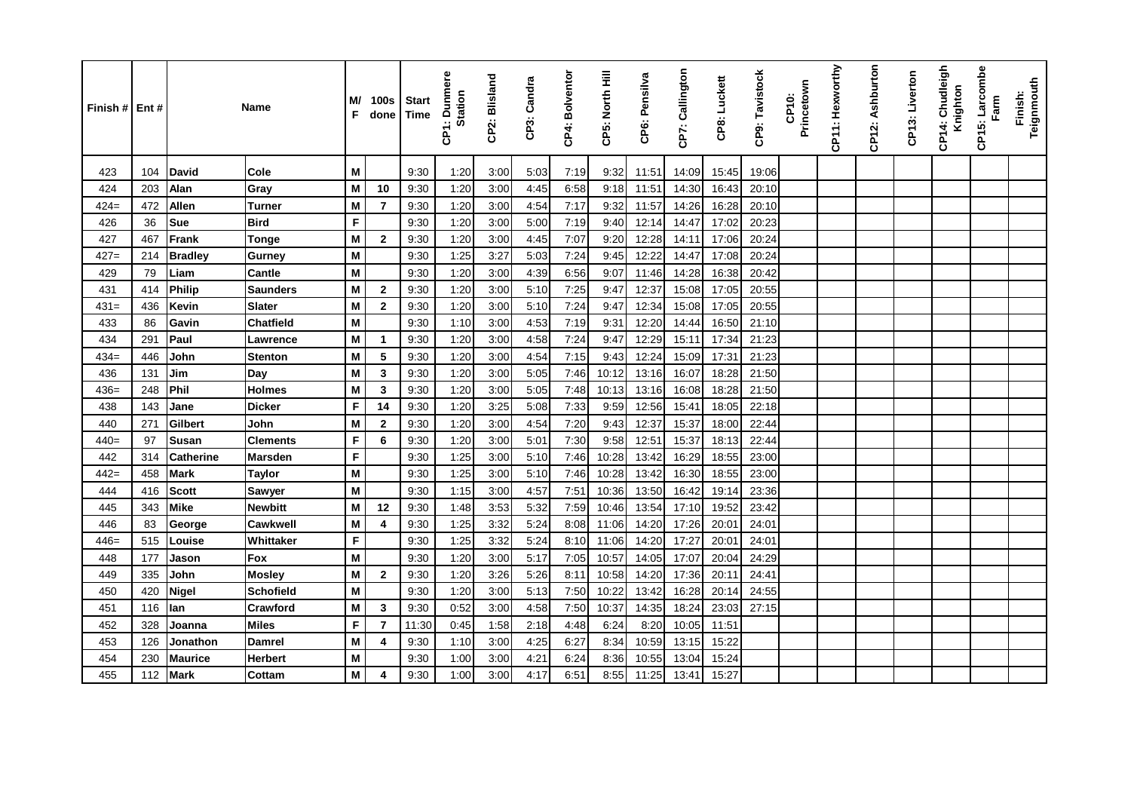| Finish # Ent # |     |                  | Name             | M/<br>F | 100s<br>done   | <b>Start</b><br><b>Time</b> | <b>Dunmere</b><br>Station<br>န္ | CP2: Blisland | æ<br>CP3: Candr | CP4: Bolventor | CP5: North Hill | CP6: Pensilva | CP7: Callington | CP8: Luckett | CP9: Tavistock | Princetown<br>CP10: | CP11: Hexworthy | CP12: Ashburton | CP13: Liverton | CP14: Chudleigh<br>Knighton | CP15: Larcombe<br>Farm | Teignmouth<br>Finish: |
|----------------|-----|------------------|------------------|---------|----------------|-----------------------------|---------------------------------|---------------|-----------------|----------------|-----------------|---------------|-----------------|--------------|----------------|---------------------|-----------------|-----------------|----------------|-----------------------------|------------------------|-----------------------|
| 423            | 104 | <b>David</b>     | Cole             | м       |                | 9:30                        | 1:20                            | 3:00          | 5:03            | 7:19           | 9:32            | 11:51         | 14:09           | 15:45        | 19:06          |                     |                 |                 |                |                             |                        |                       |
| 424            | 203 | Alan             | Gray             | M       | 10             | 9:30                        | 1:20                            | 3:00          | 4:45            | 6:58           | 9:18            | 11:51         | 14:30           | 16:43        | 20:10          |                     |                 |                 |                |                             |                        |                       |
| $424=$         | 472 | <b>Allen</b>     | <b>Turner</b>    | M       | $\overline{7}$ | 9:30                        | 1:20                            | 3:00          | 4:54            | 7:17           | 9:32            | 11:57         | 14:26           | 16:28        | 20:10          |                     |                 |                 |                |                             |                        |                       |
| 426            | 36  | Sue              | <b>Bird</b>      | F       |                | 9:30                        | 1:20                            | 3:00          | 5:00            | 7:19           | 9:40            | 12:14         | 14:47           | 17:02        | 20:23          |                     |                 |                 |                |                             |                        |                       |
| 427            | 467 | Frank            | <b>Tonge</b>     | M       | $\mathbf{2}$   | 9:30                        | 1:20                            | 3:00          | 4:45            | 7:07           | 9:20            | 12:28         | 14:11           | 17:06        | 20:24          |                     |                 |                 |                |                             |                        |                       |
| $427=$         | 214 | <b>Bradley</b>   | <b>Gurney</b>    | M       |                | 9:30                        | 1:25                            | 3:27          | 5:03            | 7:24           | 9:45            | 12:22         | 14:47           | 17:08        | 20:24          |                     |                 |                 |                |                             |                        |                       |
| 429            | 79  | Liam             | <b>Cantle</b>    | M       |                | 9:30                        | 1:20                            | 3:00          | 4:39            | 6:56           | 9:07            | 11:46         | 14:28           | 16:38        | 20:42          |                     |                 |                 |                |                             |                        |                       |
| 431            | 414 | <b>Philip</b>    | <b>Saunders</b>  | M       | $\mathbf{2}$   | 9:30                        | 1:20                            | 3:00          | 5:10            | 7:25           | 9:47            | 12:37         | 15:08           | 17:05        | 20:55          |                     |                 |                 |                |                             |                        |                       |
| $431 =$        | 436 | Kevin            | <b>Slater</b>    | M       | $\overline{2}$ | 9:30                        | 1:20                            | 3:00          | 5:10            | 7:24           | 9:47            | 12:34         | 15:08           | 17:05        | 20:55          |                     |                 |                 |                |                             |                        |                       |
| 433            | 86  | Gavin            | <b>Chatfield</b> | M       |                | 9:30                        | 1:10                            | 3:00          | 4:53            | 7:19           | 9:31            | 12:20         | 14:44           | 16:50        | 21:10          |                     |                 |                 |                |                             |                        |                       |
| 434            | 291 | Paul             | Lawrence         | M       | $\mathbf{1}$   | 9:30                        | 1:20                            | 3:00          | 4:58            | 7:24           | 9:47            | 12:29         | 15:11           | 17:34        | 21:23          |                     |                 |                 |                |                             |                        |                       |
| $434=$         | 446 | John             | <b>Stenton</b>   | M       | 5              | 9:30                        | 1:20                            | 3:00          | 4:54            | 7:15           | 9:43            | 12:24         | 15:09           | 17:31        | 21:23          |                     |                 |                 |                |                             |                        |                       |
| 436            | 131 | Jim              | Day              | M       | 3              | 9:30                        | 1:20                            | 3:00          | 5:05            | 7:46           | 10:12           | 13:16         | 16:07           | 18:28        | 21:50          |                     |                 |                 |                |                             |                        |                       |
| $436=$         | 248 | <b>Phil</b>      | <b>Holmes</b>    | M       | 3              | 9:30                        | 1:20                            | 3:00          | 5:05            | 7:48           | 10:13           | 13:16         | 16:08           | 18:28        | 21:50          |                     |                 |                 |                |                             |                        |                       |
| 438            | 143 | Jane             | <b>Dicker</b>    | F       | 14             | 9:30                        | 1:20                            | 3:25          | 5:08            | 7:33           | 9:59            | 12:56         | 15:41           | 18:05        | 22:18          |                     |                 |                 |                |                             |                        |                       |
| 440            | 271 | Gilbert          | John             | M       | $\mathbf{2}$   | 9:30                        | 1:20                            | 3:00          | 4:54            | 7:20           | 9:43            | 12:37         | 15:37           | 18:00        | 22:44          |                     |                 |                 |                |                             |                        |                       |
| $440=$         | 97  | Susan            | <b>Clements</b>  | F       | 6              | 9:30                        | 1:20                            | 3:00          | 5:01            | 7:30           | 9:58            | 12:51         | 15:37           | 18:13        | 22:44          |                     |                 |                 |                |                             |                        |                       |
| 442            | 314 | <b>Catherine</b> | <b>Marsden</b>   | F       |                | 9:30                        | 1:25                            | 3:00          | 5:10            | 7:46           | 10:28           | 13:42         | 16:29           | 18:55        | 23:00          |                     |                 |                 |                |                             |                        |                       |
| $442=$         | 458 | <b>Mark</b>      | Taylor           | M       |                | 9:30                        | 1:25                            | 3:00          | 5:10            | 7:46           | 10:28           | 13:42         | 16:30           | 18:55        | 23:00          |                     |                 |                 |                |                             |                        |                       |
| 444            | 416 | <b>Scott</b>     | <b>Sawyer</b>    | м       |                | 9:30                        | 1:15                            | 3:00          | 4:57            | 7:51           | 10:36           | 13:50         | 16:42           | 19:14        | 23:36          |                     |                 |                 |                |                             |                        |                       |
| 445            | 343 | <b>Mike</b>      | <b>Newbitt</b>   | M       | 12             | 9:30                        | 1:48                            | 3:53          | 5:32            | 7:59           | 10:46           | 13:54         | 17:10           | 19:52        | 23:42          |                     |                 |                 |                |                             |                        |                       |
| 446            | 83  | George           | <b>Cawkwell</b>  | M       | 4              | 9:30                        | 1:25                            | 3:32          | 5:24            | 8:08           | 11:06           | 14:20         | 17:26           | 20:01        | 24:01          |                     |                 |                 |                |                             |                        |                       |
| $446=$         | 515 | Louise           | Whittaker        | F       |                | 9:30                        | 1:25                            | 3:32          | 5:24            | 8:10           | 11:06           | 14:20         | 17:27           | 20:01        | 24:01          |                     |                 |                 |                |                             |                        |                       |
| 448            | 177 | Jason            | Fox              | M       |                | 9:30                        | 1:20                            | 3:00          | 5:17            | 7:05           | 10:57           | 14:05         | 17:07           | 20:04        | 24:29          |                     |                 |                 |                |                             |                        |                       |
| 449            | 335 | John             | Mosley           | M       | $\mathbf{2}$   | 9:30                        | 1:20                            | 3:26          | 5:26            | 8:11           | 10:58           | 14:20         | 17:36           | 20:11        | 24:41          |                     |                 |                 |                |                             |                        |                       |
| 450            | 420 | <b>Nigel</b>     | <b>Schofield</b> | M       |                | 9:30                        | 1:20                            | 3:00          | 5:13            | 7:50           | 10:22           | 13:42         | 16:28           | 20:14        | 24:55          |                     |                 |                 |                |                             |                        |                       |
| 451            | 116 | lan              | <b>Crawford</b>  | M       | 3              | 9:30                        | 0:52                            | 3:00          | 4:58            | 7:50           | 10:37           | 14:35         | 18:24           | 23:03        | 27:15          |                     |                 |                 |                |                             |                        |                       |
| 452            | 328 | Joanna           | Miles            | F       | $\overline{7}$ | 11:30                       | 0:45                            | 1:58          | 2:18            | 4:48           | 6:24            | 8:20          | 10:05           | 11:51        |                |                     |                 |                 |                |                             |                        |                       |
| 453            | 126 | Jonathon         | <b>Damrel</b>    | M       | 4              | 9:30                        | 1:10                            | 3:00          | 4:25            | 6:27           | 8:34            | 10:59         | 13:15           | 15:22        |                |                     |                 |                 |                |                             |                        |                       |
| 454            | 230 | <b>Maurice</b>   | <b>Herbert</b>   | M       |                | 9:30                        | 1:00                            | 3:00          | 4:21            | 6:24           | 8:36            | 10:55         | 13:04           | 15:24        |                |                     |                 |                 |                |                             |                        |                       |
| 455            | 112 | <b>Mark</b>      | <b>Cottam</b>    | M       | 4              | 9:30                        | 1:00                            | 3:00          | 4:17            | 6:51           | 8:55            | 11:25         | 13:41           | 15:27        |                |                     |                 |                 |                |                             |                        |                       |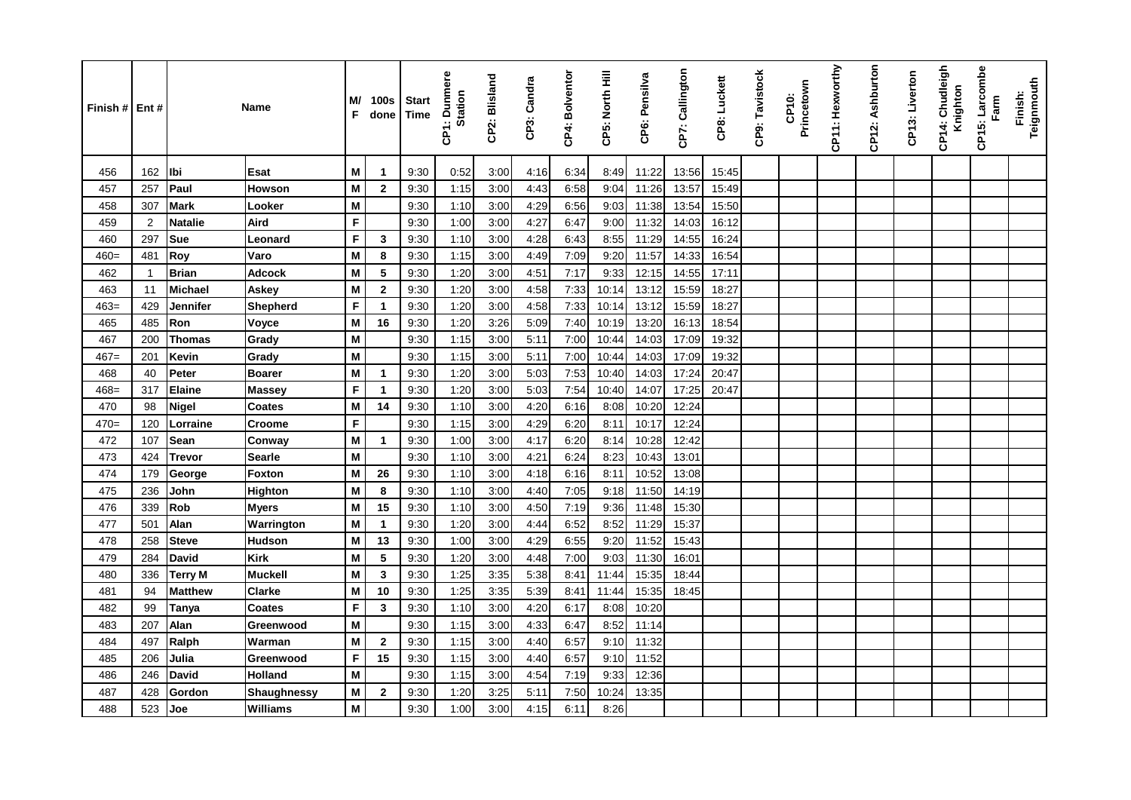| Finish $#$ | Ent#           | Name           |                    | M/<br>F | 100s<br>done   | <b>Start</b><br><b>Time</b> | <b>Dunmere</b><br><b>Station</b><br>န္ | CP2: Blisland | CP3: Candra | CP4: Bolventor | CP5: North Hill | CP6: Pensilva | CP7: Callington | CP8: Luckett | CP9: Tavistock | Princetown<br>CP10: | CP11: Hexworthy | CP12: Ashburton | CP13: Liverton | CP14: Chudleigh<br>Knighton | CP15: Larcombe<br>Farm | Teignmouth<br>Finish: |
|------------|----------------|----------------|--------------------|---------|----------------|-----------------------------|----------------------------------------|---------------|-------------|----------------|-----------------|---------------|-----------------|--------------|----------------|---------------------|-----------------|-----------------|----------------|-----------------------------|------------------------|-----------------------|
| 456        | 162            | lbi            | Esat               | M       | $\mathbf{1}$   | 9:30                        | 0:52                                   | 3:00          | 4:16        | 6:34           | 8:49            | 11:22         | 13:56           | 15:45        |                |                     |                 |                 |                |                             |                        |                       |
| 457        | 257            | Paul           | <b>Howson</b>      | M       | $\overline{2}$ | 9:30                        | 1:15                                   | 3:00          | 4:43        | 6:58           | 9:04            | 11:26         | 13:57           | 15:49        |                |                     |                 |                 |                |                             |                        |                       |
| 458        | 307            | <b>Mark</b>    | Looker             | M       |                | 9:30                        | 1:10                                   | 3:00          | 4:29        | 6:56           | 9:03            | 11:38         | 13:54           | 15:50        |                |                     |                 |                 |                |                             |                        |                       |
| 459        | $\overline{2}$ | <b>Natalie</b> | Aird               | F       |                | 9:30                        | 1:00                                   | 3:00          | 4:27        | 6:47           | 9:00            | 11:32         | 14:03           | 16:12        |                |                     |                 |                 |                |                             |                        |                       |
| 460        | 297            | Sue            | Leonard            | F       | 3              | 9:30                        | 1:10                                   | 3:00          | 4:28        | 6:43           | 8:55            | 11:29         | 14:55           | 16:24        |                |                     |                 |                 |                |                             |                        |                       |
| $460=$     | 481            | Roy            | Varo               | M       | 8              | 9:30                        | 1:15                                   | 3:00          | 4:49        | 7:09           | 9:20            | 11:57         | 14:33           | 16:54        |                |                     |                 |                 |                |                             |                        |                       |
| 462        | $\mathbf{1}$   | <b>Brian</b>   | <b>Adcock</b>      | M       | 5              | 9:30                        | 1:20                                   | 3:00          | 4:51        | 7:17           | 9:33            | 12:15         | 14:55           | 17:11        |                |                     |                 |                 |                |                             |                        |                       |
| 463        | 11             | Michael        | Askey              | M       | $\overline{2}$ | 9:30                        | 1:20                                   | 3:00          | 4:58        | 7:33           | 10:14           | 13:12         | 15:59           | 18:27        |                |                     |                 |                 |                |                             |                        |                       |
| 463=       | 429            | Jennifer       | Shepherd           | F       | $\overline{1}$ | 9:30                        | 1:20                                   | 3:00          | 4:58        | 7:33           | 10:14           | 13:12         | 15:59           | 18:27        |                |                     |                 |                 |                |                             |                        |                       |
| 465        | 485            | Ron            | Voyce              | M       | 16             | 9:30                        | 1:20                                   | 3:26          | 5:09        | 7:40           | 10:19           | 13:20         | 16:13           | 18:54        |                |                     |                 |                 |                |                             |                        |                       |
| 467        | 200            | <b>Thomas</b>  | Grady              | M       |                | 9:30                        | 1:15                                   | 3:00          | 5:11        | 7:00           | 10:44           | 14:03         | 17:09           | 19:32        |                |                     |                 |                 |                |                             |                        |                       |
| $467=$     | 201            | Kevin          | Grady              | M       |                | 9:30                        | 1:15                                   | 3:00          | 5:11        | 7:00           | 10:44           | 14:03         | 17:09           | 19:32        |                |                     |                 |                 |                |                             |                        |                       |
| 468        | 40             | Peter          | <b>Boarer</b>      | M       | $\mathbf{1}$   | 9:30                        | 1:20                                   | 3:00          | 5:03        | 7:53           | 10:40           | 14:03         | 17:24           | 20:47        |                |                     |                 |                 |                |                             |                        |                       |
| $468=$     | 317            | <b>Elaine</b>  | <b>Massey</b>      | F       | -1             | 9:30                        | 1:20                                   | 3:00          | 5:03        | 7:54           | 10:40           | 14:07         | 17:25           | 20:47        |                |                     |                 |                 |                |                             |                        |                       |
| 470        | 98             | <b>Nigel</b>   | <b>Coates</b>      | M       | 14             | 9:30                        | 1:10                                   | 3:00          | 4:20        | 6:16           | 8:08            | 10:20         | 12:24           |              |                |                     |                 |                 |                |                             |                        |                       |
| $470=$     | 120            | Lorraine       | <b>Croome</b>      | F       |                | 9:30                        | 1:15                                   | 3:00          | 4:29        | 6:20           | 8:11            | 10:17         | 12:24           |              |                |                     |                 |                 |                |                             |                        |                       |
| 472        | 107            | Sean           | Conway             | M       | $\overline{1}$ | 9:30                        | 1:00                                   | 3:00          | 4:17        | 6:20           | 8:14            | 10:28         | 12:42           |              |                |                     |                 |                 |                |                             |                        |                       |
| 473        | 424            | <b>Trevor</b>  | Searle             | M       |                | 9:30                        | 1:10                                   | 3:00          | 4:21        | 6:24           | 8:23            | 10:43         | 13:01           |              |                |                     |                 |                 |                |                             |                        |                       |
| 474        | 179            | George         | Foxton             | M       | 26             | 9:30                        | 1:10                                   | 3:00          | 4:18        | 6:16           | 8:11            | 10:52         | 13:08           |              |                |                     |                 |                 |                |                             |                        |                       |
| 475        | 236            | John           | <b>Highton</b>     | M       | 8              | 9:30                        | 1:10                                   | 3:00          | 4:40        | 7:05           | 9:18            | 11:50         | 14:19           |              |                |                     |                 |                 |                |                             |                        |                       |
| 476        | 339            | <b>Rob</b>     | <b>Myers</b>       | M       | 15             | 9:30                        | 1:10                                   | 3:00          | 4:50        | 7:19           | 9:36            | 11:48         | 15:30           |              |                |                     |                 |                 |                |                             |                        |                       |
| 477        | 501            | Alan           | Warrington         | M       | $\mathbf{1}$   | 9:30                        | 1:20                                   | 3:00          | 4:44        | 6:52           | 8:52            | 11:29         | 15:37           |              |                |                     |                 |                 |                |                             |                        |                       |
| 478        | 258            | <b>Steve</b>   | <b>Hudson</b>      | M       | 13             | 9:30                        | 1:00                                   | 3:00          | 4:29        | 6:55           | 9:20            | 11:52         | 15:43           |              |                |                     |                 |                 |                |                             |                        |                       |
| 479        | 284            | <b>David</b>   | <b>Kirk</b>        | M       | 5              | 9:30                        | 1:20                                   | 3:00          | 4:48        | 7:00           | 9:03            | 11:30         | 16:01           |              |                |                     |                 |                 |                |                             |                        |                       |
| 480        | 336            | <b>Terry M</b> | <b>Muckell</b>     | M       | $\mathbf{3}$   | 9:30                        | 1:25                                   | 3:35          | 5:38        | 8:41           | 11:44           | 15:35         | 18:44           |              |                |                     |                 |                 |                |                             |                        |                       |
| 481        | 94             | <b>Matthew</b> | <b>Clarke</b>      | M       | 10             | 9:30                        | 1:25                                   | 3:35          | 5:39        | 8:41           | 11:44           | 15:35         | 18:45           |              |                |                     |                 |                 |                |                             |                        |                       |
| 482        | 99             | Tanya          | <b>Coates</b>      | F       | 3              | 9:30                        | 1:10                                   | 3:00          | 4:20        | 6:17           | 8:08            | 10:20         |                 |              |                |                     |                 |                 |                |                             |                        |                       |
| 483        | 207            | Alan           | Greenwood          | M       |                | 9:30                        | 1:15                                   | 3:00          | 4:33        | 6:47           | 8:52            | 11:14         |                 |              |                |                     |                 |                 |                |                             |                        |                       |
| 484        | 497            | Ralph          | Warman             | M       | $\overline{2}$ | 9:30                        | 1:15                                   | 3:00          | 4:40        | 6:57           | 9:10            | 11:32         |                 |              |                |                     |                 |                 |                |                             |                        |                       |
| 485        | 206            | Julia          | Greenwood          | F       | 15             | 9:30                        | 1:15                                   | 3:00          | 4:40        | 6:57           | 9:10            | 11:52         |                 |              |                |                     |                 |                 |                |                             |                        |                       |
| 486        | 246            | <b>David</b>   | <b>Holland</b>     | M       |                | 9:30                        | 1:15                                   | 3:00          | 4:54        | 7:19           | 9:33            | 12:36         |                 |              |                |                     |                 |                 |                |                             |                        |                       |
| 487        | 428            | Gordon         | <b>Shaughnessy</b> | M       | $\mathbf{2}$   | 9:30                        | 1:20                                   | 3:25          | 5:11        | 7:50           | 10:24           | 13:35         |                 |              |                |                     |                 |                 |                |                             |                        |                       |
| 488        | 523            | Joe            | <b>Williams</b>    | M       |                | 9:30                        | 1:00                                   | 3:00          | 4:15        | 6:11           | 8:26            |               |                 |              |                |                     |                 |                 |                |                             |                        |                       |